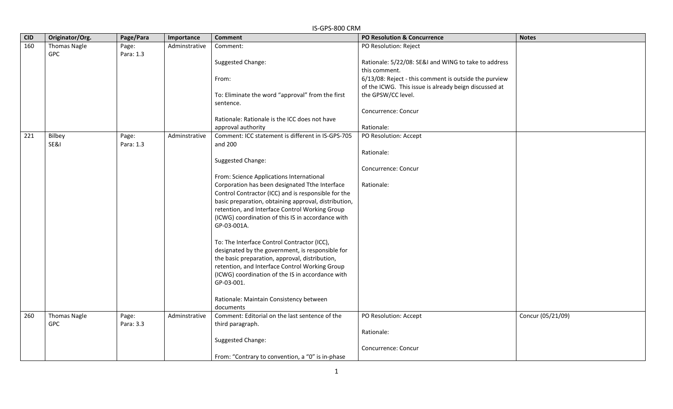|            | ועותט טטס-כאט-כו    |           |               |                                                      |                                                       |                   |  |  |
|------------|---------------------|-----------|---------------|------------------------------------------------------|-------------------------------------------------------|-------------------|--|--|
| <b>CID</b> | Originator/Org.     | Page/Para | Importance    | <b>Comment</b>                                       | PO Resolution & Concurrence                           | <b>Notes</b>      |  |  |
| 160        | <b>Thomas Nagle</b> | Page:     | Adminstrative | Comment:                                             | PO Resolution: Reject                                 |                   |  |  |
|            | <b>GPC</b>          | Para: 1.3 |               |                                                      |                                                       |                   |  |  |
|            |                     |           |               | Suggested Change:                                    | Rationale: 5/22/08: SE&I and WING to take to address  |                   |  |  |
|            |                     |           |               |                                                      | this comment.                                         |                   |  |  |
|            |                     |           |               | From:                                                | 6/13/08: Reject - this comment is outside the purview |                   |  |  |
|            |                     |           |               |                                                      | of the ICWG. This issue is already beign discussed at |                   |  |  |
|            |                     |           |               | To: Eliminate the word "approval" from the first     | the GPSW/CC level.                                    |                   |  |  |
|            |                     |           |               | sentence.                                            |                                                       |                   |  |  |
|            |                     |           |               |                                                      | Concurrence: Concur                                   |                   |  |  |
|            |                     |           |               | Rationale: Rationale is the ICC does not have        |                                                       |                   |  |  |
|            |                     |           |               | approval authority                                   | Rationale:                                            |                   |  |  |
| 221        | Bilbey              | Page:     | Adminstrative | Comment: ICC statement is different in IS-GPS-705    | PO Resolution: Accept                                 |                   |  |  |
|            | SE&I                | Para: 1.3 |               | and 200                                              |                                                       |                   |  |  |
|            |                     |           |               |                                                      | Rationale:                                            |                   |  |  |
|            |                     |           |               |                                                      |                                                       |                   |  |  |
|            |                     |           |               | Suggested Change:                                    |                                                       |                   |  |  |
|            |                     |           |               |                                                      | Concurrence: Concur                                   |                   |  |  |
|            |                     |           |               | From: Science Applications International             |                                                       |                   |  |  |
|            |                     |           |               | Corporation has been designated Tthe Interface       | Rationale:                                            |                   |  |  |
|            |                     |           |               | Control Contractor (ICC) and is responsible for the  |                                                       |                   |  |  |
|            |                     |           |               | basic preparation, obtaining approval, distribution, |                                                       |                   |  |  |
|            |                     |           |               | retention, and Interface Control Working Group       |                                                       |                   |  |  |
|            |                     |           |               | (ICWG) coordination of this IS in accordance with    |                                                       |                   |  |  |
|            |                     |           |               | GP-03-001A.                                          |                                                       |                   |  |  |
|            |                     |           |               |                                                      |                                                       |                   |  |  |
|            |                     |           |               | To: The Interface Control Contractor (ICC),          |                                                       |                   |  |  |
|            |                     |           |               | designated by the government, is responsible for     |                                                       |                   |  |  |
|            |                     |           |               | the basic preparation, approval, distribution,       |                                                       |                   |  |  |
|            |                     |           |               | retention, and Interface Control Working Group       |                                                       |                   |  |  |
|            |                     |           |               | (ICWG) coordination of the IS in accordance with     |                                                       |                   |  |  |
|            |                     |           |               | GP-03-001.                                           |                                                       |                   |  |  |
|            |                     |           |               |                                                      |                                                       |                   |  |  |
|            |                     |           |               | Rationale: Maintain Consistency between              |                                                       |                   |  |  |
|            |                     |           |               | documents                                            |                                                       |                   |  |  |
| 260        | <b>Thomas Nagle</b> | Page:     | Adminstrative | Comment: Editorial on the last sentence of the       | PO Resolution: Accept                                 | Concur (05/21/09) |  |  |
|            | <b>GPC</b>          | Para: 3.3 |               | third paragraph.                                     |                                                       |                   |  |  |
|            |                     |           |               |                                                      | Rationale:                                            |                   |  |  |
|            |                     |           |               |                                                      |                                                       |                   |  |  |
|            |                     |           |               | Suggested Change:                                    |                                                       |                   |  |  |
|            |                     |           |               |                                                      | Concurrence: Concur                                   |                   |  |  |
|            |                     |           |               | From: "Contrary to convention, a "0" is in-phase     |                                                       |                   |  |  |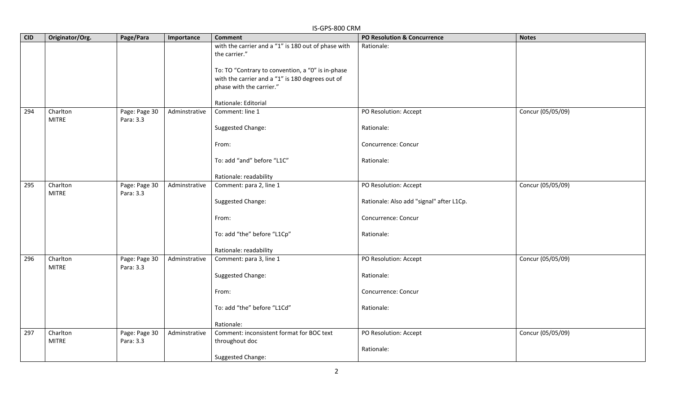|            | IS-GPS-800 CRM           |                            |               |                                                                                                                                                                                                                                   |                                                                                                        |                   |  |  |
|------------|--------------------------|----------------------------|---------------|-----------------------------------------------------------------------------------------------------------------------------------------------------------------------------------------------------------------------------------|--------------------------------------------------------------------------------------------------------|-------------------|--|--|
| <b>CID</b> | Originator/Org.          | Page/Para                  | Importance    | <b>Comment</b>                                                                                                                                                                                                                    | PO Resolution & Concurrence                                                                            | <b>Notes</b>      |  |  |
|            |                          |                            |               | with the carrier and a "1" is 180 out of phase with<br>the carrier."<br>To: TO "Contrary to convention, a "0" is in-phase<br>with the carrier and a "1" is 180 degrees out of<br>phase with the carrier."<br>Rationale: Editorial | Rationale:                                                                                             |                   |  |  |
| 294        | Charlton<br><b>MITRE</b> | Page: Page 30<br>Para: 3.3 | Adminstrative | Comment: line 1<br>Suggested Change:<br>From:                                                                                                                                                                                     | PO Resolution: Accept<br>Rationale:<br>Concurrence: Concur                                             | Concur (05/05/09) |  |  |
|            |                          |                            |               | To: add "and" before "L1C"<br>Rationale: readability                                                                                                                                                                              | Rationale:                                                                                             |                   |  |  |
| 295        | Charlton<br><b>MITRE</b> | Page: Page 30<br>Para: 3.3 | Adminstrative | Comment: para 2, line 1<br>Suggested Change:<br>From:<br>To: add "the" before "L1Cp"<br>Rationale: readability                                                                                                                    | PO Resolution: Accept<br>Rationale: Also add "signal" after L1Cp.<br>Concurrence: Concur<br>Rationale: | Concur (05/05/09) |  |  |
| 296        | Charlton<br><b>MITRE</b> | Page: Page 30<br>Para: 3.3 | Adminstrative | Comment: para 3, line 1<br>Suggested Change:<br>From:<br>To: add "the" before "L1Cd"<br>Rationale:                                                                                                                                | PO Resolution: Accept<br>Rationale:<br>Concurrence: Concur<br>Rationale:                               | Concur (05/05/09) |  |  |
| 297        | Charlton<br><b>MITRE</b> | Page: Page 30<br>Para: 3.3 | Adminstrative | Comment: inconsistent format for BOC text<br>throughout doc<br>Suggested Change:                                                                                                                                                  | PO Resolution: Accept<br>Rationale:                                                                    | Concur (05/05/09) |  |  |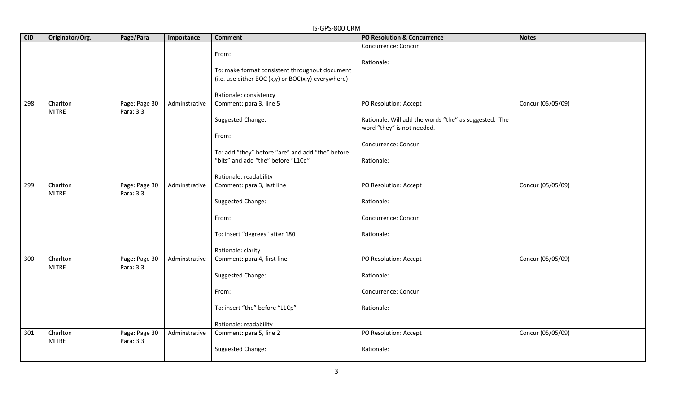|            | IS-GPS-800 CRM  |               |               |                                                         |                                                       |                   |  |  |  |
|------------|-----------------|---------------|---------------|---------------------------------------------------------|-------------------------------------------------------|-------------------|--|--|--|
| <b>CID</b> | Originator/Org. | Page/Para     | Importance    | <b>Comment</b>                                          | <b>PO Resolution &amp; Concurrence</b>                | <b>Notes</b>      |  |  |  |
|            |                 |               |               |                                                         | Concurrence: Concur                                   |                   |  |  |  |
|            |                 |               |               | From:                                                   |                                                       |                   |  |  |  |
|            |                 |               |               |                                                         | Rationale:                                            |                   |  |  |  |
|            |                 |               |               | To: make format consistent throughout document          |                                                       |                   |  |  |  |
|            |                 |               |               | (i.e. use either BOC $(x,y)$ or BOC $(x,y)$ everywhere) |                                                       |                   |  |  |  |
|            |                 |               |               |                                                         |                                                       |                   |  |  |  |
| 298        | Charlton        | Page: Page 30 | Adminstrative | Rationale: consistency<br>Comment: para 3, line 5       | PO Resolution: Accept                                 | Concur (05/05/09) |  |  |  |
|            | <b>MITRE</b>    | Para: 3.3     |               |                                                         |                                                       |                   |  |  |  |
|            |                 |               |               | Suggested Change:                                       | Rationale: Will add the words "the" as suggested. The |                   |  |  |  |
|            |                 |               |               |                                                         | word "they" is not needed.                            |                   |  |  |  |
|            |                 |               |               | From:                                                   |                                                       |                   |  |  |  |
|            |                 |               |               |                                                         | Concurrence: Concur                                   |                   |  |  |  |
|            |                 |               |               | To: add "they" before "are" and add "the" before        |                                                       |                   |  |  |  |
|            |                 |               |               | "bits" and add "the" before "L1Cd"                      | Rationale:                                            |                   |  |  |  |
|            |                 |               |               |                                                         |                                                       |                   |  |  |  |
|            |                 |               |               | Rationale: readability                                  |                                                       |                   |  |  |  |
| 299        | Charlton        | Page: Page 30 | Adminstrative | Comment: para 3, last line                              | PO Resolution: Accept                                 | Concur (05/05/09) |  |  |  |
|            | <b>MITRE</b>    | Para: 3.3     |               |                                                         |                                                       |                   |  |  |  |
|            |                 |               |               | Suggested Change:                                       | Rationale:                                            |                   |  |  |  |
|            |                 |               |               | From:                                                   | Concurrence: Concur                                   |                   |  |  |  |
|            |                 |               |               |                                                         |                                                       |                   |  |  |  |
|            |                 |               |               | To: insert "degrees" after 180                          | Rationale:                                            |                   |  |  |  |
|            |                 |               |               |                                                         |                                                       |                   |  |  |  |
|            |                 |               |               | Rationale: clarity                                      |                                                       |                   |  |  |  |
| 300        | Charlton        | Page: Page 30 | Adminstrative | Comment: para 4, first line                             | PO Resolution: Accept                                 | Concur (05/05/09) |  |  |  |
|            | <b>MITRE</b>    | Para: 3.3     |               |                                                         |                                                       |                   |  |  |  |
|            |                 |               |               | Suggested Change:                                       | Rationale:                                            |                   |  |  |  |
|            |                 |               |               |                                                         |                                                       |                   |  |  |  |
|            |                 |               |               | From:                                                   | Concurrence: Concur                                   |                   |  |  |  |
|            |                 |               |               | To: insert "the" before "L1Cp"                          | Rationale:                                            |                   |  |  |  |
|            |                 |               |               |                                                         |                                                       |                   |  |  |  |
|            |                 |               |               | Rationale: readability                                  |                                                       |                   |  |  |  |
| 301        | Charlton        | Page: Page 30 | Adminstrative | Comment: para 5, line 2                                 | PO Resolution: Accept                                 | Concur (05/05/09) |  |  |  |
|            | <b>MITRE</b>    | Para: 3.3     |               |                                                         |                                                       |                   |  |  |  |
|            |                 |               |               | Suggested Change:                                       | Rationale:                                            |                   |  |  |  |
|            |                 |               |               |                                                         |                                                       |                   |  |  |  |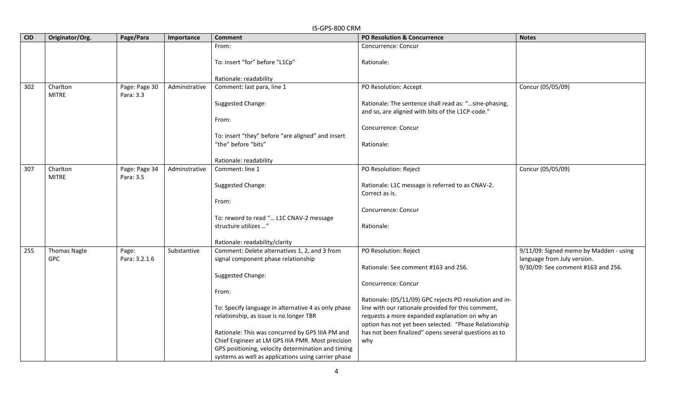|            | IS-GPS-800 CRM                    |                            |               |                                                                                                           |                                                                                                           |                                                                       |  |  |  |  |  |
|------------|-----------------------------------|----------------------------|---------------|-----------------------------------------------------------------------------------------------------------|-----------------------------------------------------------------------------------------------------------|-----------------------------------------------------------------------|--|--|--|--|--|
| <b>CID</b> | Originator/Org.                   | Page/Para                  | Importance    | <b>Comment</b>                                                                                            | <b>PO Resolution &amp; Concurrence</b>                                                                    | <b>Notes</b>                                                          |  |  |  |  |  |
|            |                                   |                            |               | From:                                                                                                     | Concurrence: Concur                                                                                       |                                                                       |  |  |  |  |  |
|            |                                   |                            |               | To: insert "for" before "L1Cp"                                                                            | Rationale:                                                                                                |                                                                       |  |  |  |  |  |
|            |                                   |                            |               | Rationale: readability                                                                                    |                                                                                                           |                                                                       |  |  |  |  |  |
| 302        | Charlton<br><b>MITRE</b>          | Page: Page 30<br>Para: 3.3 | Adminstrative | Comment: last para, line 1                                                                                | PO Resolution: Accept                                                                                     | Concur (05/05/09)                                                     |  |  |  |  |  |
|            |                                   |                            |               | Suggested Change:                                                                                         | Rationale: The sentence shall read as: "sine-phasing,<br>and so, are aligned with bits of the L1CP-code." |                                                                       |  |  |  |  |  |
|            |                                   |                            |               | From:                                                                                                     |                                                                                                           |                                                                       |  |  |  |  |  |
|            |                                   |                            |               | To: insert "they" before "are aligned" and insert                                                         | Concurrence: Concur                                                                                       |                                                                       |  |  |  |  |  |
|            |                                   |                            |               | "the" before "bits"                                                                                       | Rationale:                                                                                                |                                                                       |  |  |  |  |  |
|            |                                   |                            |               | Rationale: readability                                                                                    |                                                                                                           |                                                                       |  |  |  |  |  |
| 307        | Charlton<br><b>MITRE</b>          | Page: Page 34<br>Para: 3.5 | Adminstrative | Comment: line 1                                                                                           | PO Resolution: Reject                                                                                     | Concur (05/05/09)                                                     |  |  |  |  |  |
|            |                                   |                            |               | Suggested Change:                                                                                         | Rationale: L1C message is referred to as CNAV-2.<br>Correct as is.                                        |                                                                       |  |  |  |  |  |
|            |                                   |                            |               | From:                                                                                                     |                                                                                                           |                                                                       |  |  |  |  |  |
|            |                                   |                            |               | To: reword to read " L1C CNAV-2 message                                                                   | Concurrence: Concur                                                                                       |                                                                       |  |  |  |  |  |
|            |                                   |                            |               | structure utilizes "                                                                                      | Rationale:                                                                                                |                                                                       |  |  |  |  |  |
|            |                                   |                            |               | Rationale: readability/clarity                                                                            |                                                                                                           |                                                                       |  |  |  |  |  |
| 255        | <b>Thomas Nagle</b><br><b>GPC</b> | Page:<br>Para: 3.2.1.6     | Substantive   | Comment: Delete alternatives 1, 2, and 3 from<br>signal component phase relationship                      | PO Resolution: Reject                                                                                     | 9/11/09: Signed memo by Madden - using<br>language from July version. |  |  |  |  |  |
|            |                                   |                            |               |                                                                                                           | Rationale: See comment #163 and 256.                                                                      | 9/30/09: See comment #163 and 256.                                    |  |  |  |  |  |
|            |                                   |                            |               | Suggested Change:                                                                                         | Concurrence: Concur                                                                                       |                                                                       |  |  |  |  |  |
|            |                                   |                            |               | From:                                                                                                     | Rationale: (05/11/09) GPC rejects PO resolution and in-                                                   |                                                                       |  |  |  |  |  |
|            |                                   |                            |               | To: Specify language in alternative 4 as only phase<br>relationship, as issue is no longer TBR            | line with our rationale provided for this comment,<br>requests a more expanded explanation on why an      |                                                                       |  |  |  |  |  |
|            |                                   |                            |               |                                                                                                           | option has not yet been selected. "Phase Relationship                                                     |                                                                       |  |  |  |  |  |
|            |                                   |                            |               | Rationale: This was concurred by GPS IIIA PM and<br>Chief Engineer at LM GPS IIIA PMR. Most precision     | has not been finalized" opens several questions as to<br>why                                              |                                                                       |  |  |  |  |  |
|            |                                   |                            |               | GPS positioning, velocity determination and timing<br>systems as well as applications using carrier phase |                                                                                                           |                                                                       |  |  |  |  |  |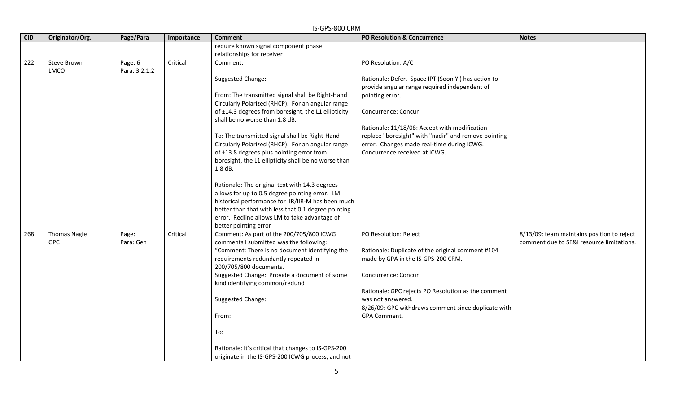| CID | Originator/Org.     | Page/Para     | Importance | יווט טטט כווט כו<br><b>Comment</b>                                                                        | PO Resolution & Concurrence                                      | <b>Notes</b>                               |
|-----|---------------------|---------------|------------|-----------------------------------------------------------------------------------------------------------|------------------------------------------------------------------|--------------------------------------------|
|     |                     |               |            | require known signal component phase                                                                      |                                                                  |                                            |
|     |                     |               |            | relationships for receiver                                                                                |                                                                  |                                            |
| 222 | Steve Brown         | Page: 6       | Critical   | Comment:                                                                                                  | PO Resolution: A/C                                               |                                            |
|     | <b>LMCO</b>         | Para: 3.2.1.2 |            |                                                                                                           |                                                                  |                                            |
|     |                     |               |            | Suggested Change:                                                                                         | Rationale: Defer. Space IPT (Soon Yi) has action to              |                                            |
|     |                     |               |            | From: The transmitted signal shall be Right-Hand                                                          | provide angular range required independent of<br>pointing error. |                                            |
|     |                     |               |            | Circularly Polarized (RHCP). For an angular range                                                         |                                                                  |                                            |
|     |                     |               |            | of ±14.3 degrees from boresight, the L1 ellipticity                                                       | Concurrence: Concur                                              |                                            |
|     |                     |               |            | shall be no worse than 1.8 dB.                                                                            |                                                                  |                                            |
|     |                     |               |            |                                                                                                           | Rationale: 11/18/08: Accept with modification -                  |                                            |
|     |                     |               |            | To: The transmitted signal shall be Right-Hand                                                            | replace "boresight" with "nadir" and remove pointing             |                                            |
|     |                     |               |            | Circularly Polarized (RHCP). For an angular range                                                         | error. Changes made real-time during ICWG.                       |                                            |
|     |                     |               |            | of ±13.8 degrees plus pointing error from                                                                 | Concurrence received at ICWG.                                    |                                            |
|     |                     |               |            | boresight, the L1 ellipticity shall be no worse than                                                      |                                                                  |                                            |
|     |                     |               |            | 1.8 dB.                                                                                                   |                                                                  |                                            |
|     |                     |               |            |                                                                                                           |                                                                  |                                            |
|     |                     |               |            | Rationale: The original text with 14.3 degrees                                                            |                                                                  |                                            |
|     |                     |               |            | allows for up to 0.5 degree pointing error. LM                                                            |                                                                  |                                            |
|     |                     |               |            | historical performance for IIR/IIR-M has been much<br>better than that with less that 0.1 degree pointing |                                                                  |                                            |
|     |                     |               |            | error. Redline allows LM to take advantage of                                                             |                                                                  |                                            |
|     |                     |               |            | better pointing error                                                                                     |                                                                  |                                            |
| 268 | <b>Thomas Nagle</b> | Page:         | Critical   | Comment: As part of the 200/705/800 ICWG                                                                  | PO Resolution: Reject                                            | 8/13/09: team maintains position to reject |
|     | <b>GPC</b>          | Para: Gen     |            | comments I submitted was the following:                                                                   |                                                                  | comment due to SE&I resource limitations.  |
|     |                     |               |            | "Comment: There is no document identifying the                                                            | Rationale: Duplicate of the original comment #104                |                                            |
|     |                     |               |            | requirements redundantly repeated in                                                                      | made by GPA in the IS-GPS-200 CRM.                               |                                            |
|     |                     |               |            | 200/705/800 documents.                                                                                    |                                                                  |                                            |
|     |                     |               |            | Suggested Change: Provide a document of some                                                              | Concurrence: Concur                                              |                                            |
|     |                     |               |            | kind identifying common/redund                                                                            |                                                                  |                                            |
|     |                     |               |            |                                                                                                           | Rationale: GPC rejects PO Resolution as the comment              |                                            |
|     |                     |               |            | Suggested Change:                                                                                         | was not answered.                                                |                                            |
|     |                     |               |            |                                                                                                           | 8/26/09: GPC withdraws comment since duplicate with              |                                            |
|     |                     |               |            | From:                                                                                                     | GPA Comment.                                                     |                                            |
|     |                     |               |            | To:                                                                                                       |                                                                  |                                            |
|     |                     |               |            |                                                                                                           |                                                                  |                                            |
|     |                     |               |            | Rationale: It's critical that changes to IS-GPS-200                                                       |                                                                  |                                            |
|     |                     |               |            | originate in the IS-GPS-200 ICWG process, and not                                                         |                                                                  |                                            |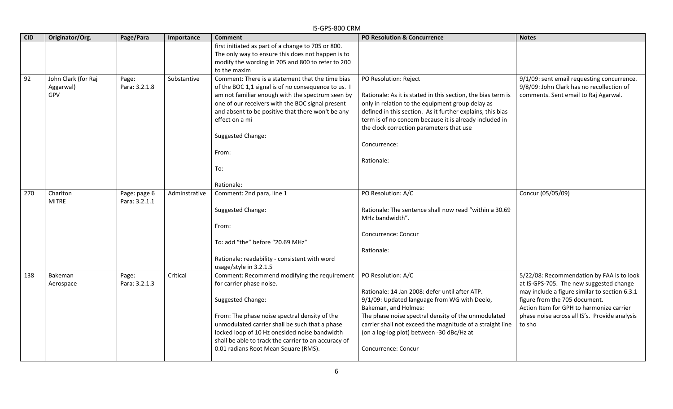|            | IS-GPS-800 CRM                          |                               |               |                                                                                                                                                                                                                                                                                                                                                   |                                                                                                                                                                                                                                                                                                                                              |                                                                                                                                                                                                                                                                               |  |  |  |  |
|------------|-----------------------------------------|-------------------------------|---------------|---------------------------------------------------------------------------------------------------------------------------------------------------------------------------------------------------------------------------------------------------------------------------------------------------------------------------------------------------|----------------------------------------------------------------------------------------------------------------------------------------------------------------------------------------------------------------------------------------------------------------------------------------------------------------------------------------------|-------------------------------------------------------------------------------------------------------------------------------------------------------------------------------------------------------------------------------------------------------------------------------|--|--|--|--|
| <b>CID</b> | Originator/Org.                         | Page/Para                     | Importance    | <b>Comment</b>                                                                                                                                                                                                                                                                                                                                    | PO Resolution & Concurrence                                                                                                                                                                                                                                                                                                                  | <b>Notes</b>                                                                                                                                                                                                                                                                  |  |  |  |  |
|            |                                         |                               |               | first initiated as part of a change to 705 or 800.<br>The only way to ensure this does not happen is to<br>modify the wording in 705 and 800 to refer to 200<br>to the maxim                                                                                                                                                                      |                                                                                                                                                                                                                                                                                                                                              |                                                                                                                                                                                                                                                                               |  |  |  |  |
| 92         | John Clark (for Raj<br>Aggarwal)<br>GPV | Page:<br>Para: 3.2.1.8        | Substantive   | Comment: There is a statement that the time bias<br>of the BOC 1,1 signal is of no consequence to us. I<br>am not familiar enough with the spectrum seen by<br>one of our receivers with the BOC signal present<br>and absent to be positive that there won't be any<br>effect on a mi<br>Suggested Change:<br>From:<br>To:<br>Rationale:         | PO Resolution: Reject<br>Rationale: As it is stated in this section, the bias term is<br>only in relation to the equipment group delay as<br>defined in this section. As it further explains, this bias<br>term is of no concern because it is already included in<br>the clock correction parameters that use<br>Concurrence:<br>Rationale: | 9/1/09: sent email requesting concurrence.<br>9/8/09: John Clark has no recollection of<br>comments. Sent email to Raj Agarwal.                                                                                                                                               |  |  |  |  |
| 270        | Charlton<br><b>MITRE</b>                | Page: page 6<br>Para: 3.2.1.1 | Adminstrative | Comment: 2nd para, line 1<br>Suggested Change:<br>From:<br>To: add "the" before "20.69 MHz"<br>Rationale: readability - consistent with word<br>usage/style in 3.2.1.5                                                                                                                                                                            | PO Resolution: A/C<br>Rationale: The sentence shall now read "within a 30.69<br>MHz bandwidth".<br>Concurrence: Concur<br>Rationale:                                                                                                                                                                                                         | Concur (05/05/09)                                                                                                                                                                                                                                                             |  |  |  |  |
| 138        | Bakeman<br>Aerospace                    | Page:<br>Para: 3.2.1.3        | Critical      | Comment: Recommend modifying the requirement<br>for carrier phase noise.<br>Suggested Change:<br>From: The phase noise spectral density of the<br>unmodulated carrier shall be such that a phase<br>locked loop of 10 Hz onesided noise bandwidth<br>shall be able to track the carrier to an accuracy of<br>0.01 radians Root Mean Square (RMS). | PO Resolution: A/C<br>Rationale: 14 Jan 2008: defer until after ATP.<br>9/1/09: Updated language from WG with Deelo,<br>Bakeman, and Holmes:<br>The phase noise spectral density of the unmodulated<br>carrier shall not exceed the magnitude of a straight line<br>(on a log-log plot) between -30 dBc/Hz at<br>Concurrence: Concur         | 5/22/08: Recommendation by FAA is to look<br>at IS-GPS-705. The new suggested change<br>may include a figure similar to section 6.3.1<br>figure from the 705 document.<br>Action Item for GPH to harmonize carrier<br>phase noise across all IS's. Provide analysis<br>to sho |  |  |  |  |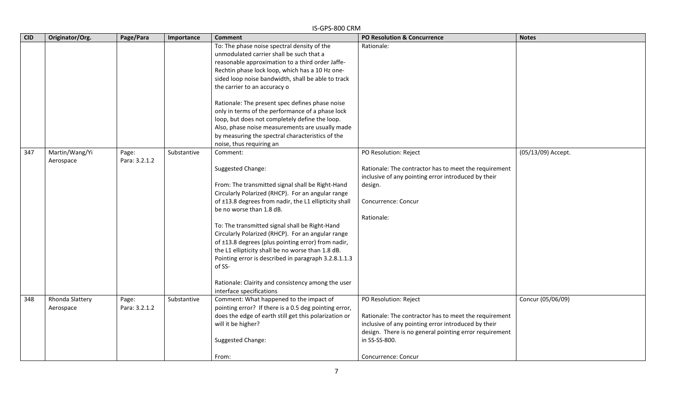| <b>CID</b> | Originator/Org. | Page/Para     | Importance  | ואוחט טטס־כדט־כו<br><b>Comment</b>                                                                  | <b>PO Resolution &amp; Concurrence</b>                 | <b>Notes</b>       |
|------------|-----------------|---------------|-------------|-----------------------------------------------------------------------------------------------------|--------------------------------------------------------|--------------------|
|            |                 |               |             | To: The phase noise spectral density of the                                                         | Rationale:                                             |                    |
|            |                 |               |             | unmodulated carrier shall be such that a                                                            |                                                        |                    |
|            |                 |               |             | reasonable approximation to a third order Jaffe-                                                    |                                                        |                    |
|            |                 |               |             | Rechtin phase lock loop, which has a 10 Hz one-                                                     |                                                        |                    |
|            |                 |               |             | sided loop noise bandwidth, shall be able to track                                                  |                                                        |                    |
|            |                 |               |             | the carrier to an accuracy o                                                                        |                                                        |                    |
|            |                 |               |             |                                                                                                     |                                                        |                    |
|            |                 |               |             | Rationale: The present spec defines phase noise                                                     |                                                        |                    |
|            |                 |               |             | only in terms of the performance of a phase lock                                                    |                                                        |                    |
|            |                 |               |             | loop, but does not completely define the loop.                                                      |                                                        |                    |
|            |                 |               |             | Also, phase noise measurements are usually made                                                     |                                                        |                    |
|            |                 |               |             | by measuring the spectral characteristics of the                                                    |                                                        |                    |
|            |                 |               |             | noise, thus requiring an                                                                            |                                                        |                    |
| 347        | Martin/Wang/Yi  | Page:         | Substantive | Comment:                                                                                            | PO Resolution: Reject                                  | (05/13/09) Accept. |
|            | Aerospace       | Para: 3.2.1.2 |             |                                                                                                     |                                                        |                    |
|            |                 |               |             | Suggested Change:                                                                                   | Rationale: The contractor has to meet the requirement  |                    |
|            |                 |               |             |                                                                                                     | inclusive of any pointing error introduced by their    |                    |
|            |                 |               |             | From: The transmitted signal shall be Right-Hand                                                    | design.                                                |                    |
|            |                 |               |             | Circularly Polarized (RHCP). For an angular range                                                   |                                                        |                    |
|            |                 |               |             | of ±13.8 degrees from nadir, the L1 ellipticity shall                                               | Concurrence: Concur                                    |                    |
|            |                 |               |             | be no worse than 1.8 dB.                                                                            |                                                        |                    |
|            |                 |               |             |                                                                                                     | Rationale:                                             |                    |
|            |                 |               |             | To: The transmitted signal shall be Right-Hand<br>Circularly Polarized (RHCP). For an angular range |                                                        |                    |
|            |                 |               |             | of ±13.8 degrees (plus pointing error) from nadir,                                                  |                                                        |                    |
|            |                 |               |             | the L1 ellipticity shall be no worse than 1.8 dB.                                                   |                                                        |                    |
|            |                 |               |             | Pointing error is described in paragraph 3.2.8.1.1.3                                                |                                                        |                    |
|            |                 |               |             | of SS-                                                                                              |                                                        |                    |
|            |                 |               |             |                                                                                                     |                                                        |                    |
|            |                 |               |             | Rationale: Clairity and consistency among the user                                                  |                                                        |                    |
|            |                 |               |             | interface specifications                                                                            |                                                        |                    |
| 348        | Rhonda Slattery | Page:         | Substantive | Comment: What happened to the impact of                                                             | PO Resolution: Reject                                  | Concur (05/06/09)  |
|            | Aerospace       | Para: 3.2.1.2 |             | pointing error? If there is a 0.5 deg pointing error,                                               |                                                        |                    |
|            |                 |               |             | does the edge of earth still get this polarization or                                               | Rationale: The contractor has to meet the requirement  |                    |
|            |                 |               |             | will it be higher?                                                                                  | inclusive of any pointing error introduced by their    |                    |
|            |                 |               |             |                                                                                                     | design. There is no general pointing error requirement |                    |
|            |                 |               |             | Suggested Change:                                                                                   | in SS-SS-800.                                          |                    |
|            |                 |               |             |                                                                                                     |                                                        |                    |
|            |                 |               |             | From:                                                                                               | Concurrence: Concur                                    |                    |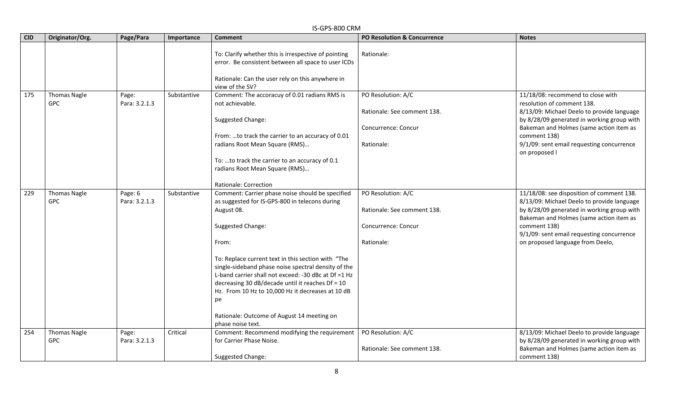|            | IS-GPS-800 CRM                    |                          |             |                                                                                                                                                                                                                                                                                                                                                                                                                                                                                                         |                                                                                        |                                                                                                                                                                                                                                                                                      |  |  |  |
|------------|-----------------------------------|--------------------------|-------------|---------------------------------------------------------------------------------------------------------------------------------------------------------------------------------------------------------------------------------------------------------------------------------------------------------------------------------------------------------------------------------------------------------------------------------------------------------------------------------------------------------|----------------------------------------------------------------------------------------|--------------------------------------------------------------------------------------------------------------------------------------------------------------------------------------------------------------------------------------------------------------------------------------|--|--|--|
| <b>CID</b> | Originator/Org.                   | Page/Para                | Importance  | <b>Comment</b>                                                                                                                                                                                                                                                                                                                                                                                                                                                                                          | <b>PO Resolution &amp; Concurrence</b>                                                 | <b>Notes</b>                                                                                                                                                                                                                                                                         |  |  |  |
|            |                                   |                          |             | To: Clarify whether this is irrespective of pointing<br>error. Be consistent between all space to user ICDs<br>Rationale: Can the user rely on this anywhere in<br>view of the SV?                                                                                                                                                                                                                                                                                                                      | Rationale:                                                                             |                                                                                                                                                                                                                                                                                      |  |  |  |
| 175        | <b>Thomas Nagle</b><br><b>GPC</b> | Page:<br>Para: 3.2.1.3   | Substantive | Comment: The accoracuy of 0.01 radians RMS is<br>not achievable.<br>Suggested Change:<br>From: to track the carrier to an accuracy of 0.01<br>radians Root Mean Square (RMS)<br>To: to track the carrier to an accuracy of 0.1<br>radians Root Mean Square (RMS)<br><b>Rationale: Correction</b>                                                                                                                                                                                                        | PO Resolution: A/C<br>Rationale: See comment 138.<br>Concurrence: Concur<br>Rationale: | 11/18/08: recommend to close with<br>resolution of comment 138.<br>8/13/09: Michael Deelo to provide language<br>by 8/28/09 generated in working group with<br>Bakeman and Holmes (same action item as<br>comment 138)<br>9/1/09: sent email requesting concurrence<br>on proposed I |  |  |  |
| 229        | <b>Thomas Nagle</b><br><b>GPC</b> | Page: 6<br>Para: 3.2.1.3 | Substantive | Comment: Carrier phase noise should be specified<br>as suggested for IS-GPS-800 in telecons during<br>August 08.<br>Suggested Change:<br>From:<br>To: Replace current text in this section with "The<br>single-sideband phase noise spectral density of the<br>L-band carrier shall not exceed: -30 dBc at Df =1 Hz<br>decreasing 30 $dB/decade$ until it reaches Df = 10<br>Hz. From 10 Hz to 10,000 Hz it decreases at 10 dB<br>pe<br>Rationale: Outcome of August 14 meeting on<br>phase noise text. | PO Resolution: A/C<br>Rationale: See comment 138.<br>Concurrence: Concur<br>Rationale: | 11/18/08: see disposition of comment 138.<br>8/13/09: Michael Deelo to provide language<br>by 8/28/09 generated in working group with<br>Bakeman and Holmes (same action item as<br>comment 138)<br>9/1/09: sent email requesting concurrence<br>on proposed language from Deelo,    |  |  |  |
| 254        | <b>Thomas Nagle</b><br><b>GPC</b> | Page:<br>Para: 3.2.1.3   | Critical    | Comment: Recommend modifying the requirement<br>for Carrier Phase Noise.<br>Suggested Change:                                                                                                                                                                                                                                                                                                                                                                                                           | PO Resolution: A/C<br>Rationale: See comment 138.                                      | 8/13/09: Michael Deelo to provide language<br>by 8/28/09 generated in working group with<br>Bakeman and Holmes (same action item as<br>comment 138)                                                                                                                                  |  |  |  |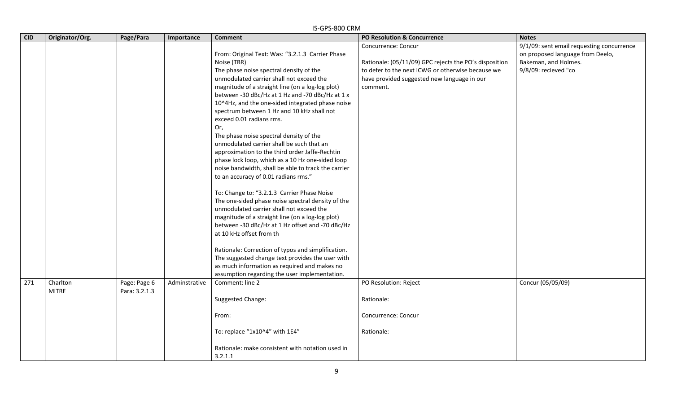|            | IS-GPS-800 CRM           |                               |               |                                                                                                                                                                                                                                                                                                                                                                                                                                                                                                                                                                                                                                                                                                                                                                                                                                                                                                                                                                                                                                                                                                                                                                                                 |                                                                                                                                                                                               |                                                                                                                               |  |  |  |
|------------|--------------------------|-------------------------------|---------------|-------------------------------------------------------------------------------------------------------------------------------------------------------------------------------------------------------------------------------------------------------------------------------------------------------------------------------------------------------------------------------------------------------------------------------------------------------------------------------------------------------------------------------------------------------------------------------------------------------------------------------------------------------------------------------------------------------------------------------------------------------------------------------------------------------------------------------------------------------------------------------------------------------------------------------------------------------------------------------------------------------------------------------------------------------------------------------------------------------------------------------------------------------------------------------------------------|-----------------------------------------------------------------------------------------------------------------------------------------------------------------------------------------------|-------------------------------------------------------------------------------------------------------------------------------|--|--|--|
| <b>CID</b> | Originator/Org.          | Page/Para                     | Importance    | <b>Comment</b>                                                                                                                                                                                                                                                                                                                                                                                                                                                                                                                                                                                                                                                                                                                                                                                                                                                                                                                                                                                                                                                                                                                                                                                  | <b>PO Resolution &amp; Concurrence</b>                                                                                                                                                        | <b>Notes</b>                                                                                                                  |  |  |  |
|            |                          |                               |               | From: Original Text: Was: "3.2.1.3 Carrier Phase<br>Noise (TBR)<br>The phase noise spectral density of the<br>unmodulated carrier shall not exceed the<br>magnitude of a straight line (on a log-log plot)<br>between -30 dBc/Hz at 1 Hz and -70 dBc/Hz at 1 x<br>10^4Hz, and the one-sided integrated phase noise<br>spectrum between 1 Hz and 10 kHz shall not<br>exceed 0.01 radians rms.<br>Or,<br>The phase noise spectral density of the<br>unmodulated carrier shall be such that an<br>approximation to the third order Jaffe-Rechtin<br>phase lock loop, which as a 10 Hz one-sided loop<br>noise bandwidth, shall be able to track the carrier<br>to an accuracy of 0.01 radians rms."<br>To: Change to: "3.2.1.3 Carrier Phase Noise<br>The one-sided phase noise spectral density of the<br>unmodulated carrier shall not exceed the<br>magnitude of a straight line (on a log-log plot)<br>between -30 dBc/Hz at 1 Hz offset and -70 dBc/Hz<br>at 10 kHz offset from th<br>Rationale: Correction of typos and simplification.<br>The suggested change text provides the user with<br>as much information as required and makes no<br>assumption regarding the user implementation. | Concurrence: Concur<br>Rationale: (05/11/09) GPC rejects the PO's disposition<br>to defer to the next ICWG or otherwise because we<br>have provided suggested new language in our<br>comment. | 9/1/09: sent email requesting concurrence<br>on proposed language from Deelo,<br>Bakeman, and Holmes.<br>9/8/09: recieved "co |  |  |  |
| 271        | Charlton<br><b>MITRE</b> | Page: Page 6<br>Para: 3.2.1.3 | Adminstrative | Comment: line 2                                                                                                                                                                                                                                                                                                                                                                                                                                                                                                                                                                                                                                                                                                                                                                                                                                                                                                                                                                                                                                                                                                                                                                                 | PO Resolution: Reject                                                                                                                                                                         | Concur (05/05/09)                                                                                                             |  |  |  |
|            |                          |                               |               | Suggested Change:                                                                                                                                                                                                                                                                                                                                                                                                                                                                                                                                                                                                                                                                                                                                                                                                                                                                                                                                                                                                                                                                                                                                                                               | Rationale:                                                                                                                                                                                    |                                                                                                                               |  |  |  |
|            |                          |                               |               | From:                                                                                                                                                                                                                                                                                                                                                                                                                                                                                                                                                                                                                                                                                                                                                                                                                                                                                                                                                                                                                                                                                                                                                                                           | Concurrence: Concur                                                                                                                                                                           |                                                                                                                               |  |  |  |
|            |                          |                               |               | To: replace "1x10^4" with 1E4"                                                                                                                                                                                                                                                                                                                                                                                                                                                                                                                                                                                                                                                                                                                                                                                                                                                                                                                                                                                                                                                                                                                                                                  | Rationale:                                                                                                                                                                                    |                                                                                                                               |  |  |  |
|            |                          |                               |               | Rationale: make consistent with notation used in<br>3.2.1.1                                                                                                                                                                                                                                                                                                                                                                                                                                                                                                                                                                                                                                                                                                                                                                                                                                                                                                                                                                                                                                                                                                                                     |                                                                                                                                                                                               |                                                                                                                               |  |  |  |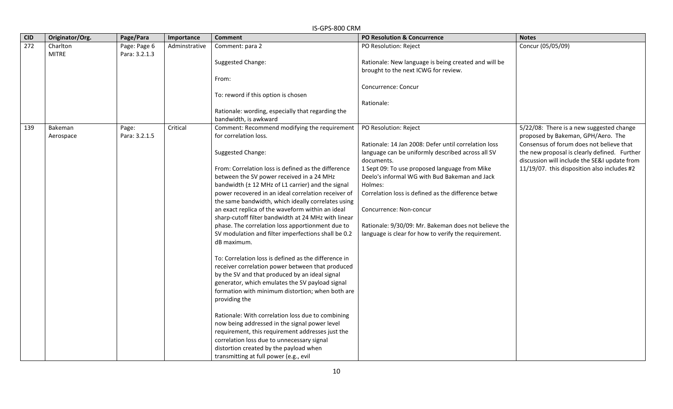|            | IS-GPS-800 CRM           |                               |               |                                                                                                        |                                                                                                           |                                                                                          |  |  |  |  |
|------------|--------------------------|-------------------------------|---------------|--------------------------------------------------------------------------------------------------------|-----------------------------------------------------------------------------------------------------------|------------------------------------------------------------------------------------------|--|--|--|--|
| <b>CID</b> | Originator/Org.          | Page/Para                     | Importance    | <b>Comment</b>                                                                                         | <b>PO Resolution &amp; Concurrence</b>                                                                    | <b>Notes</b>                                                                             |  |  |  |  |
| 272        | Charlton<br><b>MITRE</b> | Page: Page 6<br>Para: 3.2.1.3 | Adminstrative | Comment: para 2                                                                                        | PO Resolution: Reject                                                                                     | Concur (05/05/09)                                                                        |  |  |  |  |
|            |                          |                               |               | Suggested Change:                                                                                      | Rationale: New language is being created and will be<br>brought to the next ICWG for review.              |                                                                                          |  |  |  |  |
|            |                          |                               |               | From:                                                                                                  |                                                                                                           |                                                                                          |  |  |  |  |
|            |                          |                               |               |                                                                                                        | Concurrence: Concur                                                                                       |                                                                                          |  |  |  |  |
|            |                          |                               |               | To: reword if this option is chosen                                                                    |                                                                                                           |                                                                                          |  |  |  |  |
|            |                          |                               |               |                                                                                                        | Rationale:                                                                                                |                                                                                          |  |  |  |  |
|            |                          |                               |               | Rationale: wording, especially that regarding the<br>bandwidth, is awkward                             |                                                                                                           |                                                                                          |  |  |  |  |
| 139        | Bakeman                  | Page:                         | Critical      | Comment: Recommend modifying the requirement                                                           | PO Resolution: Reject                                                                                     | 5/22/08: There is a new suggested change                                                 |  |  |  |  |
|            | Aerospace                | Para: 3.2.1.5                 |               | for correlation loss.                                                                                  |                                                                                                           | proposed by Bakeman, GPH/Aero. The                                                       |  |  |  |  |
|            |                          |                               |               | Suggested Change:                                                                                      | Rationale: 14 Jan 2008: Defer until correlation loss<br>language can be uniformly described across all SV | Consensus of forum does not believe that<br>the new proposal is clearly defined. Further |  |  |  |  |
|            |                          |                               |               |                                                                                                        | documents.                                                                                                | discussion will include the SE&I update from                                             |  |  |  |  |
|            |                          |                               |               | From: Correlation loss is defined as the difference                                                    | 1 Sept 09: To use proposed language from Mike                                                             | 11/19/07. this disposition also includes #2                                              |  |  |  |  |
|            |                          |                               |               | between the SV power received in a 24 MHz                                                              | Deelo's informal WG with Bud Bakeman and Jack                                                             |                                                                                          |  |  |  |  |
|            |                          |                               |               | bandwidth (± 12 MHz of L1 carrier) and the signal                                                      | Holmes:                                                                                                   |                                                                                          |  |  |  |  |
|            |                          |                               |               | power recovered in an ideal correlation receiver of                                                    | Correlation loss is defined as the difference betwe                                                       |                                                                                          |  |  |  |  |
|            |                          |                               |               | the same bandwidth, which ideally correlates using<br>an exact replica of the waveform within an ideal | Concurrence: Non-concur                                                                                   |                                                                                          |  |  |  |  |
|            |                          |                               |               | sharp-cutoff filter bandwidth at 24 MHz with linear                                                    |                                                                                                           |                                                                                          |  |  |  |  |
|            |                          |                               |               | phase. The correlation loss apportionment due to                                                       | Rationale: 9/30/09: Mr. Bakeman does not believe the                                                      |                                                                                          |  |  |  |  |
|            |                          |                               |               | SV modulation and filter imperfections shall be 0.2                                                    | language is clear for how to verify the requirement.                                                      |                                                                                          |  |  |  |  |
|            |                          |                               |               | dB maximum.                                                                                            |                                                                                                           |                                                                                          |  |  |  |  |
|            |                          |                               |               | To: Correlation loss is defined as the difference in                                                   |                                                                                                           |                                                                                          |  |  |  |  |
|            |                          |                               |               | receiver correlation power between that produced                                                       |                                                                                                           |                                                                                          |  |  |  |  |
|            |                          |                               |               | by the SV and that produced by an ideal signal                                                         |                                                                                                           |                                                                                          |  |  |  |  |
|            |                          |                               |               | generator, which emulates the SV payload signal                                                        |                                                                                                           |                                                                                          |  |  |  |  |
|            |                          |                               |               | formation with minimum distortion; when both are<br>providing the                                      |                                                                                                           |                                                                                          |  |  |  |  |
|            |                          |                               |               | Rationale: With correlation loss due to combining                                                      |                                                                                                           |                                                                                          |  |  |  |  |
|            |                          |                               |               | now being addressed in the signal power level                                                          |                                                                                                           |                                                                                          |  |  |  |  |
|            |                          |                               |               | requirement, this requirement addresses just the<br>correlation loss due to unnecessary signal         |                                                                                                           |                                                                                          |  |  |  |  |
|            |                          |                               |               | distortion created by the payload when                                                                 |                                                                                                           |                                                                                          |  |  |  |  |
|            |                          |                               |               | transmitting at full power (e.g., evil                                                                 |                                                                                                           |                                                                                          |  |  |  |  |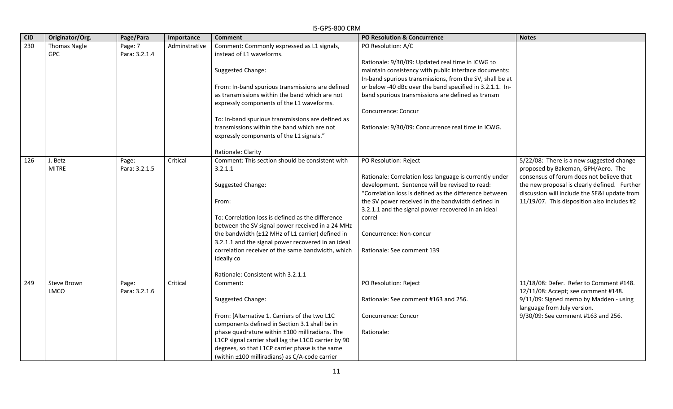|            | IS-GPS-800 CRM                    |                          |               |                                                                                                                                                                                                                                                                                                                                                                                                                      |                                                                                                                                                                                                                                                                                                                                                                                           |                                                                                                                                                                                                                                                                           |  |  |  |
|------------|-----------------------------------|--------------------------|---------------|----------------------------------------------------------------------------------------------------------------------------------------------------------------------------------------------------------------------------------------------------------------------------------------------------------------------------------------------------------------------------------------------------------------------|-------------------------------------------------------------------------------------------------------------------------------------------------------------------------------------------------------------------------------------------------------------------------------------------------------------------------------------------------------------------------------------------|---------------------------------------------------------------------------------------------------------------------------------------------------------------------------------------------------------------------------------------------------------------------------|--|--|--|
| <b>CID</b> | Originator/Org.                   | Page/Para                | Importance    | <b>Comment</b>                                                                                                                                                                                                                                                                                                                                                                                                       | <b>PO Resolution &amp; Concurrence</b>                                                                                                                                                                                                                                                                                                                                                    | <b>Notes</b>                                                                                                                                                                                                                                                              |  |  |  |
| 230        | <b>Thomas Nagle</b><br><b>GPC</b> | Page: 7<br>Para: 3.2.1.4 | Adminstrative | Comment: Commonly expressed as L1 signals,<br>instead of L1 waveforms.<br>Suggested Change:<br>From: In-band spurious transmissions are defined<br>as transmissions within the band which are not<br>expressly components of the L1 waveforms.<br>To: In-band spurious transmissions are defined as<br>transmissions within the band which are not<br>expressly components of the L1 signals."<br>Rationale: Clarity | PO Resolution: A/C<br>Rationale: 9/30/09: Updated real time in ICWG to<br>maintain consistency with public interface documents:<br>In-band spurious transmissions, from the SV, shall be at<br>or below -40 dBc over the band specified in 3.2.1.1. In-<br>band spurious transmissions are defined as transm<br>Concurrence: Concur<br>Rationale: 9/30/09: Concurrence real time in ICWG. |                                                                                                                                                                                                                                                                           |  |  |  |
| 126        | J. Betz<br><b>MITRE</b>           | Page:<br>Para: 3.2.1.5   | Critical      | Comment: This section should be consistent with<br>3.2.1.1<br>Suggested Change:<br>From:<br>To: Correlation loss is defined as the difference<br>between the SV signal power received in a 24 MHz<br>the bandwidth (±12 MHz of L1 carrier) defined in<br>3.2.1.1 and the signal power recovered in an ideal<br>correlation receiver of the same bandwidth, which<br>ideally co<br>Rationale: Consistent with 3.2.1.1 | PO Resolution: Reject<br>Rationale: Correlation loss language is currently under<br>development. Sentence will be revised to read:<br>"Correlation loss is defined as the difference between<br>the SV power received in the bandwidth defined in<br>3.2.1.1 and the signal power recovered in an ideal<br>correl<br>Concurrence: Non-concur<br>Rationale: See comment 139                | 5/22/08: There is a new suggested change<br>proposed by Bakeman, GPH/Aero. The<br>consensus of forum does not believe that<br>the new proposal is clearly defined. Further<br>discussion will include the SE&I update from<br>11/19/07. This disposition also includes #2 |  |  |  |
| 249        | Steve Brown<br><b>LMCO</b>        | Page:<br>Para: 3.2.1.6   | Critical      | Comment:<br>Suggested Change:<br>From: [Alternative 1. Carriers of the two L1C<br>components defined in Section 3.1 shall be in<br>phase quadrature within ±100 milliradians. The<br>L1CP signal carrier shall lag the L1CD carrier by 90<br>degrees, so that L1CP carrier phase is the same<br>(within ±100 milliradians) as C/A-code carrier                                                                       | PO Resolution: Reject<br>Rationale: See comment #163 and 256.<br>Concurrence: Concur<br>Rationale:                                                                                                                                                                                                                                                                                        | 11/18/08: Defer. Refer to Comment #148.<br>12/11/08: Accept; see comment #148.<br>9/11/09: Signed memo by Madden - using<br>language from July version.<br>9/30/09: See comment #163 and 256.                                                                             |  |  |  |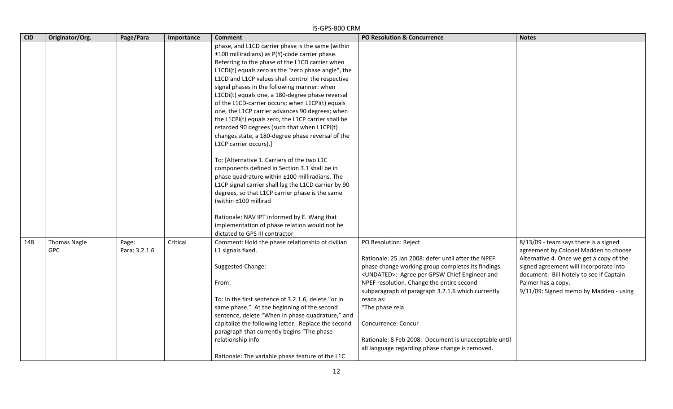### IS-GPS-800 CRM **CID Originator/Org. Page/Para Importance Comment PO Resolution & Concurrence Notes** phase, and L1CD carrier phase is the same (within ±100 milliradians) as P(Y)-code carrier phase. Referring to the phase of the L1CD carrier when L1CDi(t) equals zero as the "zero phase angle", the L1CD and L1CP values shall control the respective signal phases in the following manner: when L1CDi(t) equals one, a 180-degree phase reversal of the L1CD-carrier occurs; when L1CPi(t) equals one, the L1CP carrier advances 90 degrees; when the L1CPi(t) equals zero, the L1CP carrier shall be retarded 90 degrees (such that when L1CPi(t) changes state, a 180-degree phase reversal of the L1CP carrier occurs).] To: [Alternative 1. Carriers of the two L1C components defined in Section 3.1 shall be in phase quadrature within ±100 milliradians. The L1CP signal carrier shall lag the L1CD carrier by 90 degrees, so that L1CP carrier phase is the same (within ±100 millirad Rationale: NAV IPT informed by E. Wang that implementation of phase relation would not be dictated to GPS III contractor 148 | Thomas Nagle GPC Page: Para: 3.2.1.6 Critical Comment: Hold the phase relationship of civilian L1 signals fixed. Suggested Change: From: To: In the first sentence of 3.2.1.6, delete "or in same phase." At the beginning of the second sentence, delete "When in phase quadrature," and capitalize the following letter. Replace the second paragraph that currently begins "The phase relationship info Rationale: The variable phase feature of the L1C PO Resolution: Reject Rationale: 25 Jan 2008: defer until after the NPEF phase change working group completes its findings. <UNDATED>: Agree per GPSW Chief Engineer and NPEF resolution. Change the entire second subparagraph of paragraph 3.2.1.6 which currently reads as: "The phase rela Concurrence: Concur Rationale: 8 Feb 2008: Document is unacceptable until all language regarding phase change is removed. 8/13/09 - team says there is a signed agreement by Colonel Madden to choose Alternative 4. Once we get a copy of the signed agreement will incorporate into document. Bill Notely to see if Captain Palmer has a copy. 9/11/09: Signed memo by Madden - using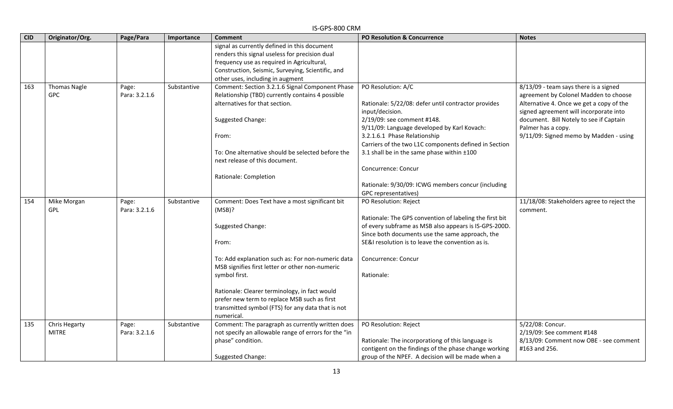#### IS-GPS-800 CRM **CID Originator/Org. Page/Para Importance Comment PO Resolution & Concurrence Notes** signal as currently defined in this document renders this signal useless for precision dual frequency use as required in Agricultural, Construction, Seismic, Surveying, Scientific, and other uses, including in augment 163 Thomas Nagle GPC Page: Para: 3.2.1.6 Substantive | Comment: Section 3.2.1.6 Signal Component Phase Relationship (TBD) currently contains 4 possible alternatives for that section. Suggested Change: From: To: One alternative should be selected before the next release of this document. Rationale: Completion PO Resolution: A/C Rationale: 5/22/08: defer until contractor provides input/decision. 2/19/09: see comment #148. 9/11/09: Language developed by Karl Kovach: 3.2.1.6.1 Phase Relationship Carriers of the two L1C components defined in Section 3.1 shall be in the same phase within ±100 Concurrence: Concur Rationale: 9/30/09: ICWG members concur (including GPC representatives) 8/13/09 - team says there is a signed agreement by Colonel Madden to choose Alternative 4. Once we get a copy of the signed agreement will incorporate into document. Bill Notely to see if Captain Palmer has a copy. 9/11/09: Signed memo by Madden - using 154 | Mike Morgan GPL Page: Para: 3.2.1.6 Substantive | Comment: Does Text have a most significant bit (MSB)? Suggested Change: From: To: Add explanation such as: For non-numeric data MSB signifies first letter or other non-numeric symbol first. Rationale: Clearer terminology, in fact would prefer new term to replace MSB such as first transmitted symbol (FTS) for any data that is not numerical. PO Resolution: Reject Rationale: The GPS convention of labeling the first bit of every subframe as MSB also appears is IS-GPS-200D. Since both documents use the same approach, the SE&I resolution is to leave the convention as is. Concurrence: Concur Rationale: 11/18/08: Stakeholders agree to reject the comment. 135 | Chris Hegarty MITRE Page: Para: 3.2.1.6 Substantive | Comment: The paragraph as currently written does not specify an allowable range of errors for the "in phase" condition. Suggested Change: PO Resolution: Reject Rationale: The incorporationg of this language is contigent on the findings of the phase change working group of the NPEF. A decision will be made when a 5/22/08: Concur. 2/19/09: See comment #148 8/13/09: Comment now OBE - see comment #163 and 256.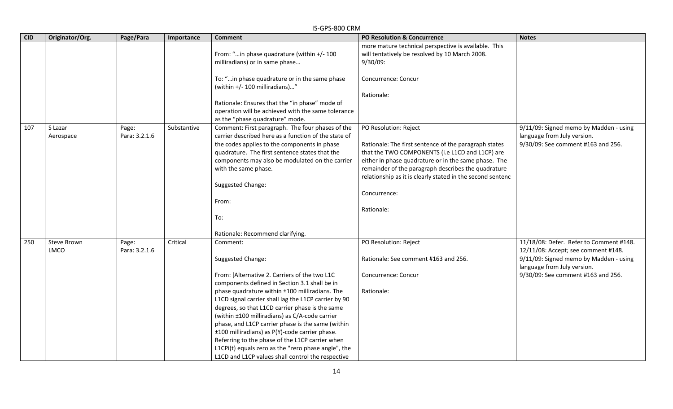|            |                    |               |             | יוויט טטט־כ זט־כו                                    |                                                            |                                         |
|------------|--------------------|---------------|-------------|------------------------------------------------------|------------------------------------------------------------|-----------------------------------------|
| <b>CID</b> | Originator/Org.    | Page/Para     | Importance  | <b>Comment</b>                                       | <b>PO Resolution &amp; Concurrence</b>                     | <b>Notes</b>                            |
|            |                    |               |             |                                                      | more mature technical perspective is available. This       |                                         |
|            |                    |               |             | From: "in phase quadrature (within +/- 100           | will tentatively be resolved by 10 March 2008.             |                                         |
|            |                    |               |             | milliradians) or in same phase                       | $9/30/09$ :                                                |                                         |
|            |                    |               |             |                                                      |                                                            |                                         |
|            |                    |               |             | To: "in phase quadrature or in the same phase        | Concurrence: Concur                                        |                                         |
|            |                    |               |             | (within +/- 100 milliradians)"                       |                                                            |                                         |
|            |                    |               |             |                                                      | Rationale:                                                 |                                         |
|            |                    |               |             | Rationale: Ensures that the "in phase" mode of       |                                                            |                                         |
|            |                    |               |             | operation will be achieved with the same tolerance   |                                                            |                                         |
|            |                    |               |             | as the "phase quadrature" mode.                      |                                                            |                                         |
| 107        | S Lazar            | Page:         | Substantive | Comment: First paragraph. The four phases of the     | PO Resolution: Reject                                      | 9/11/09: Signed memo by Madden - using  |
|            | Aerospace          | Para: 3.2.1.6 |             | carrier described here as a function of the state of |                                                            | language from July version.             |
|            |                    |               |             | the codes applies to the components in phase         | Rationale: The first sentence of the paragraph states      | 9/30/09: See comment #163 and 256.      |
|            |                    |               |             | quadrature. The first sentence states that the       | that the TWO COMPONENTS (i.e L1CD and L1CP) are            |                                         |
|            |                    |               |             | components may also be modulated on the carrier      | either in phase quadrature or in the same phase. The       |                                         |
|            |                    |               |             | with the same phase.                                 | remainder of the paragraph describes the quadrature        |                                         |
|            |                    |               |             |                                                      | relationship as it is clearly stated in the second sentenc |                                         |
|            |                    |               |             | Suggested Change:                                    |                                                            |                                         |
|            |                    |               |             |                                                      | Concurrence:                                               |                                         |
|            |                    |               |             | From:                                                |                                                            |                                         |
|            |                    |               |             |                                                      | Rationale:                                                 |                                         |
|            |                    |               |             | To:                                                  |                                                            |                                         |
|            |                    |               |             |                                                      |                                                            |                                         |
|            |                    |               |             | Rationale: Recommend clarifying.                     |                                                            |                                         |
| 250        | <b>Steve Brown</b> | Page:         | Critical    | Comment:                                             | PO Resolution: Reject                                      | 11/18/08: Defer. Refer to Comment #148. |
|            | <b>LMCO</b>        | Para: 3.2.1.6 |             |                                                      |                                                            | 12/11/08: Accept; see comment #148.     |
|            |                    |               |             | Suggested Change:                                    | Rationale: See comment #163 and 256.                       | 9/11/09: Signed memo by Madden - using  |
|            |                    |               |             |                                                      |                                                            | language from July version.             |
|            |                    |               |             | From: [Alternative 2. Carriers of the two L1C        | Concurrence: Concur                                        | 9/30/09: See comment #163 and 256.      |
|            |                    |               |             | components defined in Section 3.1 shall be in        |                                                            |                                         |
|            |                    |               |             | phase quadrature within ±100 milliradians. The       | Rationale:                                                 |                                         |
|            |                    |               |             | L1CD signal carrier shall lag the L1CP carrier by 90 |                                                            |                                         |
|            |                    |               |             | degrees, so that L1CD carrier phase is the same      |                                                            |                                         |
|            |                    |               |             | (within ±100 milliradians) as C/A-code carrier       |                                                            |                                         |
|            |                    |               |             | phase, and L1CP carrier phase is the same (within    |                                                            |                                         |
|            |                    |               |             | ±100 milliradians) as P(Y)-code carrier phase.       |                                                            |                                         |
|            |                    |               |             | Referring to the phase of the L1CP carrier when      |                                                            |                                         |
|            |                    |               |             | L1CPi(t) equals zero as the "zero phase angle", the  |                                                            |                                         |
|            |                    |               |             | L1CD and L1CP values shall control the respective    |                                                            |                                         |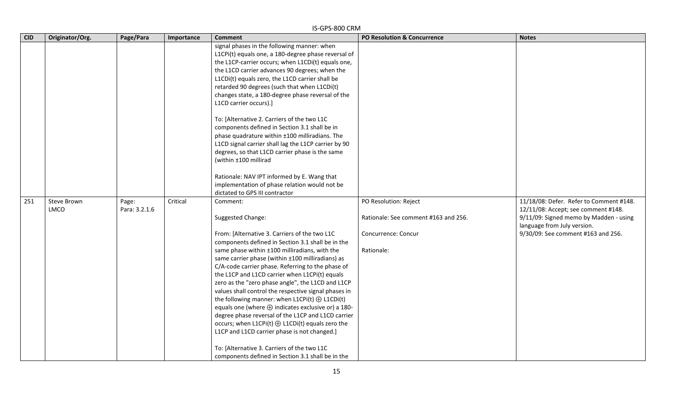|            |                 |               |            | IS-GPS-800 CRM                                            |                                      |                                         |
|------------|-----------------|---------------|------------|-----------------------------------------------------------|--------------------------------------|-----------------------------------------|
| <b>CID</b> | Originator/Org. | Page/Para     | Importance | <b>Comment</b>                                            | PO Resolution & Concurrence          | <b>Notes</b>                            |
|            |                 |               |            | signal phases in the following manner: when               |                                      |                                         |
|            |                 |               |            | L1CPi(t) equals one, a 180-degree phase reversal of       |                                      |                                         |
|            |                 |               |            | the L1CP-carrier occurs; when L1CDi(t) equals one,        |                                      |                                         |
|            |                 |               |            | the L1CD carrier advances 90 degrees; when the            |                                      |                                         |
|            |                 |               |            | L1CDi(t) equals zero, the L1CD carrier shall be           |                                      |                                         |
|            |                 |               |            | retarded 90 degrees (such that when L1CDi(t)              |                                      |                                         |
|            |                 |               |            | changes state, a 180-degree phase reversal of the         |                                      |                                         |
|            |                 |               |            | L1CD carrier occurs).]                                    |                                      |                                         |
|            |                 |               |            | To: [Alternative 2. Carriers of the two L1C               |                                      |                                         |
|            |                 |               |            | components defined in Section 3.1 shall be in             |                                      |                                         |
|            |                 |               |            | phase quadrature within ±100 milliradians. The            |                                      |                                         |
|            |                 |               |            | L1CD signal carrier shall lag the L1CP carrier by 90      |                                      |                                         |
|            |                 |               |            | degrees, so that L1CD carrier phase is the same           |                                      |                                         |
|            |                 |               |            | (within ±100 millirad                                     |                                      |                                         |
|            |                 |               |            | Rationale: NAV IPT informed by E. Wang that               |                                      |                                         |
|            |                 |               |            | implementation of phase relation would not be             |                                      |                                         |
|            |                 |               |            | dictated to GPS III contractor                            |                                      |                                         |
| 251        | Steve Brown     | Page:         | Critical   | Comment:                                                  | PO Resolution: Reject                | 11/18/08: Defer. Refer to Comment #148. |
|            | <b>LMCO</b>     | Para: 3.2.1.6 |            |                                                           |                                      | 12/11/08: Accept; see comment #148.     |
|            |                 |               |            | Suggested Change:                                         | Rationale: See comment #163 and 256. | 9/11/09: Signed memo by Madden - using  |
|            |                 |               |            |                                                           |                                      | language from July version.             |
|            |                 |               |            | From: [Alternative 3. Carriers of the two L1C             | Concurrence: Concur                  | 9/30/09: See comment #163 and 256.      |
|            |                 |               |            | components defined in Section 3.1 shall be in the         |                                      |                                         |
|            |                 |               |            | same phase within ±100 milliradians, with the             | Rationale:                           |                                         |
|            |                 |               |            | same carrier phase (within ±100 milliradians) as          |                                      |                                         |
|            |                 |               |            | C/A-code carrier phase. Referring to the phase of         |                                      |                                         |
|            |                 |               |            | the L1CP and L1CD carrier when L1CPi(t) equals            |                                      |                                         |
|            |                 |               |            | zero as the "zero phase angle", the L1CD and L1CP         |                                      |                                         |
|            |                 |               |            | values shall control the respective signal phases in      |                                      |                                         |
|            |                 |               |            | the following manner: when $L1CPi(t) \oplus L1CDi(t)$     |                                      |                                         |
|            |                 |               |            | equals one (where $\oplus$ indicates exclusive or) a 180- |                                      |                                         |
|            |                 |               |            | degree phase reversal of the L1CP and L1CD carrier        |                                      |                                         |
|            |                 |               |            | occurs; when L1CPi(t) $\oplus$ L1CDi(t) equals zero the   |                                      |                                         |
|            |                 |               |            | L1CP and L1CD carrier phase is not changed.]              |                                      |                                         |
|            |                 |               |            | To: [Alternative 3. Carriers of the two L1C               |                                      |                                         |
|            |                 |               |            | components defined in Section 3.1 shall be in the         |                                      |                                         |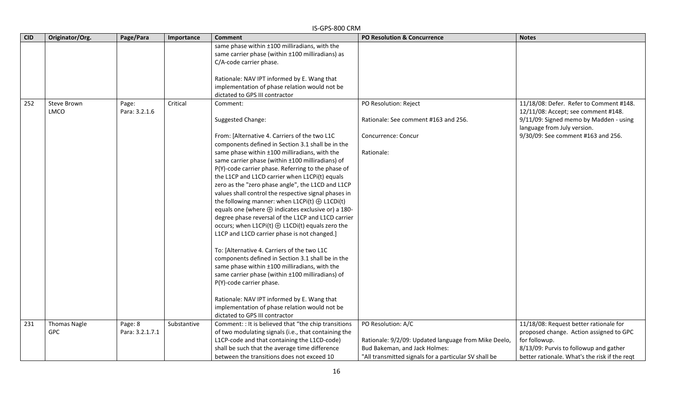| <b>CID</b><br>Originator/Org.<br>Page/Para<br><b>PO Resolution &amp; Concurrence</b><br><b>Comment</b><br><b>Notes</b><br>Importance<br>same phase within ±100 milliradians, with the<br>same carrier phase (within ±100 milliradians) as<br>C/A-code carrier phase.<br>Rationale: NAV IPT informed by E. Wang that<br>implementation of phase relation would not be |  |
|----------------------------------------------------------------------------------------------------------------------------------------------------------------------------------------------------------------------------------------------------------------------------------------------------------------------------------------------------------------------|--|
|                                                                                                                                                                                                                                                                                                                                                                      |  |
|                                                                                                                                                                                                                                                                                                                                                                      |  |
|                                                                                                                                                                                                                                                                                                                                                                      |  |
| dictated to GPS III contractor                                                                                                                                                                                                                                                                                                                                       |  |
| 252<br>Critical<br><b>Steve Brown</b><br>Page:<br>Comment:<br>PO Resolution: Reject<br>11/18/08: Defer. Refer to Comment #148.<br><b>LMCO</b><br>Para: 3.2.1.6<br>12/11/08: Accept; see comment #148.                                                                                                                                                                |  |
| 9/11/09: Signed memo by Madden - using<br>Suggested Change:<br>Rationale: See comment #163 and 256.<br>language from July version.                                                                                                                                                                                                                                   |  |
| 9/30/09: See comment #163 and 256.<br>From: [Alternative 4. Carriers of the two L1C<br>Concurrence: Concur<br>components defined in Section 3.1 shall be in the                                                                                                                                                                                                      |  |
| same phase within ±100 milliradians, with the<br>Rationale:<br>same carrier phase (within ±100 milliradians) of                                                                                                                                                                                                                                                      |  |
| P(Y)-code carrier phase. Referring to the phase of<br>the L1CP and L1CD carrier when L1CPi(t) equals                                                                                                                                                                                                                                                                 |  |
| zero as the "zero phase angle", the L1CD and L1CP<br>values shall control the respective signal phases in                                                                                                                                                                                                                                                            |  |
| the following manner: when $L1CPi(t) \oplus L1CDi(t)$<br>equals one (where $\oplus$ indicates exclusive or) a 180-                                                                                                                                                                                                                                                   |  |
| degree phase reversal of the L1CP and L1CD carrier<br>occurs; when L1CPi(t) $\oplus$ L1CDi(t) equals zero the                                                                                                                                                                                                                                                        |  |
| L1CP and L1CD carrier phase is not changed.]                                                                                                                                                                                                                                                                                                                         |  |
| To: [Alternative 4. Carriers of the two L1C<br>components defined in Section 3.1 shall be in the                                                                                                                                                                                                                                                                     |  |
| same phase within ±100 milliradians, with the                                                                                                                                                                                                                                                                                                                        |  |
| same carrier phase (within ±100 milliradians) of                                                                                                                                                                                                                                                                                                                     |  |
| P(Y)-code carrier phase.                                                                                                                                                                                                                                                                                                                                             |  |
| Rationale: NAV IPT informed by E. Wang that<br>implementation of phase relation would not be<br>dictated to GPS III contractor                                                                                                                                                                                                                                       |  |
| 231<br><b>Thomas Nagle</b><br>Page: 8<br>Comment: : It is believed that "the chip transitions<br>PO Resolution: A/C<br>11/18/08: Request better rationale for<br>Substantive                                                                                                                                                                                         |  |
| Para: 3.2.1.7.1<br>proposed change. Action assigned to GPC<br><b>GPC</b><br>of two modulating signals (i.e., that containing the                                                                                                                                                                                                                                     |  |
| L1CP-code and that containing the L1CD-code)<br>for followup.<br>Rationale: 9/2/09: Updated language from Mike Deelo,                                                                                                                                                                                                                                                |  |
| shall be such that the average time difference<br>Bud Bakeman, and Jack Holmes:<br>8/13/09: Purvis to followup and gather<br>between the transitions does not exceed 10<br>"All transmitted signals for a particular SV shall be<br>better rationale. What's the risk if the regt                                                                                    |  |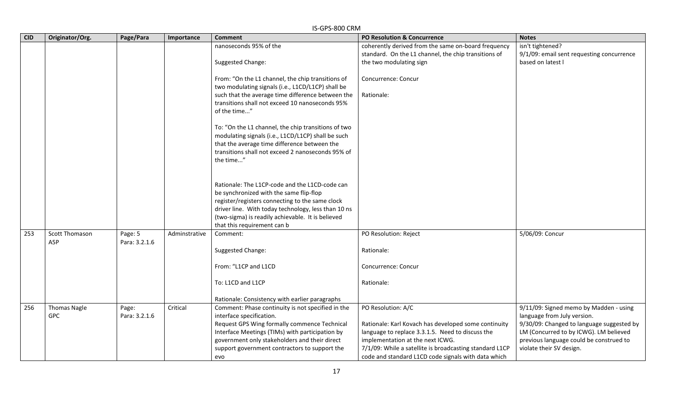|            |                                   |                          |               | IS-GPS-800 CRM                                                                                                                                              |                                                                                                                                                    |                                                                                     |
|------------|-----------------------------------|--------------------------|---------------|-------------------------------------------------------------------------------------------------------------------------------------------------------------|----------------------------------------------------------------------------------------------------------------------------------------------------|-------------------------------------------------------------------------------------|
| <b>CID</b> | Originator/Org.                   | Page/Para                | Importance    | <b>Comment</b>                                                                                                                                              | <b>PO Resolution &amp; Concurrence</b>                                                                                                             | <b>Notes</b>                                                                        |
|            |                                   |                          |               | nanoseconds 95% of the                                                                                                                                      | coherently derived from the same on-board frequency<br>standard. On the L1 channel, the chip transitions of                                        | isn't tightened?<br>9/1/09: email sent requesting concurrence                       |
|            |                                   |                          |               | Suggested Change:                                                                                                                                           | the two modulating sign                                                                                                                            | based on latest I                                                                   |
|            |                                   |                          |               | From: "On the L1 channel, the chip transitions of<br>two modulating signals (i.e., L1CD/L1CP) shall be                                                      | Concurrence: Concur                                                                                                                                |                                                                                     |
|            |                                   |                          |               | such that the average time difference between the<br>transitions shall not exceed 10 nanoseconds 95%<br>of the time"                                        | Rationale:                                                                                                                                         |                                                                                     |
|            |                                   |                          |               | To: "On the L1 channel, the chip transitions of two<br>modulating signals (i.e., L1CD/L1CP) shall be such<br>that the average time difference between the   |                                                                                                                                                    |                                                                                     |
|            |                                   |                          |               | transitions shall not exceed 2 nanoseconds 95% of<br>the time"                                                                                              |                                                                                                                                                    |                                                                                     |
|            |                                   |                          |               | Rationale: The L1CP-code and the L1CD-code can<br>be synchronized with the same flip-flop                                                                   |                                                                                                                                                    |                                                                                     |
|            |                                   |                          |               | register/registers connecting to the same clock<br>driver line. With today technology, less than 10 ns<br>(two-sigma) is readily achievable. It is believed |                                                                                                                                                    |                                                                                     |
|            |                                   |                          |               | that this requirement can b                                                                                                                                 |                                                                                                                                                    |                                                                                     |
| 253        | <b>Scott Thomason</b><br>A5P      | Page: 5<br>Para: 3.2.1.6 | Adminstrative | Comment:                                                                                                                                                    | PO Resolution: Reject                                                                                                                              | 5/06/09: Concur                                                                     |
|            |                                   |                          |               | Suggested Change:                                                                                                                                           | Rationale:                                                                                                                                         |                                                                                     |
|            |                                   |                          |               | From: "L1CP and L1CD                                                                                                                                        | Concurrence: Concur                                                                                                                                |                                                                                     |
|            |                                   |                          |               | To: L1CD and L1CP                                                                                                                                           | Rationale:                                                                                                                                         |                                                                                     |
|            |                                   |                          |               | Rationale: Consistency with earlier paragraphs                                                                                                              |                                                                                                                                                    |                                                                                     |
| 256        | <b>Thomas Nagle</b><br><b>GPC</b> | Page:<br>Para: 3.2.1.6   | Critical      | Comment: Phase continuity is not specified in the<br>interface specification.                                                                               | PO Resolution: A/C                                                                                                                                 | 9/11/09: Signed memo by Madden - using<br>language from July version.               |
|            |                                   |                          |               | Request GPS Wing formally commence Technical<br>Interface Meetings (TIMs) with participation by                                                             | Rationale: Karl Kovach has developed some continuity<br>language to replace 3.3.1.5. Need to discuss the                                           | 9/30/09: Changed to language suggested by<br>LM (Concurred to by ICWG). LM believed |
|            |                                   |                          |               | government only stakeholders and their direct<br>support government contractors to support the<br>evo                                                       | implementation at the next ICWG.<br>7/1/09: While a satellite is broadcasting standard L1CP<br>code and standard L1CD code signals with data which | previous language could be construed to<br>violate their SV design.                 |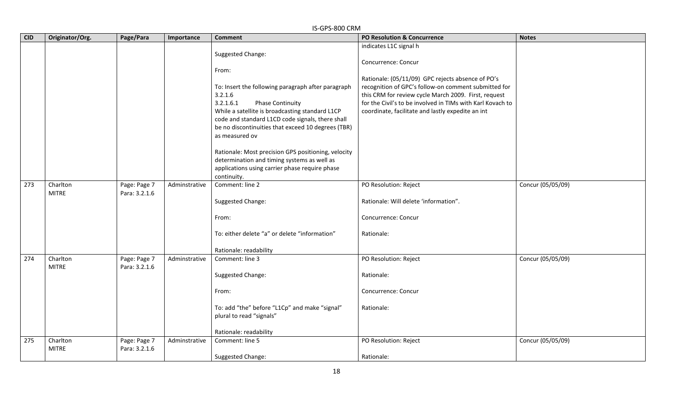|            |                          |                               |               | IS-GPS-800 CRM                                                                                                                                                                                                                                                                                                                                                                                                                                                                            |                                                                                                                                                                                                                                                                                                                                       |                   |
|------------|--------------------------|-------------------------------|---------------|-------------------------------------------------------------------------------------------------------------------------------------------------------------------------------------------------------------------------------------------------------------------------------------------------------------------------------------------------------------------------------------------------------------------------------------------------------------------------------------------|---------------------------------------------------------------------------------------------------------------------------------------------------------------------------------------------------------------------------------------------------------------------------------------------------------------------------------------|-------------------|
| <b>CID</b> | Originator/Org.          | Page/Para                     | Importance    | <b>Comment</b>                                                                                                                                                                                                                                                                                                                                                                                                                                                                            | PO Resolution & Concurrence                                                                                                                                                                                                                                                                                                           | <b>Notes</b>      |
|            |                          |                               |               | Suggested Change:<br>From:<br>To: Insert the following paragraph after paragraph<br>3.2.1.6<br>3.2.1.6.1<br><b>Phase Continuity</b><br>While a satellite is broadcasting standard L1CP<br>code and standard L1CD code signals, there shall<br>be no discontinuities that exceed 10 degrees (TBR)<br>as measured ov<br>Rationale: Most precision GPS positioning, velocity<br>determination and timing systems as well as<br>applications using carrier phase require phase<br>continuity. | indicates L1C signal h<br>Concurrence: Concur<br>Rationale: (05/11/09) GPC rejects absence of PO's<br>recognition of GPC's follow-on comment submitted for<br>this CRM for review cycle March 2009. First, request<br>for the Civil's to be involved in TIMs with Karl Kovach to<br>coordinate, facilitate and lastly expedite an int |                   |
| 273        | Charlton<br><b>MITRE</b> | Page: Page 7<br>Para: 3.2.1.6 | Adminstrative | Comment: line 2<br>Suggested Change:<br>From:<br>To: either delete "a" or delete "information"<br>Rationale: readability                                                                                                                                                                                                                                                                                                                                                                  | PO Resolution: Reject<br>Rationale: Will delete 'information".<br>Concurrence: Concur<br>Rationale:                                                                                                                                                                                                                                   | Concur (05/05/09) |
| 274        | Charlton<br><b>MITRE</b> | Page: Page 7<br>Para: 3.2.1.6 | Adminstrative | Comment: line 3<br>Suggested Change:<br>From:<br>To: add "the" before "L1Cp" and make "signal"<br>plural to read "signals"<br>Rationale: readability                                                                                                                                                                                                                                                                                                                                      | PO Resolution: Reject<br>Rationale:<br>Concurrence: Concur<br>Rationale:                                                                                                                                                                                                                                                              | Concur (05/05/09) |
| 275        | Charlton<br><b>MITRE</b> | Page: Page 7<br>Para: 3.2.1.6 | Adminstrative | Comment: line 5<br>Suggested Change:                                                                                                                                                                                                                                                                                                                                                                                                                                                      | PO Resolution: Reject<br>Rationale:                                                                                                                                                                                                                                                                                                   | Concur (05/05/09) |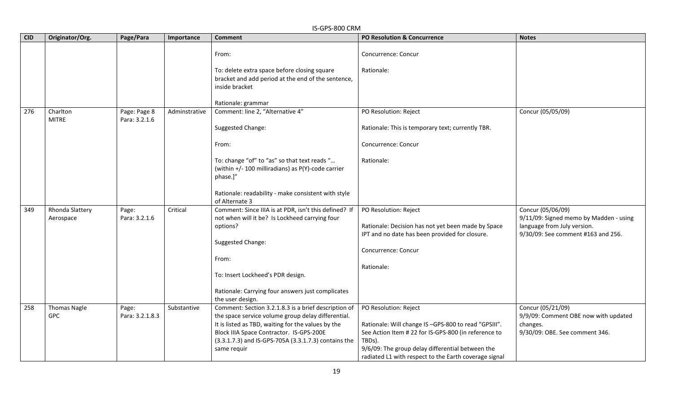|            |                                   |                               |               | IS-GPS-800 CRM                                                                                                                                         |                                                                                                                        |                                                                   |
|------------|-----------------------------------|-------------------------------|---------------|--------------------------------------------------------------------------------------------------------------------------------------------------------|------------------------------------------------------------------------------------------------------------------------|-------------------------------------------------------------------|
| <b>CID</b> | Originator/Org.                   | Page/Para                     | Importance    | <b>Comment</b>                                                                                                                                         | <b>PO Resolution &amp; Concurrence</b>                                                                                 | <b>Notes</b>                                                      |
|            |                                   |                               |               | From:<br>To: delete extra space before closing square                                                                                                  | Concurrence: Concur<br>Rationale:                                                                                      |                                                                   |
|            |                                   |                               |               | bracket and add period at the end of the sentence,<br>inside bracket                                                                                   |                                                                                                                        |                                                                   |
|            |                                   |                               |               | Rationale: grammar                                                                                                                                     |                                                                                                                        |                                                                   |
| 276        | Charlton<br><b>MITRE</b>          | Page: Page 8<br>Para: 3.2.1.6 | Adminstrative | Comment: line 2, "Alternative 4"                                                                                                                       | PO Resolution: Reject                                                                                                  | Concur (05/05/09)                                                 |
|            |                                   |                               |               | Suggested Change:                                                                                                                                      | Rationale: This is temporary text; currently TBR.                                                                      |                                                                   |
|            |                                   |                               |               | From:                                                                                                                                                  | Concurrence: Concur                                                                                                    |                                                                   |
|            |                                   |                               |               | To: change "of" to "as" so that text reads "<br>(within +/- 100 milliradians) as P(Y)-code carrier<br>phase.]"                                         | Rationale:                                                                                                             |                                                                   |
|            |                                   |                               |               | Rationale: readability - make consistent with style<br>of Alternate 3                                                                                  |                                                                                                                        |                                                                   |
| 349        | Rhonda Slattery<br>Aerospace      | Page:<br>Para: 3.2.1.6        | Critical      | Comment: Since IIIA is at PDR, isn't this defined? If<br>not when will it be? Is Lockheed carrying four                                                | PO Resolution: Reject                                                                                                  | Concur (05/06/09)<br>9/11/09: Signed memo by Madden - using       |
|            |                                   |                               |               | options?                                                                                                                                               | Rationale: Decision has not yet been made by Space<br>IPT and no date has been provided for closure.                   | language from July version.<br>9/30/09: See comment #163 and 256. |
|            |                                   |                               |               | Suggested Change:                                                                                                                                      | Concurrence: Concur                                                                                                    |                                                                   |
|            |                                   |                               |               | From:                                                                                                                                                  | Rationale:                                                                                                             |                                                                   |
|            |                                   |                               |               | To: Insert Lockheed's PDR design.                                                                                                                      |                                                                                                                        |                                                                   |
|            |                                   |                               |               | Rationale: Carrying four answers just complicates<br>the user design.                                                                                  |                                                                                                                        |                                                                   |
| 258        | <b>Thomas Nagle</b><br><b>GPC</b> | Page:<br>Para: 3.2.1.8.3      | Substantive   | Comment: Section 3.2.1.8.3 is a brief description of<br>the space service volume group delay differential.                                             | PO Resolution: Reject                                                                                                  | Concur (05/21/09)<br>9/9/09: Comment OBE now with updated         |
|            |                                   |                               |               | It is listed as TBD, waiting for the values by the<br>Block IIIA Space Contractor. IS-GPS-200E<br>(3.3.1.7.3) and IS-GPS-705A (3.3.1.7.3) contains the | Rationale: Will change IS -GPS-800 to read "GPSIII".<br>See Action Item # 22 for IS-GPS-800 (in reference to<br>TBDs). | changes.<br>9/30/09: OBE. See comment 346.                        |
|            |                                   |                               |               | same requir                                                                                                                                            | 9/6/09: The group delay differential between the<br>radiated L1 with respect to the Earth coverage signal              |                                                                   |

19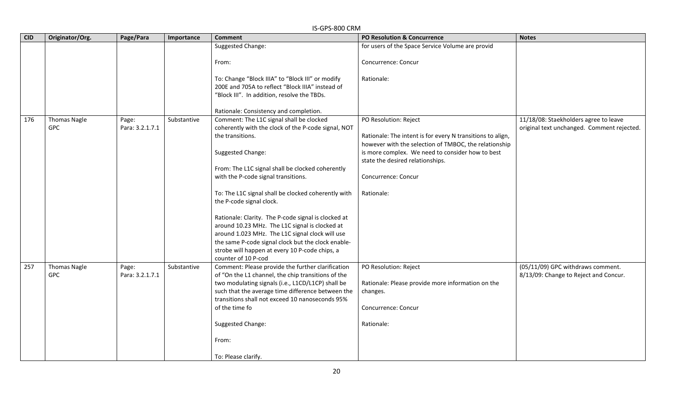|            | IS-GPS-800 CRM                    |                          |             |                                                                                                                                                     |                                                                                                                     |                                                                                     |  |  |
|------------|-----------------------------------|--------------------------|-------------|-----------------------------------------------------------------------------------------------------------------------------------------------------|---------------------------------------------------------------------------------------------------------------------|-------------------------------------------------------------------------------------|--|--|
| <b>CID</b> | Originator/Org.                   | Page/Para                | Importance  | <b>Comment</b>                                                                                                                                      | PO Resolution & Concurrence                                                                                         | <b>Notes</b>                                                                        |  |  |
|            |                                   |                          |             | Suggested Change:                                                                                                                                   | for users of the Space Service Volume are provid                                                                    |                                                                                     |  |  |
|            |                                   |                          |             | From:                                                                                                                                               | Concurrence: Concur                                                                                                 |                                                                                     |  |  |
|            |                                   |                          |             | To: Change "Block IIIA" to "Block III" or modify<br>200E and 705A to reflect "Block IIIA" instead of<br>"Block III". In addition, resolve the TBDs. | Rationale:                                                                                                          |                                                                                     |  |  |
|            |                                   |                          |             | Rationale: Consistency and completion.                                                                                                              |                                                                                                                     |                                                                                     |  |  |
| 176        | <b>Thomas Nagle</b><br><b>GPC</b> | Page:<br>Para: 3.2.1.7.1 | Substantive | Comment: The L1C signal shall be clocked<br>coherently with the clock of the P-code signal, NOT                                                     | PO Resolution: Reject                                                                                               | 11/18/08: Staekholders agree to leave<br>original text unchanged. Comment rejected. |  |  |
|            |                                   |                          |             | the transitions.                                                                                                                                    | Rationale: The intent is for every N transitions to align,<br>however with the selection of TMBOC, the relationship |                                                                                     |  |  |
|            |                                   |                          |             | Suggested Change:                                                                                                                                   | is more complex. We need to consider how to best<br>state the desired relationships.                                |                                                                                     |  |  |
|            |                                   |                          |             | From: The L1C signal shall be clocked coherently<br>with the P-code signal transitions.                                                             | Concurrence: Concur                                                                                                 |                                                                                     |  |  |
|            |                                   |                          |             | To: The L1C signal shall be clocked coherently with<br>the P-code signal clock.                                                                     | Rationale:                                                                                                          |                                                                                     |  |  |
|            |                                   |                          |             | Rationale: Clarity. The P-code signal is clocked at<br>around 10.23 MHz. The L1C signal is clocked at                                               |                                                                                                                     |                                                                                     |  |  |
|            |                                   |                          |             | around 1.023 MHz. The L1C signal clock will use<br>the same P-code signal clock but the clock enable-                                               |                                                                                                                     |                                                                                     |  |  |
|            |                                   |                          |             | strobe will happen at every 10 P-code chips, a<br>counter of 10 P-cod                                                                               |                                                                                                                     |                                                                                     |  |  |
| 257        | <b>Thomas Nagle</b><br><b>GPC</b> | Page:<br>Para: 3.2.1.7.1 | Substantive | Comment: Please provide the further clarification<br>of "On the L1 channel, the chip transitions of the                                             | PO Resolution: Reject                                                                                               | (05/11/09) GPC withdraws comment.<br>8/13/09: Change to Reject and Concur.          |  |  |
|            |                                   |                          |             | two modulating signals (i.e., L1CD/L1CP) shall be<br>such that the average time difference between the                                              | Rationale: Please provide more information on the<br>changes.                                                       |                                                                                     |  |  |
|            |                                   |                          |             | transitions shall not exceed 10 nanoseconds 95%                                                                                                     |                                                                                                                     |                                                                                     |  |  |
|            |                                   |                          |             | of the time fo                                                                                                                                      | Concurrence: Concur                                                                                                 |                                                                                     |  |  |
|            |                                   |                          |             | Suggested Change:                                                                                                                                   | Rationale:                                                                                                          |                                                                                     |  |  |
|            |                                   |                          |             | From:                                                                                                                                               |                                                                                                                     |                                                                                     |  |  |
|            |                                   |                          |             | To: Please clarify.                                                                                                                                 |                                                                                                                     |                                                                                     |  |  |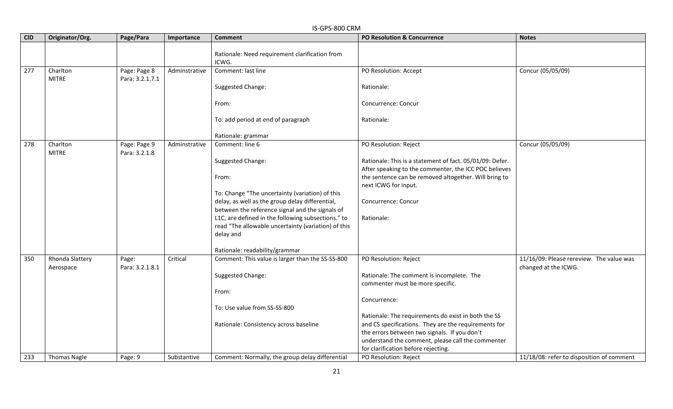|     | IS-GPS-800 CRM               |                                 |               |                                                                                                       |                                                                                                                |                                                                  |  |  |
|-----|------------------------------|---------------------------------|---------------|-------------------------------------------------------------------------------------------------------|----------------------------------------------------------------------------------------------------------------|------------------------------------------------------------------|--|--|
| CID | Originator/Org.              | Page/Para                       | Importance    | <b>Comment</b>                                                                                        | <b>PO Resolution &amp; Concurrence</b>                                                                         | <b>Notes</b>                                                     |  |  |
|     |                              |                                 |               | Rationale: Need requirement clarification from<br>ICWG.                                               |                                                                                                                |                                                                  |  |  |
| 277 | Charlton<br><b>MITRE</b>     | Page: Page 8<br>Para: 3.2.1.7.1 | Adminstrative | Comment: last line                                                                                    | PO Resolution: Accept                                                                                          | Concur (05/05/09)                                                |  |  |
|     |                              |                                 |               | Suggested Change:                                                                                     | Rationale:                                                                                                     |                                                                  |  |  |
|     |                              |                                 |               | From:                                                                                                 | Concurrence: Concur                                                                                            |                                                                  |  |  |
|     |                              |                                 |               | To: add period at end of paragraph                                                                    | Rationale:                                                                                                     |                                                                  |  |  |
|     |                              |                                 |               | Rationale: grammar                                                                                    |                                                                                                                |                                                                  |  |  |
| 278 | Charlton<br><b>MITRE</b>     | Page: Page 9<br>Para: 3.2.1.8   | Adminstrative | Comment: line 6                                                                                       | PO Resolution: Reject                                                                                          | Concur (05/05/09)                                                |  |  |
|     |                              |                                 |               | Suggested Change:                                                                                     | Rationale: This is a statement of fact. 05/01/09: Defer.                                                       |                                                                  |  |  |
|     |                              |                                 |               | From:                                                                                                 | After speaking to the commenter, the ICC POC believes<br>the sentence can be removed altogether. Will bring to |                                                                  |  |  |
|     |                              |                                 |               |                                                                                                       | next ICWG for input.                                                                                           |                                                                  |  |  |
|     |                              |                                 |               | To: Change "The uncertainty (variation) of this                                                       |                                                                                                                |                                                                  |  |  |
|     |                              |                                 |               | delay, as well as the group delay differential,                                                       | Concurrence: Concur                                                                                            |                                                                  |  |  |
|     |                              |                                 |               | between the reference signal and the signals of<br>L1C, are defined in the following subsections." to |                                                                                                                |                                                                  |  |  |
|     |                              |                                 |               | read "The allowable uncertainty (variation) of this                                                   | Rationale:                                                                                                     |                                                                  |  |  |
|     |                              |                                 |               | delay and                                                                                             |                                                                                                                |                                                                  |  |  |
|     |                              |                                 |               | Rationale: readability/grammar                                                                        |                                                                                                                |                                                                  |  |  |
| 350 | Rhonda Slattery<br>Aerospace | Page:<br>Para: 3.2.1.8.1        | Critical      | Comment: This value is larger than the SS-SS-800                                                      | PO Resolution: Reject                                                                                          | 11/16/09: Please rereview. The value was<br>changed at the ICWG. |  |  |
|     |                              |                                 |               | Suggested Change:                                                                                     | Rationale: The comment is incomplete. The                                                                      |                                                                  |  |  |
|     |                              |                                 |               | From:                                                                                                 | commenter must be more specific.                                                                               |                                                                  |  |  |
|     |                              |                                 |               |                                                                                                       | Concurrence:                                                                                                   |                                                                  |  |  |
|     |                              |                                 |               | To: Use value from SS-SS-800                                                                          |                                                                                                                |                                                                  |  |  |
|     |                              |                                 |               |                                                                                                       | Rationale: The requirements do exist in both the SS                                                            |                                                                  |  |  |
|     |                              |                                 |               | Rationale: Consistency across baseline                                                                | and CS specifications. They are the requirements for                                                           |                                                                  |  |  |
|     |                              |                                 |               |                                                                                                       | the errors between two signals. If you don't                                                                   |                                                                  |  |  |
|     |                              |                                 |               |                                                                                                       | understand the comment, please call the commenter                                                              |                                                                  |  |  |
|     |                              |                                 |               |                                                                                                       | for clarification before rejecting.                                                                            |                                                                  |  |  |
| 233 | <b>Thomas Nagle</b>          | Page: 9                         | Substantive   | Comment: Normally, the group delay differential                                                       | PO Resolution: Reject                                                                                          | 11/18/08: refer to disposition of comment                        |  |  |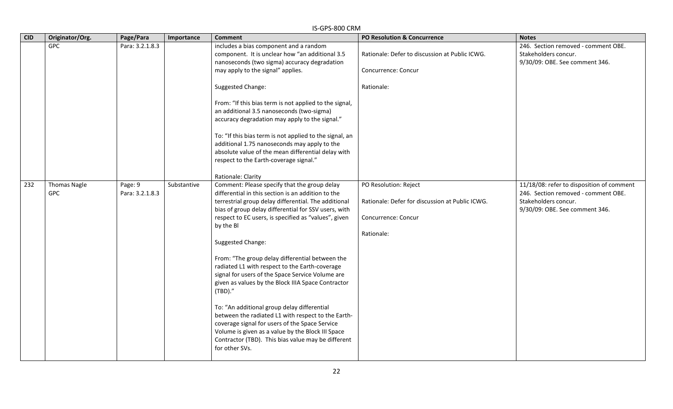|            |                                   |                            |             | IS-GPS-800 CRM                                                                                                                                                                                                                                                                                                                                                                                                                                                                                                                                                                                                                                                                                                                                                                                                             |                                                                                                               |                                                                                                                                            |
|------------|-----------------------------------|----------------------------|-------------|----------------------------------------------------------------------------------------------------------------------------------------------------------------------------------------------------------------------------------------------------------------------------------------------------------------------------------------------------------------------------------------------------------------------------------------------------------------------------------------------------------------------------------------------------------------------------------------------------------------------------------------------------------------------------------------------------------------------------------------------------------------------------------------------------------------------------|---------------------------------------------------------------------------------------------------------------|--------------------------------------------------------------------------------------------------------------------------------------------|
| <b>CID</b> | Originator/Org.                   | Page/Para                  | Importance  | <b>Comment</b>                                                                                                                                                                                                                                                                                                                                                                                                                                                                                                                                                                                                                                                                                                                                                                                                             | <b>PO Resolution &amp; Concurrence</b>                                                                        | <b>Notes</b>                                                                                                                               |
|            | <b>GPC</b>                        | Para: 3.2.1.8.3            |             | includes a bias component and a random<br>component. It is unclear how "an additional 3.5<br>nanoseconds (two sigma) accuracy degradation<br>may apply to the signal" applies.                                                                                                                                                                                                                                                                                                                                                                                                                                                                                                                                                                                                                                             | Rationale: Defer to discussion at Public ICWG.<br>Concurrence: Concur                                         | 246. Section removed - comment OBE.<br>Stakeholders concur.<br>9/30/09: OBE. See comment 346.                                              |
|            |                                   |                            |             | Suggested Change:<br>From: "If this bias term is not applied to the signal,<br>an additional 3.5 nanoseconds (two-sigma)<br>accuracy degradation may apply to the signal."<br>To: "If this bias term is not applied to the signal, an<br>additional 1.75 nanoseconds may apply to the<br>absolute value of the mean differential delay with<br>respect to the Earth-coverage signal."<br>Rationale: Clarity                                                                                                                                                                                                                                                                                                                                                                                                                | Rationale:                                                                                                    |                                                                                                                                            |
| 232        | <b>Thomas Nagle</b><br><b>GPC</b> | Page: 9<br>Para: 3.2.1.8.3 | Substantive | Comment: Please specify that the group delay<br>differential in this section is an addition to the<br>terrestrial group delay differential. The additional<br>bias of group delay differential for SSV users, with<br>respect to EC users, is specified as "values", given<br>by the Bl<br>Suggested Change:<br>From: "The group delay differential between the<br>radiated L1 with respect to the Earth-coverage<br>signal for users of the Space Service Volume are<br>given as values by the Block IIIA Space Contractor<br>(TBD)."<br>To: "An additional group delay differential<br>between the radiated L1 with respect to the Earth-<br>coverage signal for users of the Space Service<br>Volume is given as a value by the Block III Space<br>Contractor (TBD). This bias value may be different<br>for other SVs. | PO Resolution: Reject<br>Rationale: Defer for discussion at Public ICWG.<br>Concurrence: Concur<br>Rationale: | 11/18/08: refer to disposition of comment<br>246. Section removed - comment OBE.<br>Stakeholders concur.<br>9/30/09: OBE. See comment 346. |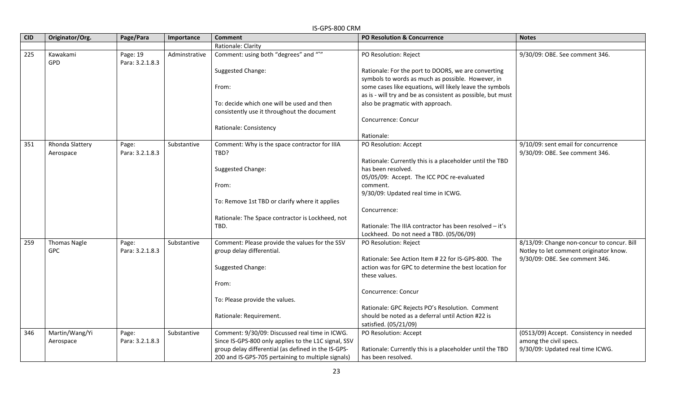| <b>CID</b> | Originator/Org.     | Page/Para       | Importance    | <b>Comment</b>                                       | <b>PO Resolution &amp; Concurrence</b>                                         | <b>Notes</b>                               |
|------------|---------------------|-----------------|---------------|------------------------------------------------------|--------------------------------------------------------------------------------|--------------------------------------------|
|            |                     |                 |               | Rationale: Clarity                                   |                                                                                |                                            |
| 225        | Kawakami            | Page: 19        | Adminstrative | Comment: using both "degrees" and "°"                | PO Resolution: Reject                                                          | 9/30/09: OBE. See comment 346.             |
|            | <b>GPD</b>          | Para: 3.2.1.8.3 |               |                                                      |                                                                                |                                            |
|            |                     |                 |               | Suggested Change:                                    | Rationale: For the port to DOORS, we are converting                            |                                            |
|            |                     |                 |               |                                                      | symbols to words as much as possible. However, in                              |                                            |
|            |                     |                 |               | From:                                                | some cases like equations, will likely leave the symbols                       |                                            |
|            |                     |                 |               |                                                      | as is - will try and be as consistent as possible, but must                    |                                            |
|            |                     |                 |               | To: decide which one will be used and then           | also be pragmatic with approach.                                               |                                            |
|            |                     |                 |               | consistently use it throughout the document          |                                                                                |                                            |
|            |                     |                 |               |                                                      | Concurrence: Concur                                                            |                                            |
|            |                     |                 |               | Rationale: Consistency                               |                                                                                |                                            |
|            |                     |                 |               |                                                      | Rationale:                                                                     |                                            |
| 351        | Rhonda Slattery     | Page:           | Substantive   | Comment: Why is the space contractor for IIIA        | PO Resolution: Accept                                                          | 9/10/09: sent email for concurrence        |
|            | Aerospace           | Para: 3.2.1.8.3 |               | TBD?                                                 |                                                                                | 9/30/09: OBE. See comment 346.             |
|            |                     |                 |               | Suggested Change:                                    | Rationale: Currently this is a placeholder until the TBD<br>has been resolved. |                                            |
|            |                     |                 |               |                                                      | 05/05/09: Accept. The ICC POC re-evaluated                                     |                                            |
|            |                     |                 |               | From:                                                | comment.                                                                       |                                            |
|            |                     |                 |               |                                                      | 9/30/09: Updated real time in ICWG.                                            |                                            |
|            |                     |                 |               | To: Remove 1st TBD or clarify where it applies       |                                                                                |                                            |
|            |                     |                 |               |                                                      | Concurrence:                                                                   |                                            |
|            |                     |                 |               | Rationale: The Space contractor is Lockheed, not     |                                                                                |                                            |
|            |                     |                 |               | TBD.                                                 | Rationale: The IIIA contractor has been resolved - it's                        |                                            |
|            |                     |                 |               |                                                      | Lockheed. Do not need a TBD. (05/06/09)                                        |                                            |
| 259        | <b>Thomas Nagle</b> | Page:           | Substantive   | Comment: Please provide the values for the SSV       | PO Resolution: Reject                                                          | 8/13/09: Change non-concur to concur. Bill |
|            | <b>GPC</b>          | Para: 3.2.1.8.3 |               | group delay differential.                            |                                                                                | Notley to let comment originator know.     |
|            |                     |                 |               |                                                      | Rationale: See Action Item # 22 for IS-GPS-800. The                            | 9/30/09: OBE. See comment 346.             |
|            |                     |                 |               | Suggested Change:                                    | action was for GPC to determine the best location for                          |                                            |
|            |                     |                 |               |                                                      | these values.                                                                  |                                            |
|            |                     |                 |               | From:                                                |                                                                                |                                            |
|            |                     |                 |               |                                                      | Concurrence: Concur                                                            |                                            |
|            |                     |                 |               | To: Please provide the values.                       |                                                                                |                                            |
|            |                     |                 |               |                                                      | Rationale: GPC Rejects PO's Resolution. Comment                                |                                            |
|            |                     |                 |               | Rationale: Requirement.                              | should be noted as a deferral until Action #22 is                              |                                            |
|            |                     |                 |               |                                                      | satisfied. (05/21/09)                                                          |                                            |
| 346        | Martin/Wang/Yi      | Page:           | Substantive   | Comment: 9/30/09: Discussed real time in ICWG.       | PO Resolution: Accept                                                          | (0513/09) Accept. Consistency in needed    |
|            | Aerospace           | Para: 3.2.1.8.3 |               | Since IS-GPS-800 only applies to the L1C signal, SSV |                                                                                | among the civil specs.                     |
|            |                     |                 |               | group delay differential (as defined in the IS-GPS-  | Rationale: Currently this is a placeholder until the TBD                       | 9/30/09: Updated real time ICWG.           |
|            |                     |                 |               | 200 and IS-GPS-705 pertaining to multiple signals)   | has been resolved.                                                             |                                            |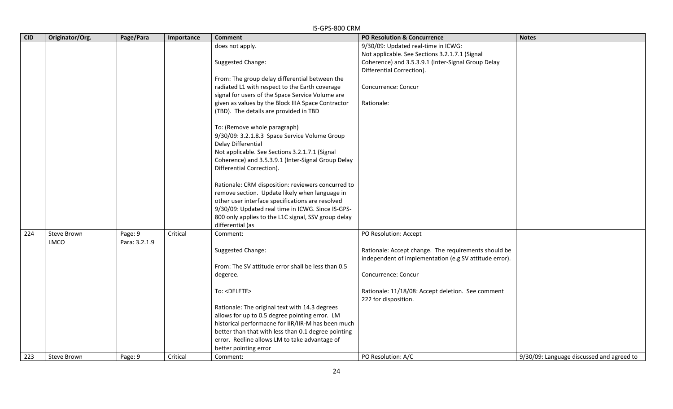|            |                                   |                          |            | IS-GPS-800 CRM                                      |                                                                           |                                           |
|------------|-----------------------------------|--------------------------|------------|-----------------------------------------------------|---------------------------------------------------------------------------|-------------------------------------------|
| <b>CID</b> | Originator/Org.                   | Page/Para                | Importance | <b>Comment</b>                                      | <b>PO Resolution &amp; Concurrence</b>                                    | <b>Notes</b>                              |
|            |                                   |                          |            | does not apply.                                     | 9/30/09: Updated real-time in ICWG:                                       |                                           |
|            |                                   |                          |            |                                                     | Not applicable. See Sections 3.2.1.7.1 (Signal                            |                                           |
|            |                                   |                          |            | Suggested Change:                                   | Coherence) and 3.5.3.9.1 (Inter-Signal Group Delay                        |                                           |
|            |                                   |                          |            |                                                     | Differential Correction).                                                 |                                           |
|            |                                   |                          |            | From: The group delay differential between the      |                                                                           |                                           |
|            |                                   |                          |            | radiated L1 with respect to the Earth coverage      | Concurrence: Concur                                                       |                                           |
|            |                                   |                          |            | signal for users of the Space Service Volume are    |                                                                           |                                           |
|            |                                   |                          |            | given as values by the Block IIIA Space Contractor  | Rationale:                                                                |                                           |
|            |                                   |                          |            | (TBD). The details are provided in TBD              |                                                                           |                                           |
|            |                                   |                          |            | To: (Remove whole paragraph)                        |                                                                           |                                           |
|            |                                   |                          |            | 9/30/09: 3.2.1.8.3 Space Service Volume Group       |                                                                           |                                           |
|            |                                   |                          |            | Delay Differential                                  |                                                                           |                                           |
|            |                                   |                          |            | Not applicable. See Sections 3.2.1.7.1 (Signal      |                                                                           |                                           |
|            |                                   |                          |            | Coherence) and 3.5.3.9.1 (Inter-Signal Group Delay  |                                                                           |                                           |
|            |                                   |                          |            | Differential Correction).                           |                                                                           |                                           |
|            |                                   |                          |            | Rationale: CRM disposition: reviewers concurred to  |                                                                           |                                           |
|            |                                   |                          |            | remove section. Update likely when language in      |                                                                           |                                           |
|            |                                   |                          |            | other user interface specifications are resolved    |                                                                           |                                           |
|            |                                   |                          |            | 9/30/09: Updated real time in ICWG. Since IS-GPS-   |                                                                           |                                           |
|            |                                   |                          |            | 800 only applies to the L1C signal, SSV group delay |                                                                           |                                           |
|            |                                   |                          |            | differential (as                                    |                                                                           |                                           |
| 224        | <b>Steve Brown</b><br><b>LMCO</b> | Page: 9<br>Para: 3.2.1.9 | Critical   | Comment:                                            | PO Resolution: Accept                                                     |                                           |
|            |                                   |                          |            | Suggested Change:                                   | Rationale: Accept change. The requirements should be                      |                                           |
|            |                                   |                          |            |                                                     | independent of implementation (e.g SV attitude error).                    |                                           |
|            |                                   |                          |            | From: The SV attitude error shall be less than 0.5  |                                                                           |                                           |
|            |                                   |                          |            | degeree.                                            | Concurrence: Concur                                                       |                                           |
|            |                                   |                          |            | To: <delete></delete>                               | Rationale: 11/18/08: Accept deletion. See comment<br>222 for disposition. |                                           |
|            |                                   |                          |            | Rationale: The original text with 14.3 degrees      |                                                                           |                                           |
|            |                                   |                          |            | allows for up to 0.5 degree pointing error. LM      |                                                                           |                                           |
|            |                                   |                          |            | historical performacne for IIR/IIR-M has been much  |                                                                           |                                           |
|            |                                   |                          |            | better than that with less than 0.1 degree pointing |                                                                           |                                           |
|            |                                   |                          |            | error. Redline allows LM to take advantage of       |                                                                           |                                           |
|            |                                   |                          |            | better pointing error                               |                                                                           |                                           |
| 223        | Steve Brown                       | Page: 9                  | Critical   | Comment:                                            | PO Resolution: A/C                                                        | 9/30/09: Language discussed and agreed to |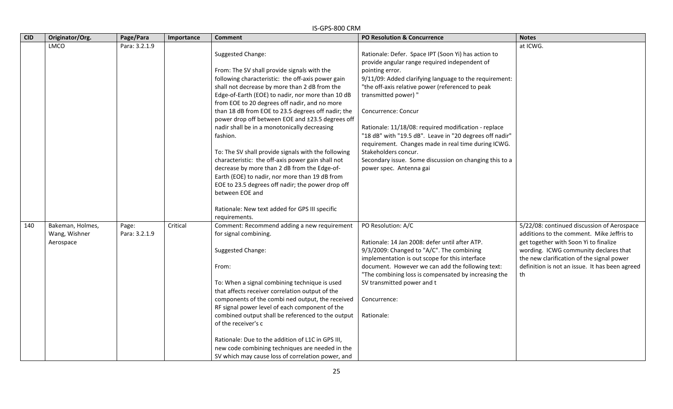|            |                                                |                        |            | IS-GPS-800 CRM                                                                                                                                                                                                                                                                                                                                                                                                                                                                                                                                                                                                                                                                                                                                                                                              |                                                                                                                                                                                                                                                                                                                                                                                                                                                                                                                                                                             |                                                                                                                                                                                                                                                                                |
|------------|------------------------------------------------|------------------------|------------|-------------------------------------------------------------------------------------------------------------------------------------------------------------------------------------------------------------------------------------------------------------------------------------------------------------------------------------------------------------------------------------------------------------------------------------------------------------------------------------------------------------------------------------------------------------------------------------------------------------------------------------------------------------------------------------------------------------------------------------------------------------------------------------------------------------|-----------------------------------------------------------------------------------------------------------------------------------------------------------------------------------------------------------------------------------------------------------------------------------------------------------------------------------------------------------------------------------------------------------------------------------------------------------------------------------------------------------------------------------------------------------------------------|--------------------------------------------------------------------------------------------------------------------------------------------------------------------------------------------------------------------------------------------------------------------------------|
| <b>CID</b> | Originator/Org.                                | Page/Para              | Importance | <b>Comment</b>                                                                                                                                                                                                                                                                                                                                                                                                                                                                                                                                                                                                                                                                                                                                                                                              | <b>PO Resolution &amp; Concurrence</b>                                                                                                                                                                                                                                                                                                                                                                                                                                                                                                                                      | <b>Notes</b>                                                                                                                                                                                                                                                                   |
|            | <b>LMCO</b>                                    | Para: 3.2.1.9          |            | Suggested Change:<br>From: The SV shall provide signals with the<br>following characteristic: the off-axis power gain<br>shall not decrease by more than 2 dB from the<br>Edge-of-Earth (EOE) to nadir, nor more than 10 dB<br>from EOE to 20 degrees off nadir, and no more<br>than 18 dB from EOE to 23.5 degrees off nadir; the<br>power drop off between EOE and ±23.5 degrees off<br>nadir shall be in a monotonically decreasing<br>fashion.<br>To: The SV shall provide signals with the following<br>characteristic: the off-axis power gain shall not<br>decrease by more than 2 dB from the Edge-of-<br>Earth (EOE) to nadir, nor more than 19 dB from<br>EOE to 23.5 degrees off nadir; the power drop off<br>between EOE and<br>Rationale: New text added for GPS III specific<br>requirements. | Rationale: Defer. Space IPT (Soon Yi) has action to<br>provide angular range required independent of<br>pointing error.<br>9/11/09: Added clarifying language to the requirement:<br>"the off-axis relative power (referenced to peak<br>transmitted power) "<br>Concurrence: Concur<br>Rationale: 11/18/08: required modification - replace<br>"18 dB" with "19.5 dB". Leave in "20 degrees off nadir"<br>requirement. Changes made in real time during ICWG.<br>Stakeholders concur.<br>Secondary issue. Some discussion on changing this to a<br>power spec. Antenna gai | at ICWG.                                                                                                                                                                                                                                                                       |
| 140        | Bakeman, Holmes,<br>Wang, Wishner<br>Aerospace | Page:<br>Para: 3.2.1.9 | Critical   | Comment: Recommend adding a new requirement<br>for signal combining.<br>Suggested Change:<br>From:<br>To: When a signal combining technique is used<br>that affects receiver correlation output of the<br>components of the combi ned output, the received<br>RF signal power level of each component of the<br>combined output shall be referenced to the output<br>of the receiver's c<br>Rationale: Due to the addition of L1C in GPS III,<br>new code combining techniques are needed in the<br>SV which may cause loss of correlation power, and                                                                                                                                                                                                                                                       | PO Resolution: A/C<br>Rationale: 14 Jan 2008: defer until after ATP.<br>9/3/2009: Changed to "A/C". The combining<br>implementation is out scope for this interface<br>document. However we can add the following text:<br>"The combining loss is compensated by increasing the<br>SV transmitted power and t<br>Concurrence:<br>Rationale:                                                                                                                                                                                                                                 | 5/22/08: continued discussion of Aerospace<br>additions to the comment. Mike Jeffris to<br>get together with Soon Yi to finalize<br>wording. ICWG community declares that<br>the new clarification of the signal power<br>definition is not an issue. It has been agreed<br>th |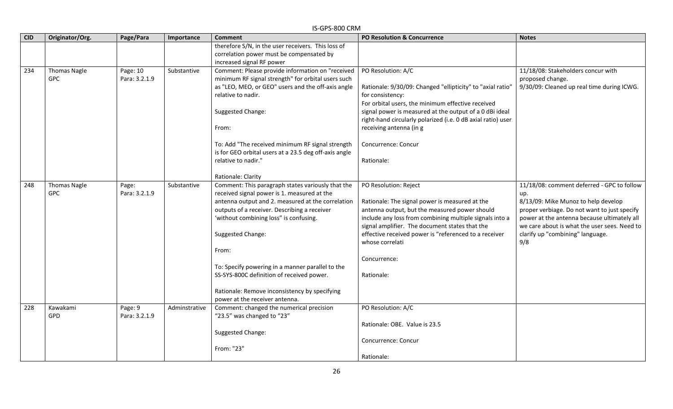|            |                                   |                           |               | IS-GPS-800 CRM                                                                                                                                                                                                                                                                                                                                                                                                                                                    |                                                                                                                                                                                                                                                                                                                                                      |                                                                                                                                                                                                                                                                                    |
|------------|-----------------------------------|---------------------------|---------------|-------------------------------------------------------------------------------------------------------------------------------------------------------------------------------------------------------------------------------------------------------------------------------------------------------------------------------------------------------------------------------------------------------------------------------------------------------------------|------------------------------------------------------------------------------------------------------------------------------------------------------------------------------------------------------------------------------------------------------------------------------------------------------------------------------------------------------|------------------------------------------------------------------------------------------------------------------------------------------------------------------------------------------------------------------------------------------------------------------------------------|
| <b>CID</b> | Originator/Org.                   | Page/Para                 | Importance    | <b>Comment</b>                                                                                                                                                                                                                                                                                                                                                                                                                                                    | <b>PO Resolution &amp; Concurrence</b>                                                                                                                                                                                                                                                                                                               | <b>Notes</b>                                                                                                                                                                                                                                                                       |
|            |                                   |                           |               | therefore S/N, in the user receivers. This loss of<br>correlation power must be compensated by<br>increased signal RF power                                                                                                                                                                                                                                                                                                                                       |                                                                                                                                                                                                                                                                                                                                                      |                                                                                                                                                                                                                                                                                    |
| 234        | <b>Thomas Nagle</b><br><b>GPC</b> | Page: 10<br>Para: 3.2.1.9 | Substantive   | Comment: Please provide information on "received<br>minimum RF signal strength" for orbital users such<br>as "LEO, MEO, or GEO" users and the off-axis angle<br>relative to nadir.<br>Suggested Change:<br>From:<br>To: Add "The received minimum RF signal strength<br>is for GEO orbital users at a 23.5 deg off-axis angle<br>relative to nadir."<br>Rationale: Clarity                                                                                        | PO Resolution: A/C<br>Rationale: 9/30/09: Changed "ellipticity" to "axial ratio"<br>for consistency:<br>For orbital users, the minimum effective received<br>signal power is measured at the output of a 0 dBi ideal<br>right-hand circularly polarized (i.e. 0 dB axial ratio) user<br>receiving antenna (in g<br>Concurrence: Concur<br>Rationale: | 11/18/08: Stakeholders concur with<br>proposed change.<br>9/30/09: Cleaned up real time during ICWG.                                                                                                                                                                               |
| 248        | <b>Thomas Nagle</b><br><b>GPC</b> | Page:<br>Para: 3.2.1.9    | Substantive   | Comment: This paragraph states variously that the<br>received signal power is 1. measured at the<br>antenna output and 2. measured at the correlation<br>outputs of a receiver. Describing a receiver<br>'without combining loss" is confusing.<br>Suggested Change:<br>From:<br>To: Specify powering in a manner parallel to the<br>SS-SYS-800C definition of received power.<br>Rationale: Remove inconsistency by specifying<br>power at the receiver antenna. | PO Resolution: Reject<br>Rationale: The signal power is measured at the<br>antenna output, but the measured power should<br>include any loss from combining multiple signals into a<br>signal amplifier. The document states that the<br>effective received power is "referenced to a receiver<br>whose correlati<br>Concurrence:<br>Rationale:      | 11/18/08: comment deferred - GPC to follow<br>up.<br>8/13/09: Mike Munoz to help develop<br>proper verbiage. Do not want to just specify<br>power at the antenna because ultimately all<br>we care about is what the user sees. Need to<br>clarify up "combining" language.<br>9/8 |
| 228        | Kawakami<br>GPD                   | Page: 9<br>Para: 3.2.1.9  | Adminstrative | Comment: changed the numerical precision<br>"23.5" was changed to "23"<br>Suggested Change:<br>From: "23"                                                                                                                                                                                                                                                                                                                                                         | PO Resolution: A/C<br>Rationale: OBE. Value is 23.5<br>Concurrence: Concur<br>Rationale:                                                                                                                                                                                                                                                             |                                                                                                                                                                                                                                                                                    |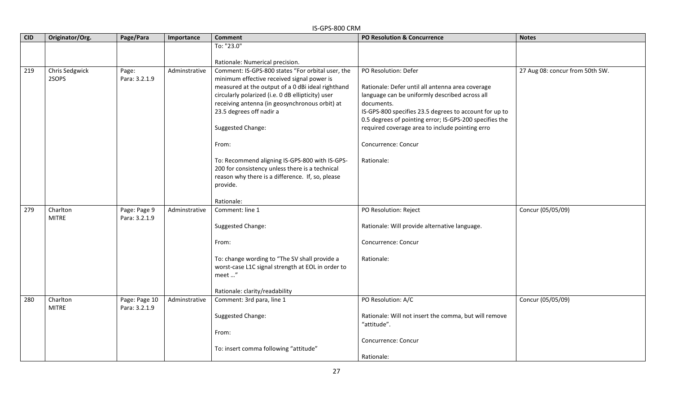|            | IS-GPS-800 CRM  |               |               |                                                   |                                                         |                                 |  |  |  |
|------------|-----------------|---------------|---------------|---------------------------------------------------|---------------------------------------------------------|---------------------------------|--|--|--|
| <b>CID</b> | Originator/Org. | Page/Para     | Importance    | <b>Comment</b>                                    | PO Resolution & Concurrence                             | <b>Notes</b>                    |  |  |  |
|            |                 |               |               | To: "23.0"                                        |                                                         |                                 |  |  |  |
|            |                 |               |               |                                                   |                                                         |                                 |  |  |  |
|            |                 |               |               | Rationale: Numerical precision.                   |                                                         |                                 |  |  |  |
| 219        | Chris Sedgwick  | Page:         | Adminstrative | Comment: IS-GPS-800 states "For orbital user, the | PO Resolution: Defer                                    | 27 Aug 08: concur from 50th SW. |  |  |  |
|            | 2SOPS           | Para: 3.2.1.9 |               | minimum effective received signal power is        |                                                         |                                 |  |  |  |
|            |                 |               |               | measured at the output of a 0 dBi ideal righthand | Rationale: Defer until all antenna area coverage        |                                 |  |  |  |
|            |                 |               |               | circularly polarized (i.e. 0 dB ellipticity) user | language can be uniformly described across all          |                                 |  |  |  |
|            |                 |               |               | receiving antenna (in geosynchronous orbit) at    | documents.                                              |                                 |  |  |  |
|            |                 |               |               | 23.5 degrees off nadir a                          | IS-GPS-800 specifies 23.5 degrees to account for up to  |                                 |  |  |  |
|            |                 |               |               |                                                   | 0.5 degrees of pointing error; IS-GPS-200 specifies the |                                 |  |  |  |
|            |                 |               |               | Suggested Change:                                 | required coverage area to include pointing erro         |                                 |  |  |  |
|            |                 |               |               | From:                                             | Concurrence: Concur                                     |                                 |  |  |  |
|            |                 |               |               | To: Recommend aligning IS-GPS-800 with IS-GPS-    | Rationale:                                              |                                 |  |  |  |
|            |                 |               |               | 200 for consistency unless there is a technical   |                                                         |                                 |  |  |  |
|            |                 |               |               | reason why there is a difference. If, so, please  |                                                         |                                 |  |  |  |
|            |                 |               |               | provide.                                          |                                                         |                                 |  |  |  |
|            |                 |               |               |                                                   |                                                         |                                 |  |  |  |
|            |                 |               |               | Rationale:                                        |                                                         |                                 |  |  |  |
| 279        | Charlton        | Page: Page 9  | Adminstrative | Comment: line 1                                   | PO Resolution: Reject                                   | Concur (05/05/09)               |  |  |  |
|            | <b>MITRE</b>    | Para: 3.2.1.9 |               |                                                   |                                                         |                                 |  |  |  |
|            |                 |               |               | Suggested Change:                                 | Rationale: Will provide alternative language.           |                                 |  |  |  |
|            |                 |               |               |                                                   |                                                         |                                 |  |  |  |
|            |                 |               |               | From:                                             | Concurrence: Concur                                     |                                 |  |  |  |
|            |                 |               |               | To: change wording to "The SV shall provide a     | Rationale:                                              |                                 |  |  |  |
|            |                 |               |               | worst-case L1C signal strength at EOL in order to |                                                         |                                 |  |  |  |
|            |                 |               |               | meet "                                            |                                                         |                                 |  |  |  |
|            |                 |               |               |                                                   |                                                         |                                 |  |  |  |
|            |                 |               |               | Rationale: clarity/readability                    |                                                         |                                 |  |  |  |
| 280        | Charlton        | Page: Page 10 | Adminstrative | Comment: 3rd para, line 1                         | PO Resolution: A/C                                      | Concur (05/05/09)               |  |  |  |
|            | <b>MITRE</b>    | Para: 3.2.1.9 |               |                                                   |                                                         |                                 |  |  |  |
|            |                 |               |               | Suggested Change:                                 | Rationale: Will not insert the comma, but will remove   |                                 |  |  |  |
|            |                 |               |               |                                                   | "attitude".                                             |                                 |  |  |  |
|            |                 |               |               | From:                                             |                                                         |                                 |  |  |  |
|            |                 |               |               |                                                   | Concurrence: Concur                                     |                                 |  |  |  |
|            |                 |               |               | To: insert comma following "attitude"             |                                                         |                                 |  |  |  |
|            |                 |               |               |                                                   | Rationale:                                              |                                 |  |  |  |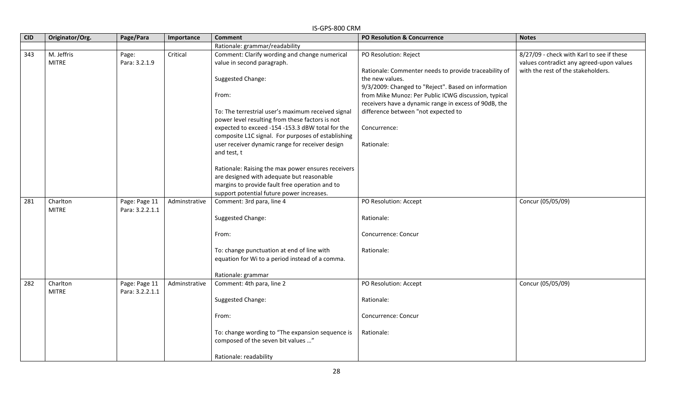| <b>CID</b> | Originator/Org.            | Page/Para                        | Importance    | <b>Comment</b>                                                                                                                                                                                                                                                                                                                                                                                                                | PO Resolution & Concurrence                                                                                                                                                                                                                                                                                      | <b>Notes</b>                                                                                                                |
|------------|----------------------------|----------------------------------|---------------|-------------------------------------------------------------------------------------------------------------------------------------------------------------------------------------------------------------------------------------------------------------------------------------------------------------------------------------------------------------------------------------------------------------------------------|------------------------------------------------------------------------------------------------------------------------------------------------------------------------------------------------------------------------------------------------------------------------------------------------------------------|-----------------------------------------------------------------------------------------------------------------------------|
|            |                            |                                  |               | Rationale: grammar/readability                                                                                                                                                                                                                                                                                                                                                                                                |                                                                                                                                                                                                                                                                                                                  |                                                                                                                             |
| 343        | M. Jeffris<br><b>MITRE</b> | Page:<br>Para: 3.2.1.9           | Critical      | Comment: Clarify wording and change numerical<br>value in second paragraph.<br>Suggested Change:<br>From:<br>To: The terrestrial user's maximum received signal                                                                                                                                                                                                                                                               | PO Resolution: Reject<br>Rationale: Commenter needs to provide traceability of<br>the new values.<br>9/3/2009: Changed to "Reject". Based on information<br>from Mike Munoz: Per Public ICWG discussion, typical<br>receivers have a dynamic range in excess of 90dB, the<br>difference between "not expected to | 8/27/09 - check with Karl to see if these<br>values contradict any agreed-upon values<br>with the rest of the stakeholders. |
|            |                            |                                  |               | power level resulting from these factors is not<br>expected to exceed -154 -153.3 dBW total for the<br>composite L1C signal. For purposes of establishing<br>user receiver dynamic range for receiver design<br>and test, t<br>Rationale: Raising the max power ensures receivers<br>are designed with adequate but reasonable<br>margins to provide fault free operation and to<br>support potential future power increases. | Concurrence:<br>Rationale:                                                                                                                                                                                                                                                                                       |                                                                                                                             |
| 281        | Charlton<br><b>MITRE</b>   | Page: Page 11<br>Para: 3.2.2.1.1 | Adminstrative | Comment: 3rd para, line 4<br>Suggested Change:<br>From:<br>To: change punctuation at end of line with<br>equation for Wi to a period instead of a comma.<br>Rationale: grammar                                                                                                                                                                                                                                                | PO Resolution: Accept<br>Rationale:<br>Concurrence: Concur<br>Rationale:                                                                                                                                                                                                                                         | Concur (05/05/09)                                                                                                           |
| 282        | Charlton<br><b>MITRE</b>   | Page: Page 11<br>Para: 3.2.2.1.1 | Adminstrative | Comment: 4th para, line 2<br>Suggested Change:<br>From:<br>To: change wording to "The expansion sequence is<br>composed of the seven bit values "<br>Rationale: readability                                                                                                                                                                                                                                                   | PO Resolution: Accept<br>Rationale:<br>Concurrence: Concur<br>Rationale:                                                                                                                                                                                                                                         | Concur (05/05/09)                                                                                                           |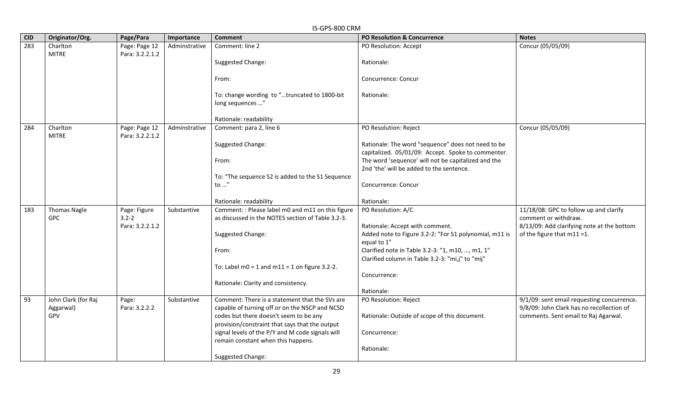|            | IS-GPS-800 CRM      |                 |               |                                                                  |                                                                                           |                                                                          |  |  |  |
|------------|---------------------|-----------------|---------------|------------------------------------------------------------------|-------------------------------------------------------------------------------------------|--------------------------------------------------------------------------|--|--|--|
| <b>CID</b> | Originator/Org.     | Page/Para       | Importance    | <b>Comment</b>                                                   | <b>PO Resolution &amp; Concurrence</b>                                                    | <b>Notes</b>                                                             |  |  |  |
| 283        | Charlton            | Page: Page 12   | Adminstrative | Comment: line 2                                                  | PO Resolution: Accept                                                                     | Concur (05/05/09)                                                        |  |  |  |
|            | <b>MITRE</b>        | Para: 3.2.2.1.2 |               |                                                                  |                                                                                           |                                                                          |  |  |  |
|            |                     |                 |               | Suggested Change:                                                | Rationale:                                                                                |                                                                          |  |  |  |
|            |                     |                 |               |                                                                  |                                                                                           |                                                                          |  |  |  |
|            |                     |                 |               | From:                                                            | Concurrence: Concur                                                                       |                                                                          |  |  |  |
|            |                     |                 |               |                                                                  |                                                                                           |                                                                          |  |  |  |
|            |                     |                 |               | To: change wording to "truncated to 1800-bit<br>long sequences " | Rationale:                                                                                |                                                                          |  |  |  |
|            |                     |                 |               |                                                                  |                                                                                           |                                                                          |  |  |  |
|            |                     |                 |               | Rationale: readability                                           |                                                                                           |                                                                          |  |  |  |
| 284        | Charlton            | Page: Page 12   | Adminstrative | Comment: para 2, line 6                                          | PO Resolution: Reject                                                                     | Concur (05/05/09)                                                        |  |  |  |
|            | <b>MITRE</b>        | Para: 3.2.2.1.2 |               |                                                                  |                                                                                           |                                                                          |  |  |  |
|            |                     |                 |               | Suggested Change:                                                | Rationale: The word "sequence" does not need to be                                        |                                                                          |  |  |  |
|            |                     |                 |               |                                                                  | capitalized. 05/01/09: Accept. Spoke to commenter.                                        |                                                                          |  |  |  |
|            |                     |                 |               | From:                                                            | The word 'sequence' will not be capitalized and the                                       |                                                                          |  |  |  |
|            |                     |                 |               |                                                                  | 2nd 'the' will be added to the sentence.                                                  |                                                                          |  |  |  |
|            |                     |                 |               | To: "The sequence S2 is added to the S1 Sequence                 |                                                                                           |                                                                          |  |  |  |
|            |                     |                 |               | to $\ldots''$                                                    | Concurrence: Concur                                                                       |                                                                          |  |  |  |
|            |                     |                 |               |                                                                  |                                                                                           |                                                                          |  |  |  |
|            |                     |                 |               | Rationale: readability                                           | Rationale:                                                                                |                                                                          |  |  |  |
| 183        | <b>Thomas Nagle</b> | Page: Figure    | Substantive   | Comment: : Please label m0 and m11 on this figure                | PO Resolution: A/C                                                                        | 11/18/08: GPC to follow up and clarify                                   |  |  |  |
|            | <b>GPC</b>          | $3.2 - 2$       |               | as discussed in the NOTES section of Table 3.2-3.                |                                                                                           | comment or withdraw.                                                     |  |  |  |
|            |                     | Para: 3.2.2.1.2 |               | Suggested Change:                                                | Rationale: Accept with comment.<br>Added note to Figure 3.2-2: "For S1 polynomial, m11 is | 8/13/09: Add clarifying note at the bottom<br>of the figure that m11 =1. |  |  |  |
|            |                     |                 |               |                                                                  | equal to 1"                                                                               |                                                                          |  |  |  |
|            |                     |                 |               | From:                                                            | Clarified note in Table 3.2-3: "1, m10, , m1, 1"                                          |                                                                          |  |  |  |
|            |                     |                 |               |                                                                  | Clarified column in Table 3.2-3: "mi,j" to "mij"                                          |                                                                          |  |  |  |
|            |                     |                 |               | To: Label $m0 = 1$ and $m11 = 1$ on figure 3.2-2.                |                                                                                           |                                                                          |  |  |  |
|            |                     |                 |               |                                                                  | Concurrence:                                                                              |                                                                          |  |  |  |
|            |                     |                 |               | Rationale: Clarity and consistency.                              |                                                                                           |                                                                          |  |  |  |
|            |                     |                 |               |                                                                  | Rationale:                                                                                |                                                                          |  |  |  |
| 93         | John Clark (for Raj | Page:           | Substantive   | Comment: There is a statement that the SVs are                   | PO Resolution: Reject                                                                     | 9/1/09: sent email requesting concurrence.                               |  |  |  |
|            | Aggarwal)           | Para: 3.2.2.2   |               | capable of turning off or on the NSCP and NCSD                   |                                                                                           | 9/8/09: John Clark has no recollection of                                |  |  |  |
|            | GPV                 |                 |               | codes but there doesn't seem to be any                           | Rationale: Outside of scope of this document.                                             | comments. Sent email to Raj Agarwal.                                     |  |  |  |
|            |                     |                 |               | provision/constraint that says that the output                   |                                                                                           |                                                                          |  |  |  |
|            |                     |                 |               | signal levels of the P/Y and M code signals will                 | Concurrence:                                                                              |                                                                          |  |  |  |
|            |                     |                 |               | remain constant when this happens.                               |                                                                                           |                                                                          |  |  |  |
|            |                     |                 |               |                                                                  | Rationale:                                                                                |                                                                          |  |  |  |
|            |                     |                 |               | Suggested Change:                                                |                                                                                           |                                                                          |  |  |  |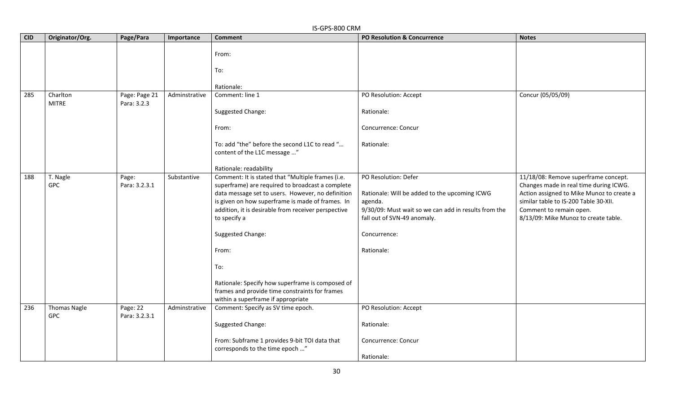|            | IS-GPS-800 CRM                    |                              |               |                                                                                                                                                            |                                                                                                |                                                                                                                             |  |  |  |
|------------|-----------------------------------|------------------------------|---------------|------------------------------------------------------------------------------------------------------------------------------------------------------------|------------------------------------------------------------------------------------------------|-----------------------------------------------------------------------------------------------------------------------------|--|--|--|
| <b>CID</b> | Originator/Org.                   | Page/Para                    | Importance    | <b>Comment</b>                                                                                                                                             | <b>PO Resolution &amp; Concurrence</b>                                                         | <b>Notes</b>                                                                                                                |  |  |  |
|            |                                   |                              |               | From:<br>To:                                                                                                                                               |                                                                                                |                                                                                                                             |  |  |  |
|            |                                   |                              |               |                                                                                                                                                            |                                                                                                |                                                                                                                             |  |  |  |
|            |                                   |                              |               | Rationale:                                                                                                                                                 |                                                                                                |                                                                                                                             |  |  |  |
| 285        | Charlton<br><b>MITRE</b>          | Page: Page 21<br>Para: 3.2.3 | Adminstrative | Comment: line 1                                                                                                                                            | PO Resolution: Accept                                                                          | Concur (05/05/09)                                                                                                           |  |  |  |
|            |                                   |                              |               | Suggested Change:                                                                                                                                          | Rationale:                                                                                     |                                                                                                                             |  |  |  |
|            |                                   |                              |               | From:                                                                                                                                                      | Concurrence: Concur                                                                            |                                                                                                                             |  |  |  |
|            |                                   |                              |               | To: add "the" before the second L1C to read "<br>content of the L1C message "                                                                              | Rationale:                                                                                     |                                                                                                                             |  |  |  |
|            |                                   |                              |               | Rationale: readability                                                                                                                                     |                                                                                                |                                                                                                                             |  |  |  |
| 188        | T. Nagle<br><b>GPC</b>            | Page:<br>Para: 3.2.3.1       | Substantive   | Comment: It is stated that "Multiple frames (i.e.<br>superframe) are required to broadcast a complete<br>data message set to users. However, no definition | PO Resolution: Defer<br>Rationale: Will be added to the upcoming ICWG                          | 11/18/08: Remove superframe concept.<br>Changes made in real time during ICWG.<br>Action assigned to Mike Munoz to create a |  |  |  |
|            |                                   |                              |               | is given on how superframe is made of frames. In<br>addition, it is desirable from receiver perspective<br>to specify a                                    | agenda.<br>9/30/09: Must wait so we can add in results from the<br>fall out of SVN-49 anomaly. | similar table to IS-200 Table 30-XII.<br>Comment to remain open.<br>8/13/09: Mike Munoz to create table.                    |  |  |  |
|            |                                   |                              |               | Suggested Change:                                                                                                                                          | Concurrence:                                                                                   |                                                                                                                             |  |  |  |
|            |                                   |                              |               | From:                                                                                                                                                      | Rationale:                                                                                     |                                                                                                                             |  |  |  |
|            |                                   |                              |               | To:                                                                                                                                                        |                                                                                                |                                                                                                                             |  |  |  |
|            |                                   |                              |               | Rationale: Specify how superframe is composed of                                                                                                           |                                                                                                |                                                                                                                             |  |  |  |
|            |                                   |                              |               | frames and provide time constraints for frames                                                                                                             |                                                                                                |                                                                                                                             |  |  |  |
|            |                                   |                              |               | within a superframe if appropriate                                                                                                                         |                                                                                                |                                                                                                                             |  |  |  |
| 236        | <b>Thomas Nagle</b><br><b>GPC</b> | Page: 22<br>Para: 3.2.3.1    | Adminstrative | Comment: Specify as SV time epoch.                                                                                                                         | PO Resolution: Accept                                                                          |                                                                                                                             |  |  |  |
|            |                                   |                              |               | Suggested Change:                                                                                                                                          | Rationale:                                                                                     |                                                                                                                             |  |  |  |
|            |                                   |                              |               | From: Subframe 1 provides 9-bit TOI data that<br>corresponds to the time epoch "                                                                           | Concurrence: Concur                                                                            |                                                                                                                             |  |  |  |
|            |                                   |                              |               |                                                                                                                                                            | Rationale:                                                                                     |                                                                                                                             |  |  |  |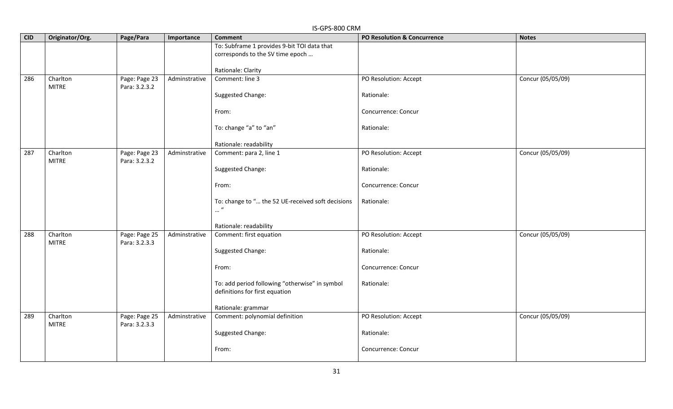|            | IS-GPS-800 CRM           |                                |               |                                                                                  |                             |                   |  |  |
|------------|--------------------------|--------------------------------|---------------|----------------------------------------------------------------------------------|-----------------------------|-------------------|--|--|
| <b>CID</b> | Originator/Org.          | Page/Para                      | Importance    | <b>Comment</b>                                                                   | PO Resolution & Concurrence | <b>Notes</b>      |  |  |
|            |                          |                                |               | To: Subframe 1 provides 9-bit TOI data that<br>corresponds to the SV time epoch  |                             |                   |  |  |
|            |                          |                                |               | Rationale: Clarity                                                               |                             |                   |  |  |
| 286        | Charlton<br><b>MITRE</b> | Page: Page 23<br>Para: 3.2.3.2 | Adminstrative | Comment: line 3                                                                  | PO Resolution: Accept       | Concur (05/05/09) |  |  |
|            |                          |                                |               | Suggested Change:                                                                | Rationale:                  |                   |  |  |
|            |                          |                                |               | From:                                                                            | Concurrence: Concur         |                   |  |  |
|            |                          |                                |               | To: change "a" to "an"                                                           | Rationale:                  |                   |  |  |
|            |                          |                                |               | Rationale: readability                                                           |                             |                   |  |  |
| 287        | Charlton<br><b>MITRE</b> | Page: Page 23<br>Para: 3.2.3.2 | Adminstrative | Comment: para 2, line 1                                                          | PO Resolution: Accept       | Concur (05/05/09) |  |  |
|            |                          |                                |               | Suggested Change:                                                                | Rationale:                  |                   |  |  |
|            |                          |                                |               | From:                                                                            | Concurrence: Concur         |                   |  |  |
|            |                          |                                |               | To: change to " the 52 UE-received soft decisions<br>$\cdots$ <sup>u</sup>       | Rationale:                  |                   |  |  |
|            |                          |                                |               | Rationale: readability                                                           |                             |                   |  |  |
| 288        | Charlton<br><b>MITRE</b> | Page: Page 25<br>Para: 3.2.3.3 | Adminstrative | Comment: first equation                                                          | PO Resolution: Accept       | Concur (05/05/09) |  |  |
|            |                          |                                |               | Suggested Change:                                                                | Rationale:                  |                   |  |  |
|            |                          |                                |               | From:                                                                            | Concurrence: Concur         |                   |  |  |
|            |                          |                                |               | To: add period following "otherwise" in symbol<br>definitions for first equation | Rationale:                  |                   |  |  |
|            |                          |                                |               | Rationale: grammar                                                               |                             |                   |  |  |
| 289        | Charlton<br><b>MITRE</b> | Page: Page 25<br>Para: 3.2.3.3 | Adminstrative | Comment: polynomial definition                                                   | PO Resolution: Accept       | Concur (05/05/09) |  |  |
|            |                          |                                |               | Suggested Change:                                                                | Rationale:                  |                   |  |  |
|            |                          |                                |               | From:                                                                            | Concurrence: Concur         |                   |  |  |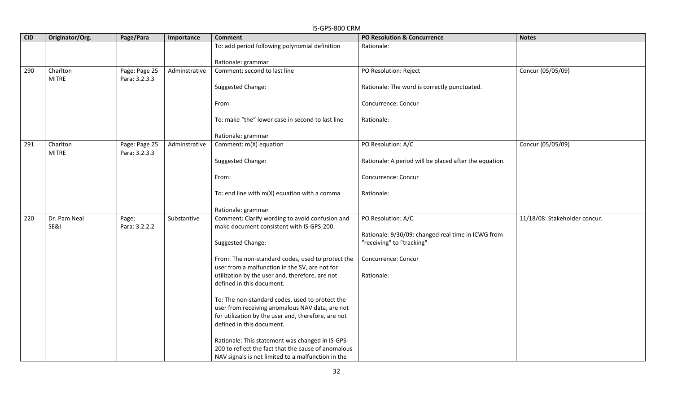|            | IS-GPS-800 CRM           |                                |               |                                                                                                           |                                                        |                               |  |  |  |
|------------|--------------------------|--------------------------------|---------------|-----------------------------------------------------------------------------------------------------------|--------------------------------------------------------|-------------------------------|--|--|--|
| <b>CID</b> | Originator/Org.          | Page/Para                      | Importance    | <b>Comment</b>                                                                                            | PO Resolution & Concurrence                            | <b>Notes</b>                  |  |  |  |
|            |                          |                                |               | To: add period following polynomial definition                                                            | Rationale:                                             |                               |  |  |  |
|            |                          |                                |               | Rationale: grammar                                                                                        |                                                        |                               |  |  |  |
| 290        | Charlton<br><b>MITRE</b> | Page: Page 25<br>Para: 3.2.3.3 | Adminstrative | Comment: second to last line                                                                              | PO Resolution: Reject                                  | Concur (05/05/09)             |  |  |  |
|            |                          |                                |               | Suggested Change:                                                                                         | Rationale: The word is correctly punctuated.           |                               |  |  |  |
|            |                          |                                |               | From:                                                                                                     | Concurrence: Concur                                    |                               |  |  |  |
|            |                          |                                |               | To: make "the" lower case in second to last line                                                          | Rationale:                                             |                               |  |  |  |
|            |                          |                                |               | Rationale: grammar                                                                                        |                                                        |                               |  |  |  |
| 291        | Charlton<br><b>MITRE</b> | Page: Page 25<br>Para: 3.2.3.3 | Adminstrative | Comment: m(X) equation                                                                                    | PO Resolution: A/C                                     | Concur (05/05/09)             |  |  |  |
|            |                          |                                |               | Suggested Change:                                                                                         | Rationale: A period will be placed after the equation. |                               |  |  |  |
|            |                          |                                |               | From:                                                                                                     | Concurrence: Concur                                    |                               |  |  |  |
|            |                          |                                |               | To: end line with $m(X)$ equation with a comma                                                            | Rationale:                                             |                               |  |  |  |
|            |                          |                                |               | Rationale: grammar                                                                                        |                                                        |                               |  |  |  |
| 220        | Dr. Pam Neal<br>SE&I     | Page:<br>Para: 3.2.2.2         | Substantive   | Comment: Clarify wording to avoid confusion and<br>make document consistent with IS-GPS-200.              | PO Resolution: A/C                                     | 11/18/08: Stakeholder concur. |  |  |  |
|            |                          |                                |               |                                                                                                           | Rationale: 9/30/09: changed real time in ICWG from     |                               |  |  |  |
|            |                          |                                |               | Suggested Change:                                                                                         | "receiving" to "tracking"                              |                               |  |  |  |
|            |                          |                                |               | From: The non-standard codes, used to protect the<br>user from a malfunction in the SV, are not for       | Concurrence: Concur                                    |                               |  |  |  |
|            |                          |                                |               | utilization by the user and, therefore, are not<br>defined in this document.                              | Rationale:                                             |                               |  |  |  |
|            |                          |                                |               | To: The non-standard codes, used to protect the<br>user from receiving anomalous NAV data, are not        |                                                        |                               |  |  |  |
|            |                          |                                |               | for utilization by the user and, therefore, are not<br>defined in this document.                          |                                                        |                               |  |  |  |
|            |                          |                                |               | Rationale: This statement was changed in IS-GPS-                                                          |                                                        |                               |  |  |  |
|            |                          |                                |               | 200 to reflect the fact that the cause of anomalous<br>NAV signals is not limited to a malfunction in the |                                                        |                               |  |  |  |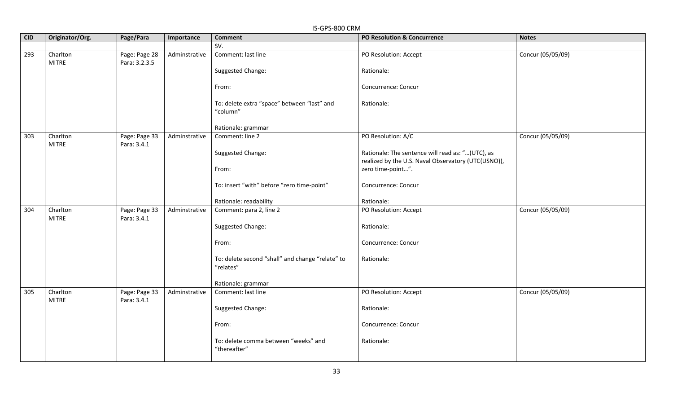|            | IS-GPS-800 CRM           |                                |               |                                                               |                                                                                                         |                   |  |  |  |
|------------|--------------------------|--------------------------------|---------------|---------------------------------------------------------------|---------------------------------------------------------------------------------------------------------|-------------------|--|--|--|
| <b>CID</b> | Originator/Org.          | Page/Para                      | Importance    | <b>Comment</b>                                                | <b>PO Resolution &amp; Concurrence</b>                                                                  | <b>Notes</b>      |  |  |  |
|            |                          |                                |               | SV.                                                           |                                                                                                         |                   |  |  |  |
| 293        | Charlton<br><b>MITRE</b> | Page: Page 28<br>Para: 3.2.3.5 | Adminstrative | Comment: last line<br>Suggested Change:                       | PO Resolution: Accept<br>Rationale:                                                                     | Concur (05/05/09) |  |  |  |
|            |                          |                                |               | From:                                                         | Concurrence: Concur                                                                                     |                   |  |  |  |
|            |                          |                                |               | To: delete extra "space" between "last" and<br>"column"       | Rationale:                                                                                              |                   |  |  |  |
|            |                          |                                |               | Rationale: grammar                                            |                                                                                                         |                   |  |  |  |
| 303        | Charlton<br><b>MITRE</b> | Page: Page 33<br>Para: 3.4.1   | Adminstrative | Comment: line 2                                               | PO Resolution: A/C                                                                                      | Concur (05/05/09) |  |  |  |
|            |                          |                                |               | Suggested Change:                                             | Rationale: The sentence will read as: "(UTC), as<br>realized by the U.S. Naval Observatory (UTC(USNO)), |                   |  |  |  |
|            |                          |                                |               | From:                                                         | zero time-point".                                                                                       |                   |  |  |  |
|            |                          |                                |               | To: insert "with" before "zero time-point"                    | Concurrence: Concur                                                                                     |                   |  |  |  |
| 304        | Charlton                 | Page: Page 33                  |               | Rationale: readability<br>Comment: para 2, line 2             | Rationale:<br>PO Resolution: Accept                                                                     | Concur (05/05/09) |  |  |  |
|            | <b>MITRE</b>             | Para: 3.4.1                    | Adminstrative |                                                               |                                                                                                         |                   |  |  |  |
|            |                          |                                |               | Suggested Change:                                             | Rationale:                                                                                              |                   |  |  |  |
|            |                          |                                |               | From:                                                         | Concurrence: Concur                                                                                     |                   |  |  |  |
|            |                          |                                |               | To: delete second "shall" and change "relate" to<br>"relates" | Rationale:                                                                                              |                   |  |  |  |
|            |                          |                                |               | Rationale: grammar                                            |                                                                                                         |                   |  |  |  |
| 305        | Charlton<br><b>MITRE</b> | Page: Page 33<br>Para: 3.4.1   | Adminstrative | Comment: last line                                            | PO Resolution: Accept                                                                                   | Concur (05/05/09) |  |  |  |
|            |                          |                                |               | Suggested Change:                                             | Rationale:                                                                                              |                   |  |  |  |
|            |                          |                                |               | From:                                                         | Concurrence: Concur                                                                                     |                   |  |  |  |
|            |                          |                                |               | To: delete comma between "weeks" and<br>"thereafter"          | Rationale:                                                                                              |                   |  |  |  |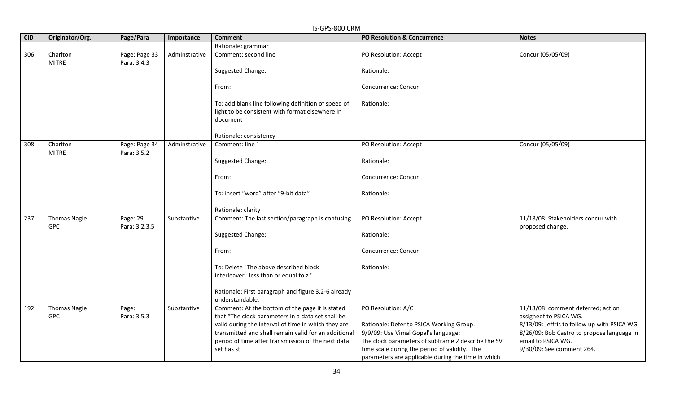|            | IS-GPS-800 CRM                    |                              |               |                                                                                                                    |                                                    |                                                        |  |  |  |
|------------|-----------------------------------|------------------------------|---------------|--------------------------------------------------------------------------------------------------------------------|----------------------------------------------------|--------------------------------------------------------|--|--|--|
| <b>CID</b> | Originator/Org.                   | Page/Para                    | Importance    | <b>Comment</b>                                                                                                     | <b>PO Resolution &amp; Concurrence</b>             | <b>Notes</b>                                           |  |  |  |
|            |                                   |                              |               | Rationale: grammar                                                                                                 |                                                    |                                                        |  |  |  |
| 306        | Charlton<br><b>MITRE</b>          | Page: Page 33<br>Para: 3.4.3 | Adminstrative | Comment: second line                                                                                               | PO Resolution: Accept                              | Concur (05/05/09)                                      |  |  |  |
|            |                                   |                              |               | Suggested Change:                                                                                                  | Rationale:                                         |                                                        |  |  |  |
|            |                                   |                              |               | From:                                                                                                              | Concurrence: Concur                                |                                                        |  |  |  |
|            |                                   |                              |               | To: add blank line following definition of speed of<br>light to be consistent with format elsewhere in<br>document | Rationale:                                         |                                                        |  |  |  |
|            |                                   |                              |               | Rationale: consistency                                                                                             |                                                    |                                                        |  |  |  |
| 308        | Charlton<br><b>MITRE</b>          | Page: Page 34<br>Para: 3.5.2 | Adminstrative | Comment: line 1                                                                                                    | PO Resolution: Accept                              | Concur (05/05/09)                                      |  |  |  |
|            |                                   |                              |               | Suggested Change:                                                                                                  | Rationale:                                         |                                                        |  |  |  |
|            |                                   |                              |               | From:                                                                                                              | Concurrence: Concur                                |                                                        |  |  |  |
|            |                                   |                              |               | To: insert "word" after "9-bit data"                                                                               | Rationale:                                         |                                                        |  |  |  |
|            |                                   |                              |               | Rationale: clarity                                                                                                 |                                                    |                                                        |  |  |  |
| 237        | <b>Thomas Nagle</b><br><b>GPC</b> | Page: 29<br>Para: 3.2.3.5    | Substantive   | Comment: The last section/paragraph is confusing.                                                                  | PO Resolution: Accept                              | 11/18/08: Stakeholders concur with<br>proposed change. |  |  |  |
|            |                                   |                              |               | Suggested Change:                                                                                                  | Rationale:                                         |                                                        |  |  |  |
|            |                                   |                              |               | From:                                                                                                              | Concurrence: Concur                                |                                                        |  |  |  |
|            |                                   |                              |               | To: Delete "The above described block<br>interleaverless than or equal to z."                                      | Rationale:                                         |                                                        |  |  |  |
|            |                                   |                              |               | Rationale: First paragraph and figure 3.2-6 already<br>understandable.                                             |                                                    |                                                        |  |  |  |
| 192        | <b>Thomas Nagle</b>               | Page:                        | Substantive   | Comment: At the bottom of the page it is stated                                                                    | PO Resolution: A/C                                 | 11/18/08: comment deferred; action                     |  |  |  |
|            | <b>GPC</b>                        | Para: 3.5.3                  |               | that "The clock parameters in a data set shall be                                                                  |                                                    | assignedf to PSICA WG.                                 |  |  |  |
|            |                                   |                              |               | valid during the interval of time in which they are                                                                | Rationale: Defer to PSICA Working Group.           | 8/13/09: Jeffris to follow up with PSICA WG            |  |  |  |
|            |                                   |                              |               | transmitted and shall remain valid for an additional                                                               | 9/9/09: Use Vimal Gopal's language:                | 8/26/09: Bob Castro to propose language in             |  |  |  |
|            |                                   |                              |               | period of time after transmission of the next data                                                                 | The clock parameters of subframe 2 describe the SV | email to PSICA WG.                                     |  |  |  |
|            |                                   |                              |               | set has st                                                                                                         | time scale during the period of validity. The      | 9/30/09: See comment 264.                              |  |  |  |
|            |                                   |                              |               |                                                                                                                    | parameters are applicable during the time in which |                                                        |  |  |  |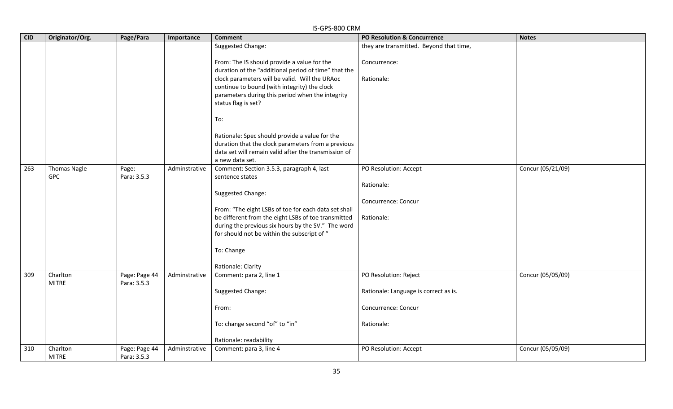|            | IS-GPS-800 CRM           |                              |               |                                                                                                             |                                         |                   |  |  |  |
|------------|--------------------------|------------------------------|---------------|-------------------------------------------------------------------------------------------------------------|-----------------------------------------|-------------------|--|--|--|
| <b>CID</b> | Originator/Org.          | Page/Para                    | Importance    | <b>Comment</b>                                                                                              | <b>PO Resolution &amp; Concurrence</b>  | <b>Notes</b>      |  |  |  |
|            |                          |                              |               | Suggested Change:                                                                                           | they are transmitted. Beyond that time, |                   |  |  |  |
|            |                          |                              |               | From: The IS should provide a value for the                                                                 | Concurrence:                            |                   |  |  |  |
|            |                          |                              |               | duration of the "additional period of time" that the                                                        |                                         |                   |  |  |  |
|            |                          |                              |               | clock parameters will be valid. Will the URAoc                                                              | Rationale:                              |                   |  |  |  |
|            |                          |                              |               | continue to bound (with integrity) the clock                                                                |                                         |                   |  |  |  |
|            |                          |                              |               | parameters during this period when the integrity                                                            |                                         |                   |  |  |  |
|            |                          |                              |               | status flag is set?                                                                                         |                                         |                   |  |  |  |
|            |                          |                              |               | To:                                                                                                         |                                         |                   |  |  |  |
|            |                          |                              |               | Rationale: Spec should provide a value for the                                                              |                                         |                   |  |  |  |
|            |                          |                              |               | duration that the clock parameters from a previous                                                          |                                         |                   |  |  |  |
|            |                          |                              |               | data set will remain valid after the transmission of                                                        |                                         |                   |  |  |  |
|            |                          |                              |               | a new data set.                                                                                             |                                         |                   |  |  |  |
| 263        | <b>Thomas Nagle</b>      | Page:                        | Adminstrative | Comment: Section 3.5.3, paragraph 4, last                                                                   | PO Resolution: Accept                   | Concur (05/21/09) |  |  |  |
|            | <b>GPC</b>               | Para: 3.5.3                  |               | sentence states                                                                                             |                                         |                   |  |  |  |
|            |                          |                              |               |                                                                                                             | Rationale:                              |                   |  |  |  |
|            |                          |                              |               | Suggested Change:                                                                                           |                                         |                   |  |  |  |
|            |                          |                              |               |                                                                                                             | Concurrence: Concur                     |                   |  |  |  |
|            |                          |                              |               | From: "The eight LSBs of toe for each data set shall<br>be different from the eight LSBs of toe transmitted | Rationale:                              |                   |  |  |  |
|            |                          |                              |               | during the previous six hours by the SV." The word                                                          |                                         |                   |  |  |  |
|            |                          |                              |               | for should not be within the subscript of "                                                                 |                                         |                   |  |  |  |
|            |                          |                              |               |                                                                                                             |                                         |                   |  |  |  |
|            |                          |                              |               | To: Change                                                                                                  |                                         |                   |  |  |  |
|            |                          |                              |               |                                                                                                             |                                         |                   |  |  |  |
|            |                          |                              |               | Rationale: Clarity                                                                                          |                                         |                   |  |  |  |
| 309        | Charlton<br><b>MITRE</b> | Page: Page 44<br>Para: 3.5.3 | Adminstrative | Comment: para 2, line 1                                                                                     | PO Resolution: Reject                   | Concur (05/05/09) |  |  |  |
|            |                          |                              |               | Suggested Change:                                                                                           | Rationale: Language is correct as is.   |                   |  |  |  |
|            |                          |                              |               |                                                                                                             |                                         |                   |  |  |  |
|            |                          |                              |               | From:                                                                                                       | Concurrence: Concur                     |                   |  |  |  |
|            |                          |                              |               |                                                                                                             |                                         |                   |  |  |  |
|            |                          |                              |               | To: change second "of" to "in"                                                                              | Rationale:                              |                   |  |  |  |
|            |                          |                              |               | Rationale: readability                                                                                      |                                         |                   |  |  |  |
| 310        | Charlton                 | Page: Page 44                | Adminstrative | Comment: para 3, line 4                                                                                     | PO Resolution: Accept                   | Concur (05/05/09) |  |  |  |
|            | <b>MITRE</b>             | Para: 3.5.3                  |               |                                                                                                             |                                         |                   |  |  |  |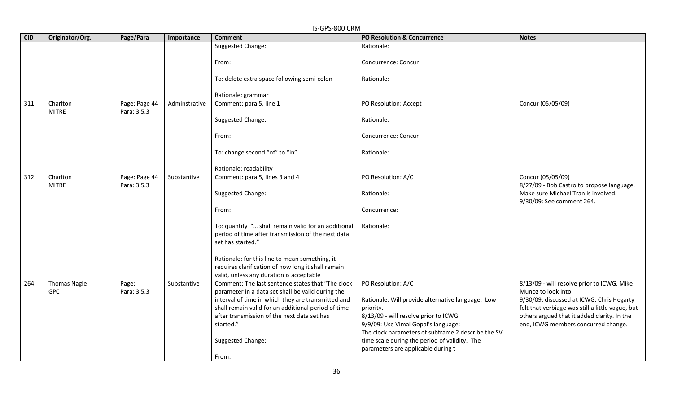|            | IS-GPS-800 CRM           |                              |               |                                                                                                           |                                                                                           |                                                                  |  |  |
|------------|--------------------------|------------------------------|---------------|-----------------------------------------------------------------------------------------------------------|-------------------------------------------------------------------------------------------|------------------------------------------------------------------|--|--|
| <b>CID</b> | Originator/Org.          | Page/Para                    | Importance    | <b>Comment</b>                                                                                            | <b>PO Resolution &amp; Concurrence</b>                                                    | <b>Notes</b>                                                     |  |  |
|            |                          |                              |               | Suggested Change:                                                                                         | Rationale:                                                                                |                                                                  |  |  |
|            |                          |                              |               | From:                                                                                                     | Concurrence: Concur                                                                       |                                                                  |  |  |
|            |                          |                              |               | To: delete extra space following semi-colon                                                               | Rationale:                                                                                |                                                                  |  |  |
|            |                          |                              |               | Rationale: grammar                                                                                        |                                                                                           |                                                                  |  |  |
| 311        | Charlton<br><b>MITRE</b> | Page: Page 44<br>Para: 3.5.3 | Adminstrative | Comment: para 5, line 1                                                                                   | PO Resolution: Accept                                                                     | Concur (05/05/09)                                                |  |  |
|            |                          |                              |               | Suggested Change:                                                                                         | Rationale:                                                                                |                                                                  |  |  |
|            |                          |                              |               | From:                                                                                                     | Concurrence: Concur                                                                       |                                                                  |  |  |
|            |                          |                              |               | To: change second "of" to "in"                                                                            | Rationale:                                                                                |                                                                  |  |  |
|            |                          |                              |               | Rationale: readability                                                                                    |                                                                                           |                                                                  |  |  |
| 312        | Charlton<br><b>MITRE</b> | Page: Page 44<br>Para: 3.5.3 | Substantive   | Comment: para 5, lines 3 and 4                                                                            | PO Resolution: A/C                                                                        | Concur (05/05/09)<br>8/27/09 - Bob Castro to propose language.   |  |  |
|            |                          |                              |               | Suggested Change:                                                                                         | Rationale:                                                                                | Make sure Michael Tran is involved.<br>9/30/09: See comment 264. |  |  |
|            |                          |                              |               | From:                                                                                                     | Concurrence:                                                                              |                                                                  |  |  |
|            |                          |                              |               | To: quantify " shall remain valid for an additional<br>period of time after transmission of the next data | Rationale:                                                                                |                                                                  |  |  |
|            |                          |                              |               | set has started."                                                                                         |                                                                                           |                                                                  |  |  |
|            |                          |                              |               | Rationale: for this line to mean something, it                                                            |                                                                                           |                                                                  |  |  |
|            |                          |                              |               | requires clarification of how long it shall remain                                                        |                                                                                           |                                                                  |  |  |
| 264        | <b>Thomas Nagle</b>      | Page:                        | Substantive   | valid, unless any duration is acceptable<br>Comment: The last sentence states that "The clock             | PO Resolution: A/C                                                                        | 8/13/09 - will resolve prior to ICWG. Mike                       |  |  |
|            | <b>GPC</b>               | Para: 3.5.3                  |               | parameter in a data set shall be valid during the                                                         |                                                                                           | Munoz to look into.                                              |  |  |
|            |                          |                              |               | interval of time in which they are transmitted and                                                        | Rationale: Will provide alternative language. Low                                         | 9/30/09: discussed at ICWG. Chris Hegarty                        |  |  |
|            |                          |                              |               | shall remain valid for an additional period of time                                                       | priority.                                                                                 | felt that verbiage was still a little vague, but                 |  |  |
|            |                          |                              |               | after transmission of the next data set has                                                               | 8/13/09 - will resolve prior to ICWG                                                      | others argued that it added clarity. In the                      |  |  |
|            |                          |                              |               | started."                                                                                                 | 9/9/09: Use Vimal Gopal's language:<br>The clock parameters of subframe 2 describe the SV | end, ICWG members concurred change.                              |  |  |
|            |                          |                              |               | Suggested Change:                                                                                         | time scale during the period of validity. The                                             |                                                                  |  |  |
|            |                          |                              |               | From:                                                                                                     | parameters are applicable during t                                                        |                                                                  |  |  |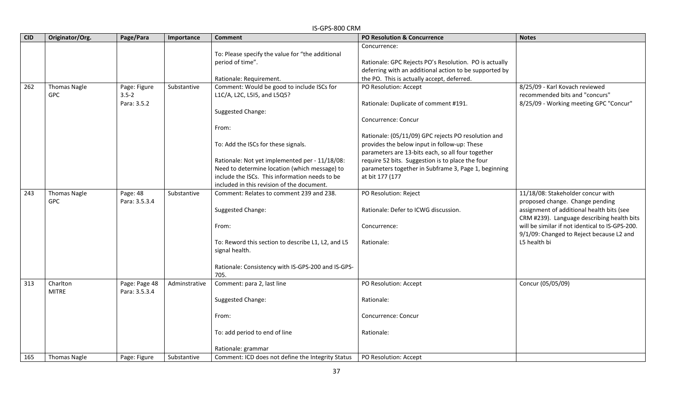| <b>CID</b> | Originator/Org.     | Page/Para     | Importance    | <b>Comment</b>                                                                                  | PO Resolution & Concurrence                            | <b>Notes</b>                                    |
|------------|---------------------|---------------|---------------|-------------------------------------------------------------------------------------------------|--------------------------------------------------------|-------------------------------------------------|
|            |                     |               |               |                                                                                                 | Concurrence:                                           |                                                 |
|            |                     |               |               | To: Please specify the value for "the additional                                                |                                                        |                                                 |
|            |                     |               |               | period of time".                                                                                | Rationale: GPC Rejects PO's Resolution. PO is actually |                                                 |
|            |                     |               |               |                                                                                                 | deferring with an additional action to be supported by |                                                 |
|            |                     |               |               | Rationale: Requirement.                                                                         | the PO. This is actually accept, deferred.             |                                                 |
| 262        | <b>Thomas Nagle</b> | Page: Figure  | Substantive   | Comment: Would be good to include ISCs for                                                      | PO Resolution: Accept                                  | 8/25/09 - Karl Kovach reviewed                  |
|            | <b>GPC</b>          | $3.5 - 2$     |               | L1C/A, L2C, L5I5, and L5Q5?                                                                     |                                                        | recommended bits and "concurs"                  |
|            |                     | Para: 3.5.2   |               |                                                                                                 | Rationale: Duplicate of comment #191.                  | 8/25/09 - Working meeting GPC "Concur"          |
|            |                     |               |               | Suggested Change:                                                                               |                                                        |                                                 |
|            |                     |               |               |                                                                                                 | Concurrence: Concur                                    |                                                 |
|            |                     |               |               | From:                                                                                           |                                                        |                                                 |
|            |                     |               |               |                                                                                                 | Rationale: (05/11/09) GPC rejects PO resolution and    |                                                 |
|            |                     |               |               | To: Add the ISCs for these signals.                                                             | provides the below input in follow-up: These           |                                                 |
|            |                     |               |               |                                                                                                 | parameters are 13-bits each, so all four together      |                                                 |
|            |                     |               |               | Rationale: Not yet implemented per - 11/18/08:                                                  | require 52 bits. Suggestion is to place the four       |                                                 |
|            |                     |               |               | Need to determine location (which message) to<br>include the ISCs. This information needs to be | parameters together in Subframe 3, Page 1, beginning   |                                                 |
|            |                     |               |               | included in this revision of the document.                                                      | at bit 177 (177                                        |                                                 |
| 243        | <b>Thomas Nagle</b> | Page: 48      | Substantive   | Comment: Relates to comment 239 and 238.                                                        | PO Resolution: Reject                                  | 11/18/08: Stakeholder concur with               |
|            | <b>GPC</b>          | Para: 3.5.3.4 |               |                                                                                                 |                                                        | proposed change. Change pending                 |
|            |                     |               |               | Suggested Change:                                                                               | Rationale: Defer to ICWG discussion.                   | assignment of additional health bits (see       |
|            |                     |               |               |                                                                                                 |                                                        | CRM #239). Language describing health bits      |
|            |                     |               |               | From:                                                                                           | Concurrence:                                           | will be similar if not identical to IS-GPS-200. |
|            |                     |               |               |                                                                                                 |                                                        | 9/1/09: Changed to Reject because L2 and        |
|            |                     |               |               | To: Reword this section to describe L1, L2, and L5                                              | Rationale:                                             | L5 health bi                                    |
|            |                     |               |               | signal health.                                                                                  |                                                        |                                                 |
|            |                     |               |               |                                                                                                 |                                                        |                                                 |
|            |                     |               |               | Rationale: Consistency with IS-GPS-200 and IS-GPS-                                              |                                                        |                                                 |
|            |                     |               |               | 705.                                                                                            |                                                        |                                                 |
| 313        | Charlton            | Page: Page 48 | Adminstrative | Comment: para 2, last line                                                                      | PO Resolution: Accept                                  | Concur (05/05/09)                               |
|            | <b>MITRE</b>        | Para: 3.5.3.4 |               |                                                                                                 |                                                        |                                                 |
|            |                     |               |               | Suggested Change:                                                                               | Rationale:                                             |                                                 |
|            |                     |               |               |                                                                                                 |                                                        |                                                 |
|            |                     |               |               | From:                                                                                           | Concurrence: Concur                                    |                                                 |
|            |                     |               |               |                                                                                                 |                                                        |                                                 |
|            |                     |               |               | To: add period to end of line                                                                   | Rationale:                                             |                                                 |
|            |                     |               |               | Rationale: grammar                                                                              |                                                        |                                                 |
| 165        | <b>Thomas Nagle</b> | Page: Figure  | Substantive   | Comment: ICD does not define the Integrity Status                                               | PO Resolution: Accept                                  |                                                 |
|            |                     |               |               |                                                                                                 |                                                        |                                                 |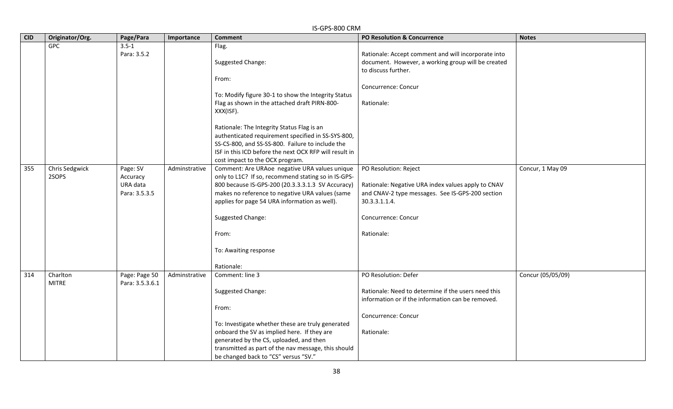|                                 | IS-GPS-800 CRM                   |               |                                                                                                                                                                                                                                                   |                                                                                                           |                   |  |  |  |  |  |
|---------------------------------|----------------------------------|---------------|---------------------------------------------------------------------------------------------------------------------------------------------------------------------------------------------------------------------------------------------------|-----------------------------------------------------------------------------------------------------------|-------------------|--|--|--|--|--|
| <b>CID</b><br>Originator/Org.   | Page/Para                        | Importance    | <b>Comment</b>                                                                                                                                                                                                                                    | <b>PO Resolution &amp; Concurrence</b>                                                                    | <b>Notes</b>      |  |  |  |  |  |
| <b>GPC</b>                      | $3.5 - 1$<br>Para: 3.5.2         |               | Flag.<br>Suggested Change:                                                                                                                                                                                                                        | Rationale: Accept comment and will incorporate into<br>document. However, a working group will be created |                   |  |  |  |  |  |
|                                 |                                  |               | From:                                                                                                                                                                                                                                             | to discuss further.<br>Concurrence: Concur                                                                |                   |  |  |  |  |  |
|                                 |                                  |               | To: Modify figure 30-1 to show the Integrity Status<br>Flag as shown in the attached draft PIRN-800-                                                                                                                                              | Rationale:                                                                                                |                   |  |  |  |  |  |
|                                 |                                  |               | XXX(ISF).                                                                                                                                                                                                                                         |                                                                                                           |                   |  |  |  |  |  |
|                                 |                                  |               | Rationale: The Integrity Status Flag is an<br>authenticated requirement specified in SS-SYS-800,<br>SS-CS-800, and SS-SS-800. Failure to include the<br>ISF in this ICD before the next OCX RFP will result in<br>cost impact to the OCX program. |                                                                                                           |                   |  |  |  |  |  |
| Chris Sedgwick<br>355<br>2SOPS  | Page: SV<br>Accuracy             | Adminstrative | Comment: Are URAoe negative URA values unique<br>only to L1C? If so, recommend stating so in IS-GPS-                                                                                                                                              | PO Resolution: Reject                                                                                     | Concur, 1 May 09  |  |  |  |  |  |
|                                 | URA data                         |               | 800 because IS-GPS-200 (20.3.3.3.1.3 SV Accuracy)                                                                                                                                                                                                 | Rationale: Negative URA index values apply to CNAV                                                        |                   |  |  |  |  |  |
|                                 | Para: 3.5.3.5                    |               | makes no reference to negative URA values (same                                                                                                                                                                                                   | and CNAV-2 type messages. See IS-GPS-200 section                                                          |                   |  |  |  |  |  |
|                                 |                                  |               | applies for page 54 URA information as well).                                                                                                                                                                                                     | 30.3.3.1.1.4.                                                                                             |                   |  |  |  |  |  |
|                                 |                                  |               | Suggested Change:                                                                                                                                                                                                                                 | Concurrence: Concur                                                                                       |                   |  |  |  |  |  |
|                                 |                                  |               | From:                                                                                                                                                                                                                                             | Rationale:                                                                                                |                   |  |  |  |  |  |
|                                 |                                  |               | To: Awaiting response                                                                                                                                                                                                                             |                                                                                                           |                   |  |  |  |  |  |
|                                 |                                  |               | Rationale:                                                                                                                                                                                                                                        |                                                                                                           |                   |  |  |  |  |  |
| 314<br>Charlton<br><b>MITRE</b> | Page: Page 50<br>Para: 3.5.3.6.1 | Adminstrative | Comment: line 3                                                                                                                                                                                                                                   | PO Resolution: Defer                                                                                      | Concur (05/05/09) |  |  |  |  |  |
|                                 |                                  |               | Suggested Change:                                                                                                                                                                                                                                 | Rationale: Need to determine if the users need this<br>information or if the information can be removed.  |                   |  |  |  |  |  |
|                                 |                                  |               | From:                                                                                                                                                                                                                                             |                                                                                                           |                   |  |  |  |  |  |
|                                 |                                  |               |                                                                                                                                                                                                                                                   | Concurrence: Concur                                                                                       |                   |  |  |  |  |  |
|                                 |                                  |               | To: Investigate whether these are truly generated                                                                                                                                                                                                 |                                                                                                           |                   |  |  |  |  |  |
|                                 |                                  |               | onboard the SV as implied here. If they are                                                                                                                                                                                                       | Rationale:                                                                                                |                   |  |  |  |  |  |
|                                 |                                  |               | generated by the CS, uploaded, and then<br>transmitted as part of the nav message, this should                                                                                                                                                    |                                                                                                           |                   |  |  |  |  |  |
|                                 |                                  |               |                                                                                                                                                                                                                                                   |                                                                                                           |                   |  |  |  |  |  |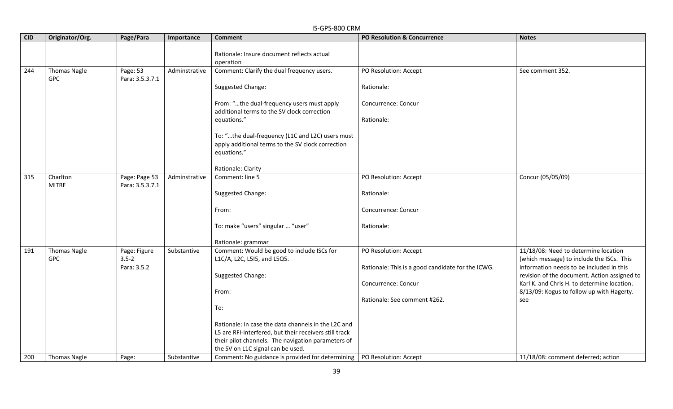|            | IS-GPS-800 CRM                    |                                          |               |                                                                                                                                                                                                                                                                                                                            |                                                                                                                                   |                                                                                                                                                                                                                                                                                  |  |  |  |
|------------|-----------------------------------|------------------------------------------|---------------|----------------------------------------------------------------------------------------------------------------------------------------------------------------------------------------------------------------------------------------------------------------------------------------------------------------------------|-----------------------------------------------------------------------------------------------------------------------------------|----------------------------------------------------------------------------------------------------------------------------------------------------------------------------------------------------------------------------------------------------------------------------------|--|--|--|
| <b>CID</b> | Originator/Org.                   | Page/Para                                | Importance    | <b>Comment</b>                                                                                                                                                                                                                                                                                                             | <b>PO Resolution &amp; Concurrence</b>                                                                                            | <b>Notes</b>                                                                                                                                                                                                                                                                     |  |  |  |
|            |                                   |                                          |               | Rationale: Insure document reflects actual<br>operation                                                                                                                                                                                                                                                                    |                                                                                                                                   |                                                                                                                                                                                                                                                                                  |  |  |  |
| 244        | <b>Thomas Nagle</b><br><b>GPC</b> | Page: 53<br>Para: 3.5.3.7.1              | Adminstrative | Comment: Clarify the dual frequency users.<br>Suggested Change:<br>From: "the dual-frequency users must apply<br>additional terms to the SV clock correction<br>equations."<br>To: "the dual-frequency (L1C and L2C) users must<br>apply additional terms to the SV clock correction<br>equations."<br>Rationale: Clarity  | PO Resolution: Accept<br>Rationale:<br>Concurrence: Concur<br>Rationale:                                                          | See comment 352.                                                                                                                                                                                                                                                                 |  |  |  |
| 315        | Charlton<br><b>MITRE</b>          | Page: Page 53<br>Para: 3.5.3.7.1         | Adminstrative | Comment: line 5<br>Suggested Change:<br>From:<br>To: make "users" singular  "user"<br>Rationale: grammar                                                                                                                                                                                                                   | PO Resolution: Accept<br>Rationale:<br>Concurrence: Concur<br>Rationale:                                                          | Concur (05/05/09)                                                                                                                                                                                                                                                                |  |  |  |
| 191        | <b>Thomas Nagle</b><br><b>GPC</b> | Page: Figure<br>$3.5 - 2$<br>Para: 3.5.2 | Substantive   | Comment: Would be good to include ISCs for<br>L1C/A, L2C, L5I5, and L5Q5.<br>Suggested Change:<br>From:<br>To:<br>Rationale: In case the data channels in the L2C and<br>L5 are RFI-interfered, but their receivers still track<br>their pilot channels. The navigation parameters of<br>the SV on L1C signal can be used. | PO Resolution: Accept<br>Rationale: This is a good candidate for the ICWG.<br>Concurrence: Concur<br>Rationale: See comment #262. | 11/18/08: Need to determine location<br>(which message) to include the ISCs. This<br>information needs to be included in this<br>revision of the document. Action assigned to<br>Karl K. and Chris H. to determine location.<br>8/13/09: Kogus to follow up with Hagerty.<br>see |  |  |  |
| 200        | <b>Thomas Nagle</b>               | Page:                                    | Substantive   | Comment: No guidance is provided for determining   PO Resolution: Accept                                                                                                                                                                                                                                                   |                                                                                                                                   | 11/18/08: comment deferred; action                                                                                                                                                                                                                                               |  |  |  |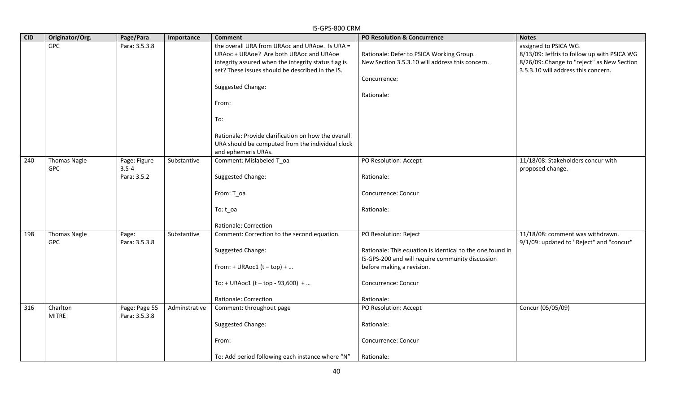|            | IS-GPS-800 CRM                    |                                          |               |                                                                                                                                                                                                                                                                                                                                                                             |                                                                                                                                                                                                          |                                                                                                                                                           |  |  |
|------------|-----------------------------------|------------------------------------------|---------------|-----------------------------------------------------------------------------------------------------------------------------------------------------------------------------------------------------------------------------------------------------------------------------------------------------------------------------------------------------------------------------|----------------------------------------------------------------------------------------------------------------------------------------------------------------------------------------------------------|-----------------------------------------------------------------------------------------------------------------------------------------------------------|--|--|
| <b>CID</b> | Originator/Org.                   | Page/Para                                | Importance    | <b>Comment</b>                                                                                                                                                                                                                                                                                                                                                              | PO Resolution & Concurrence                                                                                                                                                                              | <b>Notes</b>                                                                                                                                              |  |  |
|            | <b>GPC</b>                        | Para: 3.5.3.8                            |               | the overall URA from URAoc and URAoe. Is URA =<br>URAoc + URAoe? Are both URAoc and URAoe<br>integrity assured when the integrity status flag is<br>set? These issues should be described in the IS.<br>Suggested Change:<br>From:<br>To:<br>Rationale: Provide clarification on how the overall<br>URA should be computed from the individual clock<br>and ephemeris URAs. | Rationale: Defer to PSICA Working Group.<br>New Section 3.5.3.10 will address this concern.<br>Concurrence:<br>Rationale:                                                                                | assigned to PSICA WG.<br>8/13/09: Jeffris to follow up with PSICA WG<br>8/26/09: Change to "reject" as New Section<br>3.5.3.10 will address this concern. |  |  |
| 240        | <b>Thomas Nagle</b><br><b>GPC</b> | Page: Figure<br>$3.5 - 4$<br>Para: 3.5.2 | Substantive   | Comment: Mislabeled T_oa<br>Suggested Change:<br>From: T_oa<br>To: t_oa<br>Rationale: Correction                                                                                                                                                                                                                                                                            | PO Resolution: Accept<br>Rationale:<br>Concurrence: Concur<br>Rationale:                                                                                                                                 | 11/18/08: Stakeholders concur with<br>proposed change.                                                                                                    |  |  |
| 198        | <b>Thomas Nagle</b><br>GPC        | Page:<br>Para: 3.5.3.8                   | Substantive   | Comment: Correction to the second equation.<br>Suggested Change:<br>From: + URAoc1 $(t - top) + $<br>To: + URAoc1 $(t - top - 93,600) + $<br>Rationale: Correction                                                                                                                                                                                                          | PO Resolution: Reject<br>Rationale: This equation is identical to the one found in<br>IS-GPS-200 and will require community discussion<br>before making a revision.<br>Concurrence: Concur<br>Rationale: | 11/18/08: comment was withdrawn.<br>9/1/09: updated to "Reject" and "concur"                                                                              |  |  |
| 316        | Charlton<br><b>MITRE</b>          | Page: Page 55<br>Para: 3.5.3.8           | Adminstrative | Comment: throughout page<br>Suggested Change:<br>From:<br>To: Add period following each instance where "N"                                                                                                                                                                                                                                                                  | PO Resolution: Accept<br>Rationale:<br>Concurrence: Concur<br>Rationale:                                                                                                                                 | Concur (05/05/09)                                                                                                                                         |  |  |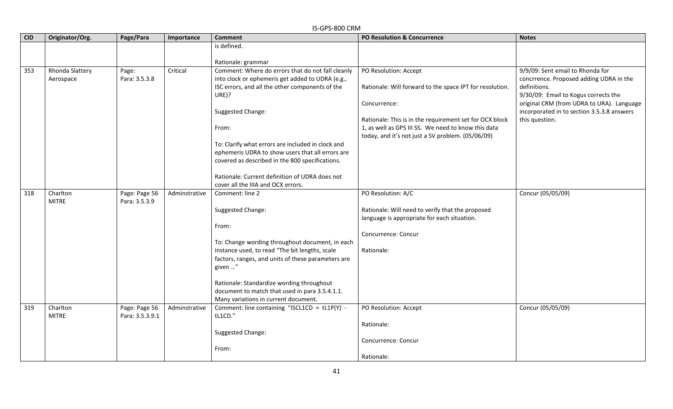|     | IS-GPS-800 CRM  |                 |               |                                                    |                                                          |                                            |  |  |  |  |
|-----|-----------------|-----------------|---------------|----------------------------------------------------|----------------------------------------------------------|--------------------------------------------|--|--|--|--|
| CID | Originator/Org. | Page/Para       | Importance    | <b>Comment</b>                                     | <b>PO Resolution &amp; Concurrence</b>                   | <b>Notes</b>                               |  |  |  |  |
|     |                 |                 |               | is defined.                                        |                                                          |                                            |  |  |  |  |
|     |                 |                 |               |                                                    |                                                          |                                            |  |  |  |  |
|     |                 |                 |               | Rationale: grammar                                 |                                                          |                                            |  |  |  |  |
| 353 | Rhonda Slattery | Page:           | Critical      | Comment: Where do errors that do not fall cleanly  | PO Resolution: Accept                                    | 9/9/09: Sent email to Rhonda for           |  |  |  |  |
|     | Aerospace       | Para: 3.5.3.8   |               | into clock or ephemeris get added to UDRA (e.g.,   |                                                          | concrrence. Proposed adding UDRA in the    |  |  |  |  |
|     |                 |                 |               | ISC errors, and all the other components of the    | Rationale: Will forward to the space IPT for resolution. | definitions.                               |  |  |  |  |
|     |                 |                 |               | URE)?                                              |                                                          | 9/30/09: Email to Kogus corrects the       |  |  |  |  |
|     |                 |                 |               |                                                    | Concurrence:                                             | original CRM (from UDRA to URA). Language  |  |  |  |  |
|     |                 |                 |               | Suggested Change:                                  |                                                          | incorporated in to section 3.5.3.8 answers |  |  |  |  |
|     |                 |                 |               |                                                    | Rationale: This is in the requirement set for OCX block  | this question.                             |  |  |  |  |
|     |                 |                 |               | From:                                              | 1, as well as GPS III SS. We need to know this data      |                                            |  |  |  |  |
|     |                 |                 |               |                                                    | today, and it's not just a SV problem. (05/06/09)        |                                            |  |  |  |  |
|     |                 |                 |               | To: Clarify what errors are included in clock and  |                                                          |                                            |  |  |  |  |
|     |                 |                 |               | ephemeris UDRA to show users that all errors are   |                                                          |                                            |  |  |  |  |
|     |                 |                 |               | covered as described in the 800 specifications.    |                                                          |                                            |  |  |  |  |
|     |                 |                 |               | Rationale: Current definition of UDRA does not     |                                                          |                                            |  |  |  |  |
|     |                 |                 |               | cover all the IIIA and OCX errors.                 |                                                          |                                            |  |  |  |  |
| 318 | Charlton        | Page: Page 56   | Adminstrative | Comment: line 2                                    | PO Resolution: A/C                                       | Concur (05/05/09)                          |  |  |  |  |
|     | <b>MITRE</b>    | Para: 3.5.3.9   |               |                                                    |                                                          |                                            |  |  |  |  |
|     |                 |                 |               | Suggested Change:                                  | Rationale: Will need to verify that the proposed         |                                            |  |  |  |  |
|     |                 |                 |               |                                                    | language is appropriate for each situation.              |                                            |  |  |  |  |
|     |                 |                 |               | From:                                              |                                                          |                                            |  |  |  |  |
|     |                 |                 |               |                                                    | Concurrence: Concur                                      |                                            |  |  |  |  |
|     |                 |                 |               | To: Change wording throughout document, in each    |                                                          |                                            |  |  |  |  |
|     |                 |                 |               | instance used, to read "The bit lengths, scale     | Rationale:                                               |                                            |  |  |  |  |
|     |                 |                 |               | factors, ranges, and units of these parameters are |                                                          |                                            |  |  |  |  |
|     |                 |                 |               | given "                                            |                                                          |                                            |  |  |  |  |
|     |                 |                 |               |                                                    |                                                          |                                            |  |  |  |  |
|     |                 |                 |               | Rationale: Standardize wording throughout          |                                                          |                                            |  |  |  |  |
|     |                 |                 |               | document to match that used in para 3.5.4.1.1.     |                                                          |                                            |  |  |  |  |
|     |                 |                 |               | Many variations in current document.               |                                                          |                                            |  |  |  |  |
| 319 | Charlton        | Page: Page 56   | Adminstrative | Comment: line containing "ISCL1CD = $tL1P(Y)$ -    | PO Resolution: Accept                                    | Concur (05/05/09)                          |  |  |  |  |
|     | <b>MITRE</b>    | Para: 3.5.3.9.1 |               | tL1CD."                                            |                                                          |                                            |  |  |  |  |
|     |                 |                 |               |                                                    | Rationale:                                               |                                            |  |  |  |  |
|     |                 |                 |               | Suggested Change:                                  |                                                          |                                            |  |  |  |  |
|     |                 |                 |               |                                                    | Concurrence: Concur                                      |                                            |  |  |  |  |
|     |                 |                 |               | From:                                              |                                                          |                                            |  |  |  |  |
|     |                 |                 |               |                                                    | Rationale:                                               |                                            |  |  |  |  |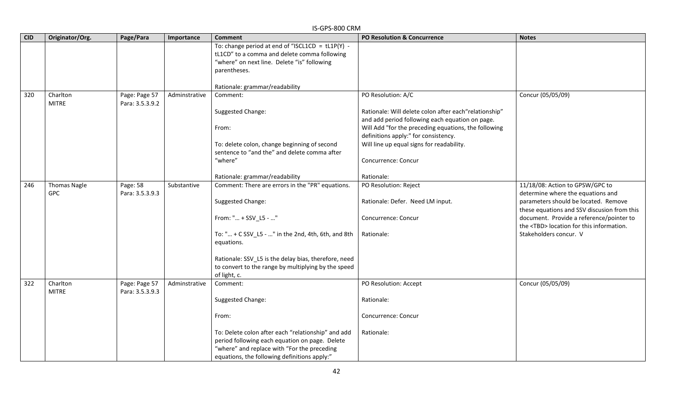|            | IS-GPS-800 CRM                    |                                  |               |                                                                                                                                                                                                                                                                                                  |                                                                                                                                                                                                                                                                              |                                                                                                                                                                                                                                                                                      |  |  |
|------------|-----------------------------------|----------------------------------|---------------|--------------------------------------------------------------------------------------------------------------------------------------------------------------------------------------------------------------------------------------------------------------------------------------------------|------------------------------------------------------------------------------------------------------------------------------------------------------------------------------------------------------------------------------------------------------------------------------|--------------------------------------------------------------------------------------------------------------------------------------------------------------------------------------------------------------------------------------------------------------------------------------|--|--|
| <b>CID</b> | Originator/Org.                   | Page/Para                        | Importance    | <b>Comment</b>                                                                                                                                                                                                                                                                                   | PO Resolution & Concurrence                                                                                                                                                                                                                                                  | <b>Notes</b>                                                                                                                                                                                                                                                                         |  |  |
|            |                                   |                                  |               | To: change period at end of "ISCL1CD = $tL1P(Y)$ -<br>tL1CD" to a comma and delete comma following<br>"where" on next line. Delete "is" following<br>parentheses.<br>Rationale: grammar/readability                                                                                              |                                                                                                                                                                                                                                                                              |                                                                                                                                                                                                                                                                                      |  |  |
| 320        | Charlton                          | Page: Page 57                    | Adminstrative | Comment:                                                                                                                                                                                                                                                                                         | PO Resolution: A/C                                                                                                                                                                                                                                                           | Concur (05/05/09)                                                                                                                                                                                                                                                                    |  |  |
|            | <b>MITRE</b>                      | Para: 3.5.3.9.2                  |               | Suggested Change:<br>From:<br>To: delete colon, change beginning of second<br>sentence to "and the" and delete comma after<br>"where"                                                                                                                                                            | Rationale: Will delete colon after each"relationship"<br>and add period following each equation on page.<br>Will Add "for the preceding equations, the following<br>definitions apply:" for consistency.<br>Will line up equal signs for readability.<br>Concurrence: Concur |                                                                                                                                                                                                                                                                                      |  |  |
|            |                                   |                                  |               | Rationale: grammar/readability                                                                                                                                                                                                                                                                   | Rationale:                                                                                                                                                                                                                                                                   |                                                                                                                                                                                                                                                                                      |  |  |
| 246        | <b>Thomas Nagle</b><br><b>GPC</b> | Page: 58<br>Para: 3.5.3.9.3      | Substantive   | Comment: There are errors in the "PR" equations.<br>Suggested Change:<br>From: " + SSV_L5 - "<br>To: " + C SSV_L5 - " in the 2nd, 4th, 6th, and 8th<br>equations.<br>Rationale: SSV_L5 is the delay bias, therefore, need<br>to convert to the range by multiplying by the speed<br>of light, c. | PO Resolution: Reject<br>Rationale: Defer. Need LM input.<br>Concurrence: Concur<br>Rationale:                                                                                                                                                                               | 11/18/08: Action to GPSW/GPC to<br>determine where the equations and<br>parameters should be located. Remove<br>these equations and SSV discusion from this<br>document. Provide a reference/pointer to<br>the <tbd> location for this information.<br/>Stakeholders concur. V</tbd> |  |  |
| 322        | Charlton<br><b>MITRE</b>          | Page: Page 57<br>Para: 3.5.3.9.3 | Adminstrative | Comment:<br>Suggested Change:<br>From:<br>To: Delete colon after each "relationship" and add<br>period following each equation on page. Delete<br>"where" and replace with "For the preceding<br>equations, the following definitions apply:"                                                    | PO Resolution: Accept<br>Rationale:<br>Concurrence: Concur<br>Rationale:                                                                                                                                                                                                     | Concur (05/05/09)                                                                                                                                                                                                                                                                    |  |  |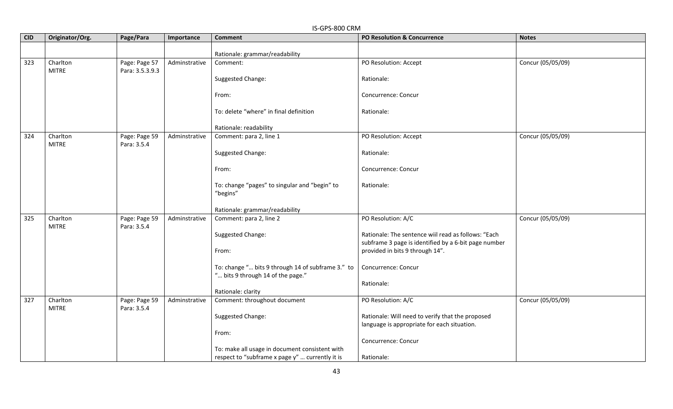|            | IS-GPS-800 CRM           |                                  |               |                                                                                        |                                                                                                             |                   |  |  |  |
|------------|--------------------------|----------------------------------|---------------|----------------------------------------------------------------------------------------|-------------------------------------------------------------------------------------------------------------|-------------------|--|--|--|
| <b>CID</b> | Originator/Org.          | Page/Para                        | Importance    | <b>Comment</b>                                                                         | <b>PO Resolution &amp; Concurrence</b>                                                                      | <b>Notes</b>      |  |  |  |
|            |                          |                                  |               | Rationale: grammar/readability                                                         |                                                                                                             |                   |  |  |  |
| 323        | Charlton<br><b>MITRE</b> | Page: Page 57<br>Para: 3.5.3.9.3 | Adminstrative | Comment:                                                                               | PO Resolution: Accept                                                                                       | Concur (05/05/09) |  |  |  |
|            |                          |                                  |               | Suggested Change:                                                                      | Rationale:                                                                                                  |                   |  |  |  |
|            |                          |                                  |               | From:                                                                                  | Concurrence: Concur                                                                                         |                   |  |  |  |
|            |                          |                                  |               | To: delete "where" in final definition                                                 | Rationale:                                                                                                  |                   |  |  |  |
|            |                          |                                  |               | Rationale: readability                                                                 |                                                                                                             |                   |  |  |  |
| 324        | Charlton<br><b>MITRE</b> | Page: Page 59<br>Para: 3.5.4     | Adminstrative | Comment: para 2, line 1                                                                | PO Resolution: Accept                                                                                       | Concur (05/05/09) |  |  |  |
|            |                          |                                  |               | Suggested Change:                                                                      | Rationale:                                                                                                  |                   |  |  |  |
|            |                          |                                  |               | From:                                                                                  | Concurrence: Concur                                                                                         |                   |  |  |  |
|            |                          |                                  |               | To: change "pages" to singular and "begin" to<br>"begins"                              | Rationale:                                                                                                  |                   |  |  |  |
|            |                          |                                  |               | Rationale: grammar/readability                                                         |                                                                                                             |                   |  |  |  |
| 325        | Charlton<br><b>MITRE</b> | Page: Page 59<br>Para: 3.5.4     | Adminstrative | Comment: para 2, line 2                                                                | PO Resolution: A/C                                                                                          | Concur (05/05/09) |  |  |  |
|            |                          |                                  |               | Suggested Change:                                                                      | Rationale: The sentence wiil read as follows: "Each<br>subframe 3 page is identified by a 6-bit page number |                   |  |  |  |
|            |                          |                                  |               | From:                                                                                  | provided in bits 9 through 14".                                                                             |                   |  |  |  |
|            |                          |                                  |               | To: change " bits 9 through 14 of subframe 3." to<br>" bits 9 through 14 of the page." | Concurrence: Concur                                                                                         |                   |  |  |  |
|            |                          |                                  |               | Rationale: clarity                                                                     | Rationale:                                                                                                  |                   |  |  |  |
| 327        | Charlton<br><b>MITRE</b> | Page: Page 59<br>Para: 3.5.4     | Adminstrative | Comment: throughout document                                                           | PO Resolution: A/C                                                                                          | Concur (05/05/09) |  |  |  |
|            |                          |                                  |               | Suggested Change:                                                                      | Rationale: Will need to verify that the proposed<br>language is appropriate for each situation.             |                   |  |  |  |
|            |                          |                                  |               | From:                                                                                  |                                                                                                             |                   |  |  |  |
|            |                          |                                  |               |                                                                                        | Concurrence: Concur                                                                                         |                   |  |  |  |
|            |                          |                                  |               | To: make all usage in document consistent with                                         |                                                                                                             |                   |  |  |  |
|            |                          |                                  |               | respect to "subframe x page y"  currently it is                                        | Rationale:                                                                                                  |                   |  |  |  |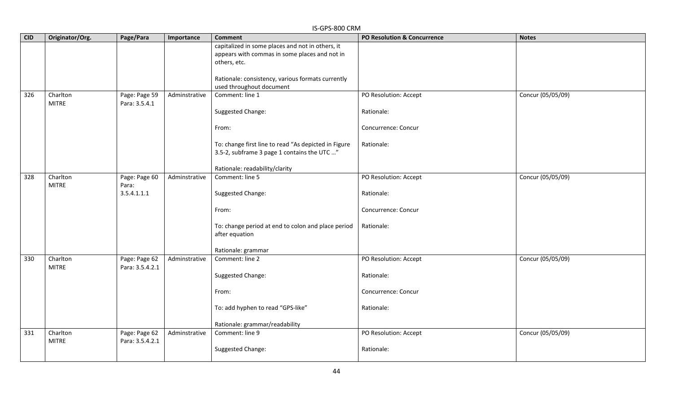|            | IS-GPS-800 CRM           |                                  |               |                                                                                                                   |                                        |                   |  |  |
|------------|--------------------------|----------------------------------|---------------|-------------------------------------------------------------------------------------------------------------------|----------------------------------------|-------------------|--|--|
| <b>CID</b> | Originator/Org.          | Page/Para                        | Importance    | <b>Comment</b>                                                                                                    | <b>PO Resolution &amp; Concurrence</b> | <b>Notes</b>      |  |  |
|            |                          |                                  |               | capitalized in some places and not in others, it<br>appears with commas in some places and not in<br>others, etc. |                                        |                   |  |  |
|            |                          |                                  |               | Rationale: consistency, various formats currently<br>used throughout document                                     |                                        |                   |  |  |
| 326        | Charlton<br><b>MITRE</b> | Page: Page 59<br>Para: 3.5.4.1   | Adminstrative | Comment: line 1                                                                                                   | PO Resolution: Accept                  | Concur (05/05/09) |  |  |
|            |                          |                                  |               | Suggested Change:                                                                                                 | Rationale:                             |                   |  |  |
|            |                          |                                  |               | From:                                                                                                             | Concurrence: Concur                    |                   |  |  |
|            |                          |                                  |               | To: change first line to read "As depicted in Figure<br>3.5-2, subframe 3 page 1 contains the UTC "               | Rationale:                             |                   |  |  |
|            |                          |                                  |               | Rationale: readability/clarity                                                                                    |                                        |                   |  |  |
| 328        | Charlton<br><b>MITRE</b> | Page: Page 60<br>Para:           | Adminstrative | Comment: line 5                                                                                                   | PO Resolution: Accept                  | Concur (05/05/09) |  |  |
|            |                          | 3.5.4.1.1.1                      |               | Suggested Change:                                                                                                 | Rationale:                             |                   |  |  |
|            |                          |                                  |               | From:                                                                                                             | Concurrence: Concur                    |                   |  |  |
|            |                          |                                  |               | To: change period at end to colon and place period<br>after equation                                              | Rationale:                             |                   |  |  |
|            |                          |                                  |               | Rationale: grammar                                                                                                |                                        |                   |  |  |
| 330        | Charlton<br><b>MITRE</b> | Page: Page 62<br>Para: 3.5.4.2.1 | Adminstrative | Comment: line 2                                                                                                   | PO Resolution: Accept                  | Concur (05/05/09) |  |  |
|            |                          |                                  |               | Suggested Change:                                                                                                 | Rationale:                             |                   |  |  |
|            |                          |                                  |               | From:                                                                                                             | Concurrence: Concur                    |                   |  |  |
|            |                          |                                  |               | To: add hyphen to read "GPS-like"                                                                                 | Rationale:                             |                   |  |  |
|            |                          |                                  |               | Rationale: grammar/readability                                                                                    |                                        |                   |  |  |
| 331        | Charlton<br><b>MITRE</b> | Page: Page 62<br>Para: 3.5.4.2.1 | Adminstrative | Comment: line 9                                                                                                   | PO Resolution: Accept                  | Concur (05/05/09) |  |  |
|            |                          |                                  |               | Suggested Change:                                                                                                 | Rationale:                             |                   |  |  |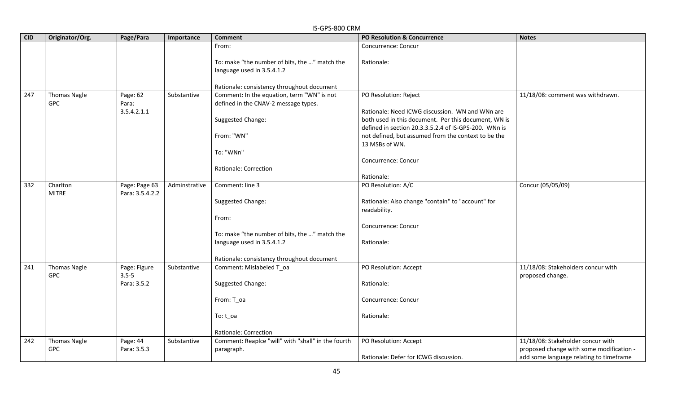|            | IS-GPS-800 CRM                    |                                  |               |                                                                                    |                                                                                                               |                                                                               |  |  |  |
|------------|-----------------------------------|----------------------------------|---------------|------------------------------------------------------------------------------------|---------------------------------------------------------------------------------------------------------------|-------------------------------------------------------------------------------|--|--|--|
| <b>CID</b> | Originator/Org.                   | Page/Para                        | Importance    | <b>Comment</b>                                                                     | <b>PO Resolution &amp; Concurrence</b>                                                                        | <b>Notes</b>                                                                  |  |  |  |
|            |                                   |                                  |               | From:                                                                              | Concurrence: Concur                                                                                           |                                                                               |  |  |  |
|            |                                   |                                  |               | To: make "the number of bits, the " match the<br>language used in 3.5.4.1.2        | Rationale:                                                                                                    |                                                                               |  |  |  |
|            |                                   |                                  |               | Rationale: consistency throughout document                                         |                                                                                                               |                                                                               |  |  |  |
| 247        | <b>Thomas Nagle</b><br><b>GPC</b> | Page: 62<br>Para:<br>3.5.4.2.1.1 | Substantive   | Comment: In the equation, term "WN" is not<br>defined in the CNAV-2 message types. | PO Resolution: Reject<br>Rationale: Need ICWG discussion. WN and WNn are                                      | 11/18/08: comment was withdrawn.                                              |  |  |  |
|            |                                   |                                  |               | Suggested Change:                                                                  | both used in this document. Per this document, WN is<br>defined in section 20.3.3.5.2.4 of IS-GPS-200. WNn is |                                                                               |  |  |  |
|            |                                   |                                  |               | From: "WN"                                                                         | not defined, but assumed from the context to be the<br>13 MSBs of WN.                                         |                                                                               |  |  |  |
|            |                                   |                                  |               | To: "WNn"                                                                          |                                                                                                               |                                                                               |  |  |  |
|            |                                   |                                  |               |                                                                                    | Concurrence: Concur                                                                                           |                                                                               |  |  |  |
|            |                                   |                                  |               | Rationale: Correction                                                              | Rationale:                                                                                                    |                                                                               |  |  |  |
| 332        | Charlton<br><b>MITRE</b>          | Page: Page 63<br>Para: 3.5.4.2.2 | Adminstrative | Comment: line 3                                                                    | PO Resolution: A/C                                                                                            | Concur (05/05/09)                                                             |  |  |  |
|            |                                   |                                  |               | Suggested Change:                                                                  | Rationale: Also change "contain" to "account" for<br>readability.                                             |                                                                               |  |  |  |
|            |                                   |                                  |               | From:                                                                              | Concurrence: Concur                                                                                           |                                                                               |  |  |  |
|            |                                   |                                  |               | To: make "the number of bits, the " match the                                      |                                                                                                               |                                                                               |  |  |  |
|            |                                   |                                  |               | language used in 3.5.4.1.2                                                         | Rationale:                                                                                                    |                                                                               |  |  |  |
|            |                                   |                                  |               | Rationale: consistency throughout document                                         |                                                                                                               |                                                                               |  |  |  |
| 241        | <b>Thomas Nagle</b><br><b>GPC</b> | Page: Figure<br>$3.5 - 5$        | Substantive   | Comment: Mislabeled T_oa                                                           | PO Resolution: Accept                                                                                         | 11/18/08: Stakeholders concur with<br>proposed change.                        |  |  |  |
|            |                                   | Para: 3.5.2                      |               | Suggested Change:                                                                  | Rationale:                                                                                                    |                                                                               |  |  |  |
|            |                                   |                                  |               | From: T_oa                                                                         | Concurrence: Concur                                                                                           |                                                                               |  |  |  |
|            |                                   |                                  |               | To: t_oa                                                                           | Rationale:                                                                                                    |                                                                               |  |  |  |
|            |                                   |                                  |               | Rationale: Correction                                                              |                                                                                                               |                                                                               |  |  |  |
| 242        | <b>Thomas Nagle</b><br><b>GPC</b> | Page: 44<br>Para: 3.5.3          | Substantive   | Comment: Reaplce "will" with "shall" in the fourth<br>paragraph.                   | PO Resolution: Accept                                                                                         | 11/18/08: Stakeholder concur with<br>proposed change with some modification - |  |  |  |
|            |                                   |                                  |               |                                                                                    | Rationale: Defer for ICWG discussion.                                                                         | add some language relating to timeframe                                       |  |  |  |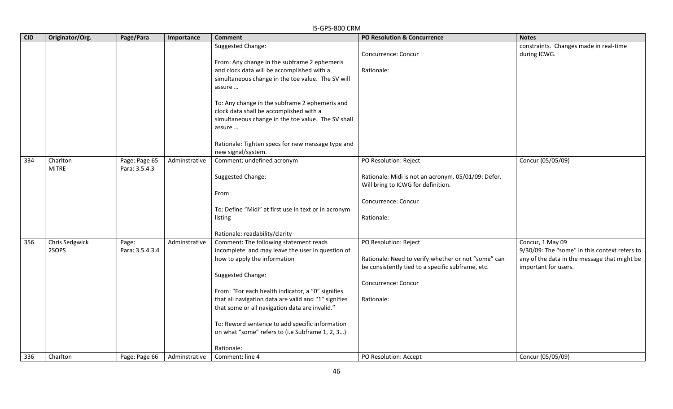|            | IS-GPS-800 CRM           |                                |               |                                                                                                                                                                                                                                                                                                                                                                                                                                    |                                                                                                                                                                        |                                                                                                                                           |  |  |  |
|------------|--------------------------|--------------------------------|---------------|------------------------------------------------------------------------------------------------------------------------------------------------------------------------------------------------------------------------------------------------------------------------------------------------------------------------------------------------------------------------------------------------------------------------------------|------------------------------------------------------------------------------------------------------------------------------------------------------------------------|-------------------------------------------------------------------------------------------------------------------------------------------|--|--|--|
| <b>CID</b> | Originator/Org.          | Page/Para                      | Importance    | <b>Comment</b>                                                                                                                                                                                                                                                                                                                                                                                                                     | <b>PO Resolution &amp; Concurrence</b>                                                                                                                                 | <b>Notes</b>                                                                                                                              |  |  |  |
|            |                          |                                |               | Suggested Change:<br>From: Any change in the subframe 2 ephemeris<br>and clock data will be accomplished with a<br>simultaneous change in the toe value. The SV will<br>assure<br>To: Any change in the subframe 2 ephemeris and<br>clock data shall be accomplished with a<br>simultaneous change in the toe value. The SV shall<br>assure<br>Rationale: Tighten specs for new message type and<br>new signal/system.             | Concurrence: Concur<br>Rationale:                                                                                                                                      | constraints. Changes made in real-time<br>during ICWG.                                                                                    |  |  |  |
| 334        | Charlton<br><b>MITRE</b> | Page: Page 65<br>Para: 3.5.4.3 | Adminstrative | Comment: undefined acronym<br>Suggested Change:<br>From:<br>To: Define "Midi" at first use in text or in acronym<br>listing<br>Rationale: readability/clarity                                                                                                                                                                                                                                                                      | PO Resolution: Reject<br>Rationale: Midi is not an acronym. 05/01/09: Defer.<br>Will bring to ICWG for definition.<br>Concurrence: Concur<br>Rationale:                | Concur (05/05/09)                                                                                                                         |  |  |  |
| 356        | Chris Sedgwick<br>2SOPS  | Page:<br>Para: 3.5.4.3.4       | Adminstrative | Comment: The following statement reads<br>incomplete and may leave the user in question of<br>how to apply the information<br>Suggested Change:<br>From: "For each health indicator, a "0" signifies<br>that all navigation data are valid and "1" signifies<br>that some or all navigation data are invalid."<br>To: Reword sentence to add specific information<br>on what "some" refers to (i.e Subframe 1, 2, 3)<br>Rationale: | PO Resolution: Reject<br>Rationale: Need to verify whether or not "some" can<br>be consistently tied to a specific subframe, etc.<br>Concurrence: Concur<br>Rationale: | Concur, 1 May 09<br>9/30/09: The "some" in this context refers to<br>any of the data in the message that might be<br>important for users. |  |  |  |
| 336        | Charlton                 | Page: Page 66                  | Adminstrative | Comment: line 4                                                                                                                                                                                                                                                                                                                                                                                                                    | PO Resolution: Accept                                                                                                                                                  | Concur (05/05/09)                                                                                                                         |  |  |  |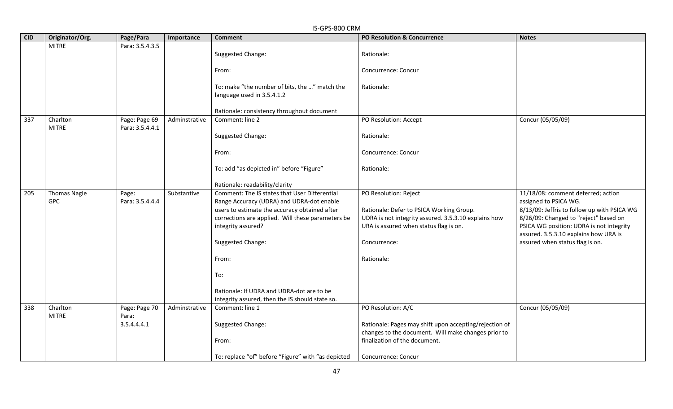|            | IS-GPS-800 CRM                    |                                  |               |                                                                                                                                                                                                                                             |                                                                                                                                                                                     |                                                                                                                                                                                                                                                                             |  |  |
|------------|-----------------------------------|----------------------------------|---------------|---------------------------------------------------------------------------------------------------------------------------------------------------------------------------------------------------------------------------------------------|-------------------------------------------------------------------------------------------------------------------------------------------------------------------------------------|-----------------------------------------------------------------------------------------------------------------------------------------------------------------------------------------------------------------------------------------------------------------------------|--|--|
| <b>CID</b> | Originator/Org.                   | Page/Para                        | Importance    | <b>Comment</b>                                                                                                                                                                                                                              | <b>PO Resolution &amp; Concurrence</b>                                                                                                                                              | <b>Notes</b>                                                                                                                                                                                                                                                                |  |  |
|            | <b>MITRE</b>                      | Para: 3.5.4.3.5                  |               | Suggested Change:                                                                                                                                                                                                                           | Rationale:                                                                                                                                                                          |                                                                                                                                                                                                                                                                             |  |  |
|            |                                   |                                  |               | From:                                                                                                                                                                                                                                       | Concurrence: Concur                                                                                                                                                                 |                                                                                                                                                                                                                                                                             |  |  |
|            |                                   |                                  |               | To: make "the number of bits, the " match the<br>language used in 3.5.4.1.2                                                                                                                                                                 | Rationale:                                                                                                                                                                          |                                                                                                                                                                                                                                                                             |  |  |
|            |                                   |                                  |               | Rationale: consistency throughout document                                                                                                                                                                                                  |                                                                                                                                                                                     |                                                                                                                                                                                                                                                                             |  |  |
| 337        | Charlton<br><b>MITRE</b>          | Page: Page 69<br>Para: 3.5.4.4.1 | Adminstrative | Comment: line 2                                                                                                                                                                                                                             | PO Resolution: Accept                                                                                                                                                               | Concur (05/05/09)                                                                                                                                                                                                                                                           |  |  |
|            |                                   |                                  |               | Suggested Change:                                                                                                                                                                                                                           | Rationale:                                                                                                                                                                          |                                                                                                                                                                                                                                                                             |  |  |
|            |                                   |                                  |               | From:                                                                                                                                                                                                                                       | Concurrence: Concur                                                                                                                                                                 |                                                                                                                                                                                                                                                                             |  |  |
|            |                                   |                                  |               | To: add "as depicted in" before "Figure"                                                                                                                                                                                                    | Rationale:                                                                                                                                                                          |                                                                                                                                                                                                                                                                             |  |  |
|            |                                   |                                  |               | Rationale: readability/clarity                                                                                                                                                                                                              |                                                                                                                                                                                     |                                                                                                                                                                                                                                                                             |  |  |
| 205        | <b>Thomas Nagle</b><br><b>GPC</b> | Page:<br>Para: 3.5.4.4.4         | Substantive   | Comment: The IS states that User Differential<br>Range Accuracy (UDRA) and UDRA-dot enable<br>users to estimate the accuracy obtained after<br>corrections are applied. Will these parameters be<br>integrity assured?<br>Suggested Change: | PO Resolution: Reject<br>Rationale: Defer to PSICA Working Group.<br>UDRA is not integrity assured. 3.5.3.10 explains how<br>URA is assured when status flag is on.<br>Concurrence: | 11/18/08: comment deferred; action<br>assigned to PSICA WG.<br>8/13/09: Jeffris to follow up with PSICA WG<br>8/26/09: Changed to "reject" based on<br>PSICA WG position: UDRA is not integrity<br>assured. 3.5.3.10 explains how URA is<br>assured when status flag is on. |  |  |
|            |                                   |                                  |               | From:                                                                                                                                                                                                                                       | Rationale:                                                                                                                                                                          |                                                                                                                                                                                                                                                                             |  |  |
|            |                                   |                                  |               | To:                                                                                                                                                                                                                                         |                                                                                                                                                                                     |                                                                                                                                                                                                                                                                             |  |  |
|            |                                   |                                  |               | Rationale: If UDRA and UDRA-dot are to be                                                                                                                                                                                                   |                                                                                                                                                                                     |                                                                                                                                                                                                                                                                             |  |  |
|            |                                   |                                  |               | integrity assured, then the IS should state so.                                                                                                                                                                                             |                                                                                                                                                                                     |                                                                                                                                                                                                                                                                             |  |  |
| 338        | Charlton<br><b>MITRE</b>          | Page: Page 70<br>Para:           | Adminstrative | Comment: line 1                                                                                                                                                                                                                             | PO Resolution: A/C                                                                                                                                                                  | Concur (05/05/09)                                                                                                                                                                                                                                                           |  |  |
|            |                                   | 3.5.4.4.4.1                      |               | Suggested Change:                                                                                                                                                                                                                           | Rationale: Pages may shift upon accepting/rejection of<br>changes to the document. Will make changes prior to                                                                       |                                                                                                                                                                                                                                                                             |  |  |
|            |                                   |                                  |               | From:                                                                                                                                                                                                                                       | finalization of the document.                                                                                                                                                       |                                                                                                                                                                                                                                                                             |  |  |
|            |                                   |                                  |               | To: replace "of" before "Figure" with "as depicted                                                                                                                                                                                          | Concurrence: Concur                                                                                                                                                                 |                                                                                                                                                                                                                                                                             |  |  |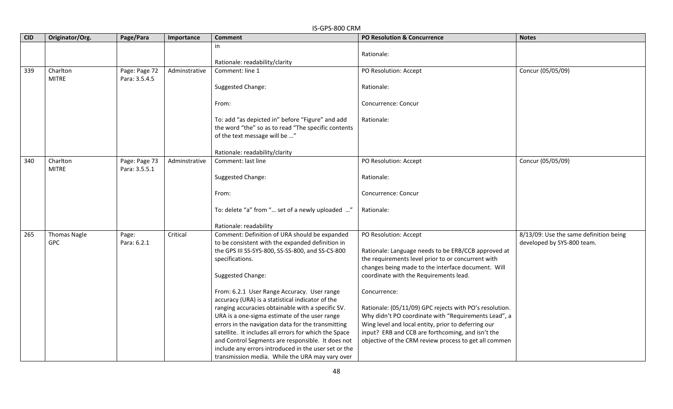|            | IS-GPS-800 CRM           |                                |               |                                                                                                                                          |                                                         |                                        |  |  |  |  |
|------------|--------------------------|--------------------------------|---------------|------------------------------------------------------------------------------------------------------------------------------------------|---------------------------------------------------------|----------------------------------------|--|--|--|--|
| <b>CID</b> | Originator/Org.          | Page/Para                      | Importance    | <b>Comment</b>                                                                                                                           | <b>PO Resolution &amp; Concurrence</b>                  | <b>Notes</b>                           |  |  |  |  |
|            |                          |                                |               | in<br>Rationale: readability/clarity                                                                                                     | Rationale:                                              |                                        |  |  |  |  |
| 339        | Charlton<br><b>MITRE</b> | Page: Page 72<br>Para: 3.5.4.5 | Adminstrative | Comment: line 1                                                                                                                          | PO Resolution: Accept                                   | Concur (05/05/09)                      |  |  |  |  |
|            |                          |                                |               | Suggested Change:                                                                                                                        | Rationale:                                              |                                        |  |  |  |  |
|            |                          |                                |               | From:                                                                                                                                    | Concurrence: Concur                                     |                                        |  |  |  |  |
|            |                          |                                |               | To: add "as depicted in" before "Figure" and add<br>the word "the" so as to read "The specific contents<br>of the text message will be " | Rationale:                                              |                                        |  |  |  |  |
|            |                          |                                |               | Rationale: readability/clarity                                                                                                           |                                                         |                                        |  |  |  |  |
| 340        | Charlton<br><b>MITRE</b> | Page: Page 73<br>Para: 3.5.5.1 | Adminstrative | Comment: last line                                                                                                                       | PO Resolution: Accept                                   | Concur (05/05/09)                      |  |  |  |  |
|            |                          |                                |               | Suggested Change:                                                                                                                        | Rationale:                                              |                                        |  |  |  |  |
|            |                          |                                |               | From:                                                                                                                                    | Concurrence: Concur                                     |                                        |  |  |  |  |
|            |                          |                                |               | To: delete "a" from " set of a newly uploaded "                                                                                          | Rationale:                                              |                                        |  |  |  |  |
|            |                          |                                |               | Rationale: readability                                                                                                                   |                                                         |                                        |  |  |  |  |
| 265        | <b>Thomas Nagle</b>      | Page:                          | Critical      | Comment: Definition of URA should be expanded                                                                                            | PO Resolution: Accept                                   | 8/13/09: Use the same definition being |  |  |  |  |
|            | <b>GPC</b>               | Para: 6.2.1                    |               | to be consistent with the expanded definition in                                                                                         |                                                         | developed by SYS-800 team.             |  |  |  |  |
|            |                          |                                |               | the GPS III SS-SYS-800, SS-SS-800, and SS-CS-800                                                                                         | Rationale: Language needs to be ERB/CCB approved at     |                                        |  |  |  |  |
|            |                          |                                |               | specifications.                                                                                                                          | the requirements level prior to or concurrent with      |                                        |  |  |  |  |
|            |                          |                                |               |                                                                                                                                          | changes being made to the interface document. Will      |                                        |  |  |  |  |
|            |                          |                                |               | Suggested Change:                                                                                                                        | coordinate with the Requirements lead.                  |                                        |  |  |  |  |
|            |                          |                                |               | From: 6.2.1 User Range Accuracy. User range<br>accuracy (URA) is a statistical indicator of the                                          | Concurrence:                                            |                                        |  |  |  |  |
|            |                          |                                |               | ranging accuracies obtainable with a specific SV.                                                                                        | Rationale: (05/11/09) GPC rejects with PO's resolution. |                                        |  |  |  |  |
|            |                          |                                |               | URA is a one-sigma estimate of the user range                                                                                            | Why didn't PO coordinate with "Requirements Lead", a    |                                        |  |  |  |  |
|            |                          |                                |               | errors in the navigation data for the transmitting                                                                                       | Wing level and local entity, prior to deferring our     |                                        |  |  |  |  |
|            |                          |                                |               | satellite. It includes all errors for which the Space                                                                                    | input? ERB and CCB are forthcoming, and isn't the       |                                        |  |  |  |  |
|            |                          |                                |               | and Control Segments are responsible. It does not                                                                                        | objective of the CRM review process to get all commen   |                                        |  |  |  |  |
|            |                          |                                |               | include any errors introduced in the user set or the                                                                                     |                                                         |                                        |  |  |  |  |
|            |                          |                                |               | transmission media. While the URA may vary over                                                                                          |                                                         |                                        |  |  |  |  |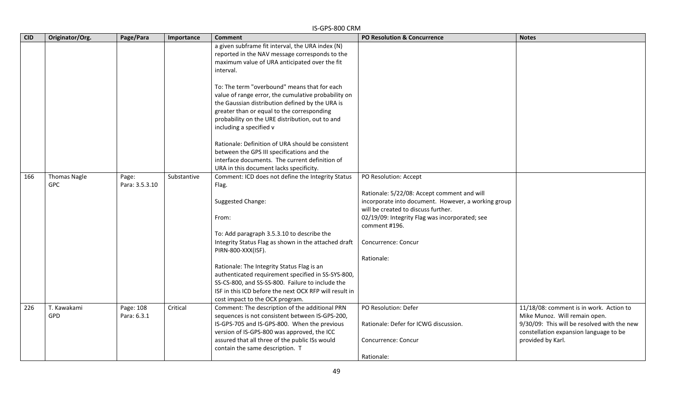|            |                           |                          |             | IS-GPS-800 CRM                                                                                                                                                                                                                                                                                                                          |                                                                                                                                                                                                                                                   |                                                                                                                                                                                        |
|------------|---------------------------|--------------------------|-------------|-----------------------------------------------------------------------------------------------------------------------------------------------------------------------------------------------------------------------------------------------------------------------------------------------------------------------------------------|---------------------------------------------------------------------------------------------------------------------------------------------------------------------------------------------------------------------------------------------------|----------------------------------------------------------------------------------------------------------------------------------------------------------------------------------------|
| <b>CID</b> | Originator/Org.           | Page/Para                | Importance  | <b>Comment</b>                                                                                                                                                                                                                                                                                                                          | <b>PO Resolution &amp; Concurrence</b>                                                                                                                                                                                                            | <b>Notes</b>                                                                                                                                                                           |
|            |                           |                          |             | a given subframe fit interval, the URA index (N)<br>reported in the NAV message corresponds to the<br>maximum value of URA anticipated over the fit<br>interval.                                                                                                                                                                        |                                                                                                                                                                                                                                                   |                                                                                                                                                                                        |
|            |                           |                          |             | To: The term "overbound" means that for each<br>value of range error, the cumulative probability on<br>the Gaussian distribution defined by the URA is<br>greater than or equal to the corresponding<br>probability on the URE distribution, out to and<br>including a specified v<br>Rationale: Definition of URA should be consistent |                                                                                                                                                                                                                                                   |                                                                                                                                                                                        |
|            |                           |                          |             | between the GPS III specifications and the<br>interface documents. The current definition of<br>URA in this document lacks specificity.                                                                                                                                                                                                 |                                                                                                                                                                                                                                                   |                                                                                                                                                                                        |
| 166        | <b>Thomas Nagle</b>       | Page:                    | Substantive | Comment: ICD does not define the Integrity Status                                                                                                                                                                                                                                                                                       | PO Resolution: Accept                                                                                                                                                                                                                             |                                                                                                                                                                                        |
|            | <b>GPC</b>                | Para: 3.5.3.10           |             | Flag.<br>Suggested Change:<br>From:<br>To: Add paragraph 3.5.3.10 to describe the<br>Integrity Status Flag as shown in the attached draft<br>PIRN-800-XXX(ISF).<br>Rationale: The Integrity Status Flag is an<br>authenticated requirement specified in SS-SYS-800,<br>SS-CS-800, and SS-SS-800. Failure to include the                 | Rationale: 5/22/08: Accept comment and will<br>incorporate into document. However, a working group<br>will be created to discuss further.<br>02/19/09: Integrity Flag was incorporated; see<br>comment #196.<br>Concurrence: Concur<br>Rationale: |                                                                                                                                                                                        |
|            |                           |                          |             | ISF in this ICD before the next OCX RFP will result in<br>cost impact to the OCX program.                                                                                                                                                                                                                                               |                                                                                                                                                                                                                                                   |                                                                                                                                                                                        |
| 226        | T. Kawakami<br><b>GPD</b> | Page: 108<br>Para: 6.3.1 | Critical    | Comment: The description of the additional PRN<br>sequences is not consistent between IS-GPS-200,<br>IS-GPS-705 and IS-GPS-800. When the previous<br>version of IS-GPS-800 was approved, the ICC<br>assured that all three of the public ISs would<br>contain the same description. T                                                   | PO Resolution: Defer<br>Rationale: Defer for ICWG discussion.<br>Concurrence: Concur<br>Rationale:                                                                                                                                                | 11/18/08: comment is in work. Action to<br>Mike Munoz. Will remain open.<br>9/30/09: This will be resolved with the new<br>constellation expansion language to be<br>provided by Karl. |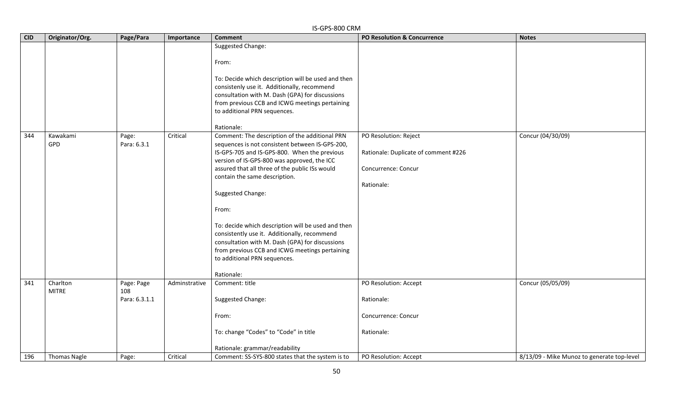|            | IS-GPS-800 CRM           |                                    |               |                                                                                                                                                                                                                                                                                                                                                                                                                                                                                                                          |                                                                           |                                            |  |  |
|------------|--------------------------|------------------------------------|---------------|--------------------------------------------------------------------------------------------------------------------------------------------------------------------------------------------------------------------------------------------------------------------------------------------------------------------------------------------------------------------------------------------------------------------------------------------------------------------------------------------------------------------------|---------------------------------------------------------------------------|--------------------------------------------|--|--|
| <b>CID</b> | Originator/Org.          | Page/Para                          | Importance    | <b>Comment</b>                                                                                                                                                                                                                                                                                                                                                                                                                                                                                                           | <b>PO Resolution &amp; Concurrence</b>                                    | <b>Notes</b>                               |  |  |
| 344        | Kawakami                 | Page:                              | Critical      | Suggested Change:<br>From:<br>To: Decide which description will be used and then<br>consistenly use it. Additionally, recommend<br>consultation with M. Dash (GPA) for discussions<br>from previous CCB and ICWG meetings pertaining<br>to additional PRN sequences.<br>Rationale:<br>Comment: The description of the additional PRN                                                                                                                                                                                     | PO Resolution: Reject                                                     | Concur (04/30/09)                          |  |  |
|            | GPD                      | Para: 6.3.1                        |               | sequences is not consistent between IS-GPS-200,<br>IS-GPS-705 and IS-GPS-800. When the previous<br>version of IS-GPS-800 was approved, the ICC<br>assured that all three of the public ISs would<br>contain the same description.<br>Suggested Change:<br>From:<br>To: decide which description will be used and then<br>consistently use it. Additionally, recommend<br>consultation with M. Dash (GPA) for discussions<br>from previous CCB and ICWG meetings pertaining<br>to additional PRN sequences.<br>Rationale: | Rationale: Duplicate of comment #226<br>Concurrence: Concur<br>Rationale: |                                            |  |  |
| 341        | Charlton<br><b>MITRE</b> | Page: Page<br>108<br>Para: 6.3.1.1 | Adminstrative | Comment: title<br>Suggested Change:<br>From:<br>To: change "Codes" to "Code" in title<br>Rationale: grammar/readability                                                                                                                                                                                                                                                                                                                                                                                                  | PO Resolution: Accept<br>Rationale:<br>Concurrence: Concur<br>Rationale:  | Concur (05/05/09)                          |  |  |
| 196        | <b>Thomas Nagle</b>      | Page:                              | Critical      | Comment: SS-SYS-800 states that the system is to                                                                                                                                                                                                                                                                                                                                                                                                                                                                         | PO Resolution: Accept                                                     | 8/13/09 - Mike Munoz to generate top-level |  |  |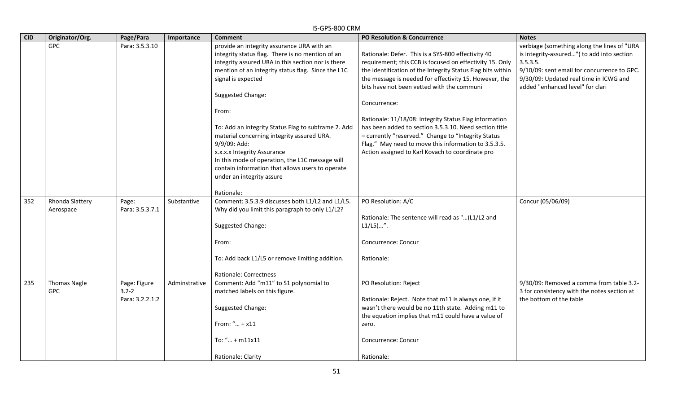|            |                                     |                                              |               | IS-GPS-800 CRM                                                                                                                                                                                                                                                                                                                                                      |                                                                                                                                                                                                                                                                                                                                                                                                                                                                                  |                                                                                                                                                                                                                                    |
|------------|-------------------------------------|----------------------------------------------|---------------|---------------------------------------------------------------------------------------------------------------------------------------------------------------------------------------------------------------------------------------------------------------------------------------------------------------------------------------------------------------------|----------------------------------------------------------------------------------------------------------------------------------------------------------------------------------------------------------------------------------------------------------------------------------------------------------------------------------------------------------------------------------------------------------------------------------------------------------------------------------|------------------------------------------------------------------------------------------------------------------------------------------------------------------------------------------------------------------------------------|
| <b>CID</b> | Originator/Org.                     | Page/Para                                    | Importance    | <b>Comment</b>                                                                                                                                                                                                                                                                                                                                                      | <b>PO Resolution &amp; Concurrence</b>                                                                                                                                                                                                                                                                                                                                                                                                                                           | <b>Notes</b>                                                                                                                                                                                                                       |
|            | <b>GPC</b>                          | Para: 3.5.3.10                               |               | provide an integrity assurance URA with an<br>integrity status flag. There is no mention of an<br>integrity assured URA in this section nor is there<br>mention of an integrity status flag. Since the L1C<br>signal is expected<br>Suggested Change:<br>From:<br>To: Add an integrity Status Flag to subframe 2. Add<br>material concerning integrity assured URA. | Rationale: Defer. This is a SYS-800 effectivity 40<br>requirement; this CCB is focused on effectivity 15. Only<br>the identification of the Integrity Status Flag bits within<br>the message is needed for effectivity 15. However, the<br>bits have not been vetted with the communi<br>Concurrence:<br>Rationale: 11/18/08: Integrity Status Flag information<br>has been added to section 3.5.3.10. Need section title<br>- currently "reserved." Change to "Integrity Status | verbiage (something along the lines of "URA<br>is integrity-assured") to add into section<br>3.5.3.5.<br>9/10/09: sent email for concurrence to GPC.<br>9/30/09: Updated real time in ICWG and<br>added "enhanced level" for clari |
|            |                                     |                                              |               | 9/9/09: Add:<br>x.x.x.x Integrity Assurance<br>In this mode of operation, the L1C message will<br>contain information that allows users to operate<br>under an integrity assure<br>Rationale:                                                                                                                                                                       | Flag." May need to move this information to 3.5.3.5.<br>Action assigned to Karl Kovach to coordinate pro                                                                                                                                                                                                                                                                                                                                                                         |                                                                                                                                                                                                                                    |
| 352        | <b>Rhonda Slattery</b><br>Aerospace | Page:<br>Para: 3.5.3.7.1                     | Substantive   | Comment: 3.5.3.9 discusses both L1/L2 and L1/L5.<br>Why did you limit this paragraph to only L1/L2?<br>Suggested Change:<br>From:<br>To: Add back L1/L5 or remove limiting addition.<br>Rationale: Correctness                                                                                                                                                      | PO Resolution: A/C<br>Rationale: The sentence will read as "(L1/L2 and<br>L1/L5)''.<br>Concurrence: Concur<br>Rationale:                                                                                                                                                                                                                                                                                                                                                         | Concur (05/06/09)                                                                                                                                                                                                                  |
| 235        | <b>Thomas Nagle</b><br><b>GPC</b>   | Page: Figure<br>$3.2 - 2$<br>Para: 3.2.2.1.2 | Adminstrative | Comment: Add "m11" to S1 polynomial to<br>matched labels on this figure.<br>Suggested Change:<br>From: " $+ x11$<br>To: $"$ + m11x11<br>Rationale: Clarity                                                                                                                                                                                                          | PO Resolution: Reject<br>Rationale: Reject. Note that m11 is always one, if it<br>wasn't there would be no 11th state. Adding m11 to<br>the equation implies that m11 could have a value of<br>zero.<br>Concurrence: Concur<br>Rationale:                                                                                                                                                                                                                                        | 9/30/09: Removed a comma from table 3.2-<br>3 for consistency with the notes section at<br>the bottom of the table                                                                                                                 |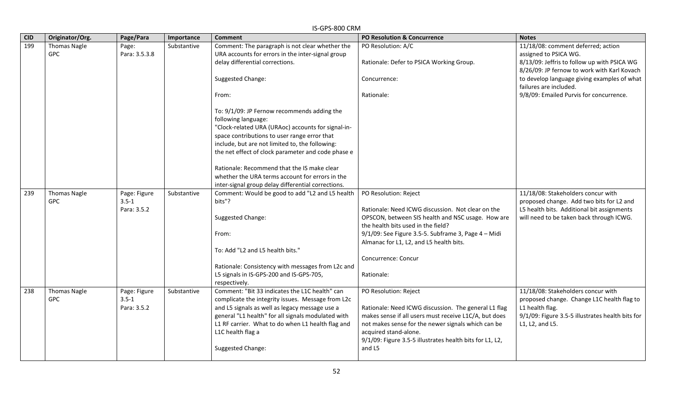| <b>CID</b> | Originator/Org.                   | Page/Para              | Importance  | <b>Comment</b>                                                                                                                          | PO Resolution & Concurrence                                        | <b>Notes</b>                                                                                               |
|------------|-----------------------------------|------------------------|-------------|-----------------------------------------------------------------------------------------------------------------------------------------|--------------------------------------------------------------------|------------------------------------------------------------------------------------------------------------|
| 199        | <b>Thomas Nagle</b><br><b>GPC</b> | Page:<br>Para: 3.5.3.8 | Substantive | Comment: The paragraph is not clear whether the<br>URA accounts for errors in the inter-signal group<br>delay differential corrections. | PO Resolution: A/C<br>Rationale: Defer to PSICA Working Group.     | 11/18/08: comment deferred; action<br>assigned to PSICA WG.<br>8/13/09: Jeffris to follow up with PSICA WG |
|            |                                   |                        |             | Suggested Change:                                                                                                                       | Concurrence:                                                       | 8/26/09: JP fernow to work with Karl Kovach<br>to develop language giving examples of what                 |
|            |                                   |                        |             | From:                                                                                                                                   | Rationale:                                                         | failures are included.<br>9/8/09: Emailed Purvis for concurrence.                                          |
|            |                                   |                        |             | To: 9/1/09: JP Fernow recommends adding the<br>following language:                                                                      |                                                                    |                                                                                                            |
|            |                                   |                        |             | "Clock-related URA (URAoc) accounts for signal-in-                                                                                      |                                                                    |                                                                                                            |
|            |                                   |                        |             | space contributions to user range error that                                                                                            |                                                                    |                                                                                                            |
|            |                                   |                        |             | include, but are not limited to, the following:                                                                                         |                                                                    |                                                                                                            |
|            |                                   |                        |             | the net effect of clock parameter and code phase e                                                                                      |                                                                    |                                                                                                            |
|            |                                   |                        |             | Rationale: Recommend that the IS make clear                                                                                             |                                                                    |                                                                                                            |
|            |                                   |                        |             | whether the URA terms account for errors in the                                                                                         |                                                                    |                                                                                                            |
|            |                                   |                        |             | inter-signal group delay differential corrections.                                                                                      |                                                                    |                                                                                                            |
| 239        | <b>Thomas Nagle</b>               | Page: Figure           | Substantive | Comment: Would be good to add "L2 and L5 health                                                                                         | PO Resolution: Reject                                              | 11/18/08: Stakeholders concur with                                                                         |
|            | <b>GPC</b>                        | $3.5 - 1$              |             | bits"?                                                                                                                                  |                                                                    | proposed change. Add two bits for L2 and                                                                   |
|            |                                   | Para: 3.5.2            |             |                                                                                                                                         | Rationale: Need ICWG discussion. Not clear on the                  | L5 health bits. Additional bit assignments                                                                 |
|            |                                   |                        |             | Suggested Change:                                                                                                                       | OPSCON, between SIS health and NSC usage. How are                  | will need to be taken back through ICWG.                                                                   |
|            |                                   |                        |             |                                                                                                                                         | the health bits used in the field?                                 |                                                                                                            |
|            |                                   |                        |             | From:                                                                                                                                   | 9/1/09: See Figure 3.5-5. Subframe 3, Page 4 - Midi                |                                                                                                            |
|            |                                   |                        |             | To: Add "L2 and L5 health bits."                                                                                                        | Almanac for L1, L2, and L5 health bits.                            |                                                                                                            |
|            |                                   |                        |             |                                                                                                                                         | Concurrence: Concur                                                |                                                                                                            |
|            |                                   |                        |             | Rationale: Consistency with messages from L2c and                                                                                       |                                                                    |                                                                                                            |
|            |                                   |                        |             | L5 signals in IS-GPS-200 and IS-GPS-705,                                                                                                | Rationale:                                                         |                                                                                                            |
|            |                                   |                        |             | respectively.                                                                                                                           |                                                                    |                                                                                                            |
| 238        | <b>Thomas Nagle</b>               | Page: Figure           | Substantive | Comment: "Bit 33 indicates the L1C health" can                                                                                          | PO Resolution: Reject                                              | 11/18/08: Stakeholders concur with                                                                         |
|            | <b>GPC</b>                        | $3.5 - 1$              |             | complicate the integrity issues. Message from L2c                                                                                       |                                                                    | proposed change. Change L1C health flag to                                                                 |
|            |                                   | Para: 3.5.2            |             | and L5 signals as well as legacy message use a                                                                                          | Rationale: Need ICWG discussion. The general L1 flag               | L1 health flag.                                                                                            |
|            |                                   |                        |             | general "L1 health" for all signals modulated with                                                                                      | makes sense if all users must receive L1C/A, but does              | 9/1/09: Figure 3.5-5 illustrates health bits for                                                           |
|            |                                   |                        |             | L1 RF carrier. What to do when L1 health flag and                                                                                       | not makes sense for the newer signals which can be                 | L1, L2, and L5.                                                                                            |
|            |                                   |                        |             | L1C health flag a                                                                                                                       | acquired stand-alone.                                              |                                                                                                            |
|            |                                   |                        |             | Suggested Change:                                                                                                                       | 9/1/09: Figure 3.5-5 illustrates health bits for L1, L2,<br>and L5 |                                                                                                            |
|            |                                   |                        |             |                                                                                                                                         |                                                                    |                                                                                                            |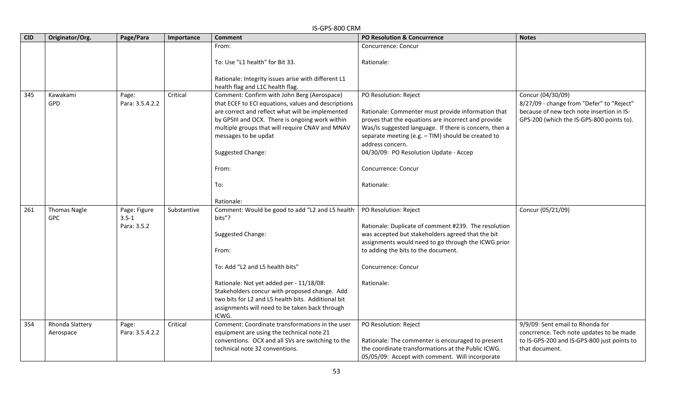|            | IS-GPS-800 CRM               |                          |             |                                                                                                                                                                                                                                                                                                           |                                                                                                                                                                                                                                                                                                                  |                                                                                                                                                          |  |  |
|------------|------------------------------|--------------------------|-------------|-----------------------------------------------------------------------------------------------------------------------------------------------------------------------------------------------------------------------------------------------------------------------------------------------------------|------------------------------------------------------------------------------------------------------------------------------------------------------------------------------------------------------------------------------------------------------------------------------------------------------------------|----------------------------------------------------------------------------------------------------------------------------------------------------------|--|--|
| <b>CID</b> | Originator/Org.              | Page/Para                | Importance  | <b>Comment</b>                                                                                                                                                                                                                                                                                            | <b>PO Resolution &amp; Concurrence</b>                                                                                                                                                                                                                                                                           | <b>Notes</b>                                                                                                                                             |  |  |
|            |                              |                          |             | From:                                                                                                                                                                                                                                                                                                     | Concurrence: Concur                                                                                                                                                                                                                                                                                              |                                                                                                                                                          |  |  |
|            |                              |                          |             | To: Use "L1 health" for Bit 33.                                                                                                                                                                                                                                                                           | Rationale:                                                                                                                                                                                                                                                                                                       |                                                                                                                                                          |  |  |
|            |                              |                          |             | Rationale: Integrity issues arise with different L1<br>health flag and L1C health flag.                                                                                                                                                                                                                   |                                                                                                                                                                                                                                                                                                                  |                                                                                                                                                          |  |  |
| 345        | Kawakami<br><b>GPD</b>       | Page:<br>Para: 3.5.4.2.2 | Critical    | Comment: Confirm with John Berg (Aerospace)<br>that ECEF to ECI equations, values and descriptions<br>are correct and reflect what will be implemented<br>by GPSIII and OCX. There is ongoing work within<br>multiple groups that will require CNAV and MNAV<br>messages to be updat<br>Suggested Change: | PO Resolution: Reject<br>Rationale: Commenter must provide information that<br>proves that the equations are incorrect and provide<br>Was/Is suggested language. If there is concern, then a<br>separate meeting (e.g. - TIM) should be created to<br>address concern.<br>04/30/09: PO Resolution Update - Accep | Concur (04/30/09)<br>8/27/09 - change from "Defer" to "Reject"<br>because of new tech note insertion in IS-<br>GPS-200 (which the IS-GPS-800 points to). |  |  |
|            |                              |                          |             | From:<br>To:                                                                                                                                                                                                                                                                                              | Concurrence: Concur<br>Rationale:                                                                                                                                                                                                                                                                                |                                                                                                                                                          |  |  |
| 261        | <b>Thomas Nagle</b>          | Page: Figure             | Substantive | Rationale:<br>Comment: Would be good to add "L2 and L5 health                                                                                                                                                                                                                                             | PO Resolution: Reject                                                                                                                                                                                                                                                                                            | Concur (05/21/09)                                                                                                                                        |  |  |
|            | <b>GPC</b>                   | $3.5 - 1$<br>Para: 3.5.2 |             | bits"?<br>Suggested Change:<br>From:                                                                                                                                                                                                                                                                      | Rationale: Duplicate of comment #239. The resolution<br>was accepted but stakeholders agreed that the bit<br>assignments would need to go through the ICWG prior<br>to adding the bits to the document.                                                                                                          |                                                                                                                                                          |  |  |
|            |                              |                          |             | To: Add "L2 and L5 health bits"                                                                                                                                                                                                                                                                           | Concurrence: Concur                                                                                                                                                                                                                                                                                              |                                                                                                                                                          |  |  |
|            |                              |                          |             | Rationale: Not yet added per - 11/18/08:<br>Stakeholders concur with proposed change. Add<br>two bits for L2 and L5 health bits. Additional bit<br>assignments will need to be taken back through<br>ICWG.                                                                                                | Rationale:                                                                                                                                                                                                                                                                                                       |                                                                                                                                                          |  |  |
| 354        | Rhonda Slattery<br>Aerospace | Page:<br>Para: 3.5.4.2.2 | Critical    | Comment: Coordinate transformations in the user<br>equipment are using the technical note 21<br>conventions. OCX and all SVs are switching to the<br>technical note 32 conventions.                                                                                                                       | PO Resolution: Reject<br>Rationale: The commenter is encouraged to present<br>the coordinate transformations at the Public ICWG.<br>05/05/09: Accept with comment. Will incorporate                                                                                                                              | 9/9/09: Sent email to Rhonda for<br>concrrence. Tech note updates to be made<br>to IS-GPS-200 and IS-GPS-800 just points to<br>that document.            |  |  |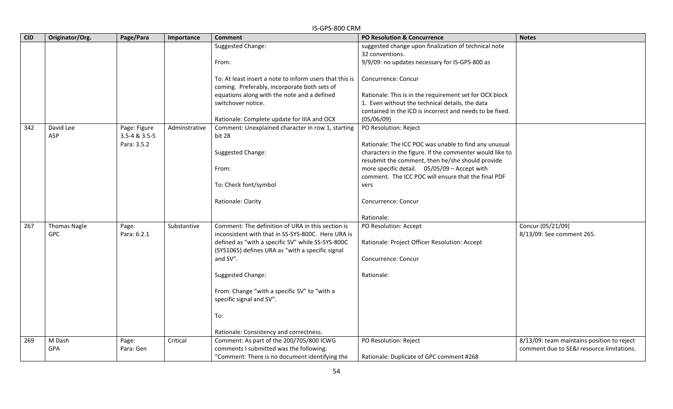|            | IS-GPS-800 CRM      |               |               |                                                                          |                                                          |                                            |  |  |
|------------|---------------------|---------------|---------------|--------------------------------------------------------------------------|----------------------------------------------------------|--------------------------------------------|--|--|
| <b>CID</b> | Originator/Org.     | Page/Para     | Importance    | <b>Comment</b>                                                           | <b>PO Resolution &amp; Concurrence</b>                   | <b>Notes</b>                               |  |  |
|            |                     |               |               | Suggested Change:                                                        | suggested change upon finalization of technical note     |                                            |  |  |
|            |                     |               |               |                                                                          | 32 conventions.                                          |                                            |  |  |
|            |                     |               |               | From:                                                                    | 9/9/09: no updates necessary for IS-GPS-800 as           |                                            |  |  |
|            |                     |               |               | To: At least insert a note to inform users that this is                  | Concurrence: Concur                                      |                                            |  |  |
|            |                     |               |               | coming. Preferably, incorporate both sets of                             |                                                          |                                            |  |  |
|            |                     |               |               | equations along with the note and a defined                              | Rationale: This is in the requirement set for OCX block  |                                            |  |  |
|            |                     |               |               | switchover notice.                                                       | 1. Even without the technical details, the data          |                                            |  |  |
|            |                     |               |               |                                                                          | contained in the ICD is incorrect and needs to be fixed. |                                            |  |  |
|            |                     |               |               | Rationale: Complete update for IIIA and OCX                              | (05/06/09)                                               |                                            |  |  |
| 342        | David Lee           | Page: Figure  | Adminstrative | Comment: Unexplained character in row 1, starting                        | PO Resolution: Reject                                    |                                            |  |  |
|            | A5P                 | 3.5-4 & 3.5-5 |               | bit 28                                                                   |                                                          |                                            |  |  |
|            |                     | Para: 3.5.2   |               |                                                                          | Rationale: The ICC POC was unable to find any unusual    |                                            |  |  |
|            |                     |               |               | Suggested Change:                                                        | characters in the figure. If the commenter would like to |                                            |  |  |
|            |                     |               |               |                                                                          | resubmit the comment, then he/she should provide         |                                            |  |  |
|            |                     |               |               | From:                                                                    | more specific detail. 05/05/09 - Accept with             |                                            |  |  |
|            |                     |               |               |                                                                          | comment. The ICC POC will ensure that the final PDF      |                                            |  |  |
|            |                     |               |               | To: Check font/symbol                                                    | vers                                                     |                                            |  |  |
|            |                     |               |               | Rationale: Clarity                                                       | Concurrence: Concur                                      |                                            |  |  |
|            |                     |               |               |                                                                          | Rationale:                                               |                                            |  |  |
| 267        | <b>Thomas Nagle</b> | Page:         | Substantive   | Comment: The definition of URA in this section is                        | PO Resolution: Accept                                    | Concur (05/21/09)                          |  |  |
|            | <b>GPC</b>          | Para: 6.2.1   |               | inconsistent with that in SS-SYS-800C. Here URA is                       |                                                          | 8/13/09: See comment 265.                  |  |  |
|            |                     |               |               | defined as "with a specific SV" while SS-SYS-800C                        | Rationale: Project Officer Resolution: Accept            |                                            |  |  |
|            |                     |               |               | (SYS1065) defines URA as "with a specific signal                         |                                                          |                                            |  |  |
|            |                     |               |               | and SV".                                                                 | Concurrence: Concur                                      |                                            |  |  |
|            |                     |               |               | Suggested Change:                                                        | Rationale:                                               |                                            |  |  |
|            |                     |               |               | From: Change "with a specific SV" to "with a<br>specific signal and SV". |                                                          |                                            |  |  |
|            |                     |               |               |                                                                          |                                                          |                                            |  |  |
|            |                     |               |               | To:                                                                      |                                                          |                                            |  |  |
|            |                     |               |               | Rationale: Consistency and correctness.                                  |                                                          |                                            |  |  |
| 269        | M Dash              | Page:         | Critical      | Comment: As part of the 200/705/800 ICWG                                 | PO Resolution: Reject                                    | 8/13/09: team maintains position to reject |  |  |
|            | GPA                 | Para: Gen     |               | comments I submitted was the following:                                  |                                                          | comment due to SE&I resource limitations.  |  |  |
|            |                     |               |               | "Comment: There is no document identifying the                           | Rationale: Duplicate of GPC comment #268                 |                                            |  |  |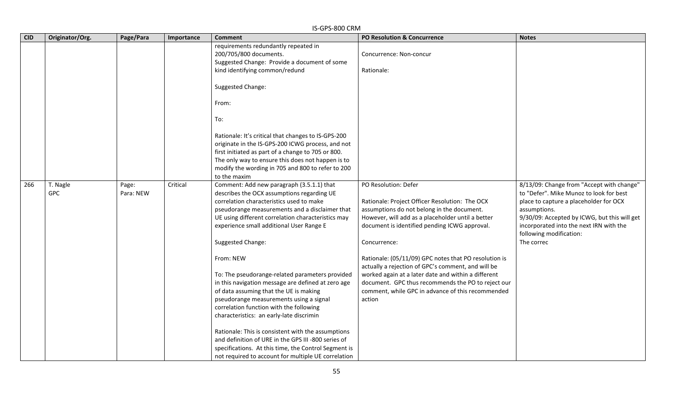### IS-GPS-800 CRM **CID Originator/Org. Page/Para Importance Comment PO Resolution & Concurrence Notes** requirements redundantly repeated in 200/705/800 documents. Suggested Change: Provide a document of some kind identifying common/redund Suggested Change: From: To: Rationale: It's critical that changes to IS-GPS-200 originate in the IS-GPS-200 ICWG process, and not first initiated as part of a change to 705 or 800. The only way to ensure this does not happen is to modify the wording in 705 and 800 to refer to 200 to the maxim Concurrence: Non-concur Rationale: 266  $\vert$  T. Nagle GPC Page: Para: NEW Critical Comment: Add new paragraph (3.5.1.1) that describes the OCX assumptions regarding UE correlation characteristics used to make pseudorange measurements and a disclaimer that UE using different correlation characteristics may experience small additional User Range E Suggested Change: From: NEW To: The pseudorange-related parameters provided in this navigation message are defined at zero age of data assuming that the UE is making pseudorange measurements using a signal correlation function with the following characteristics: an early-late discrimin Rationale: This is consistent with the assumptions and definition of URE in the GPS III -800 series of specifications. At this time, the Control Segment is not required to account for multiple UE correlation PO Resolution: Defer Rationale: Project Officer Resolution: The OCX assumptions do not belong in the document. However, will add as a placeholder until a better document is identified pending ICWG approval. Concurrence: Rationale: (05/11/09) GPC notes that PO resolution is actually a rejection of GPC's comment, and will be worked again at a later date and within a different document. GPC thus recommends the PO to reject our comment, while GPC in advance of this recommended action 8/13/09: Change from "Accept with change" to "Defer". Mike Munoz to look for best place to capture a placeholder for OCX assumptions. 9/30/09: Accepted by ICWG, but this will get incorporated into the next IRN with the following modification: The correc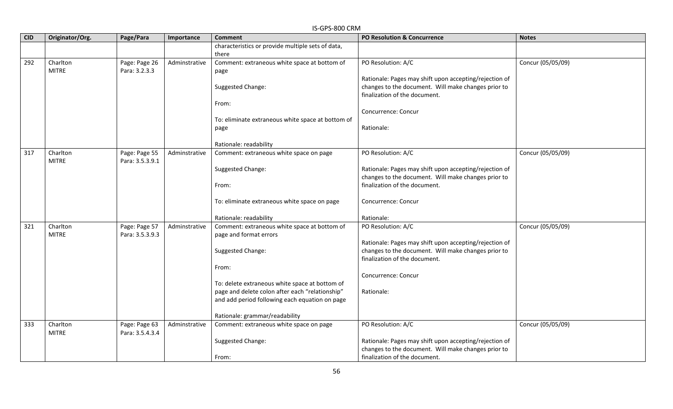| <b>CID</b> | Originator/Org. |                 |               | יווט טטט כווט כו<br><b>Comment</b>                | PO Resolution & Concurrence                            | <b>Notes</b>      |
|------------|-----------------|-----------------|---------------|---------------------------------------------------|--------------------------------------------------------|-------------------|
|            |                 | Page/Para       | Importance    |                                                   |                                                        |                   |
|            |                 |                 |               | characteristics or provide multiple sets of data, |                                                        |                   |
|            |                 |                 |               | there                                             |                                                        |                   |
| 292        | Charlton        | Page: Page 26   | Adminstrative | Comment: extraneous white space at bottom of      | PO Resolution: A/C                                     | Concur (05/05/09) |
|            | <b>MITRE</b>    | Para: 3.2.3.3   |               | page                                              |                                                        |                   |
|            |                 |                 |               |                                                   | Rationale: Pages may shift upon accepting/rejection of |                   |
|            |                 |                 |               | Suggested Change:                                 | changes to the document. Will make changes prior to    |                   |
|            |                 |                 |               |                                                   | finalization of the document.                          |                   |
|            |                 |                 |               | From:                                             |                                                        |                   |
|            |                 |                 |               |                                                   | Concurrence: Concur                                    |                   |
|            |                 |                 |               | To: eliminate extraneous white space at bottom of |                                                        |                   |
|            |                 |                 |               | page                                              | Rationale:                                             |                   |
|            |                 |                 |               |                                                   |                                                        |                   |
|            |                 |                 |               | Rationale: readability                            |                                                        |                   |
| 317        | Charlton        | Page: Page 55   | Adminstrative | Comment: extraneous white space on page           | PO Resolution: A/C                                     | Concur (05/05/09) |
|            | <b>MITRE</b>    | Para: 3.5.3.9.1 |               |                                                   |                                                        |                   |
|            |                 |                 |               | Suggested Change:                                 | Rationale: Pages may shift upon accepting/rejection of |                   |
|            |                 |                 |               |                                                   | changes to the document. Will make changes prior to    |                   |
|            |                 |                 |               | From:                                             | finalization of the document.                          |                   |
|            |                 |                 |               |                                                   |                                                        |                   |
|            |                 |                 |               | To: eliminate extraneous white space on page      | Concurrence: Concur                                    |                   |
|            |                 |                 |               |                                                   |                                                        |                   |
|            |                 |                 |               | Rationale: readability                            | Rationale:                                             |                   |
| 321        | Charlton        | Page: Page 57   | Adminstrative | Comment: extraneous white space at bottom of      | PO Resolution: A/C                                     | Concur (05/05/09) |
|            | <b>MITRE</b>    | Para: 3.5.3.9.3 |               | page and format errors                            |                                                        |                   |
|            |                 |                 |               |                                                   | Rationale: Pages may shift upon accepting/rejection of |                   |
|            |                 |                 |               | Suggested Change:                                 | changes to the document. Will make changes prior to    |                   |
|            |                 |                 |               |                                                   | finalization of the document.                          |                   |
|            |                 |                 |               | From:                                             |                                                        |                   |
|            |                 |                 |               |                                                   | Concurrence: Concur                                    |                   |
|            |                 |                 |               | To: delete extraneous white space at bottom of    |                                                        |                   |
|            |                 |                 |               | page and delete colon after each "relationship"   | Rationale:                                             |                   |
|            |                 |                 |               | and add period following each equation on page    |                                                        |                   |
|            |                 |                 |               |                                                   |                                                        |                   |
|            |                 |                 |               | Rationale: grammar/readability                    |                                                        |                   |
| 333        | Charlton        | Page: Page 63   | Adminstrative | Comment: extraneous white space on page           | PO Resolution: A/C                                     | Concur (05/05/09) |
|            | <b>MITRE</b>    | Para: 3.5.4.3.4 |               |                                                   |                                                        |                   |
|            |                 |                 |               | Suggested Change:                                 | Rationale: Pages may shift upon accepting/rejection of |                   |
|            |                 |                 |               |                                                   | changes to the document. Will make changes prior to    |                   |
|            |                 |                 |               | From:                                             | finalization of the document.                          |                   |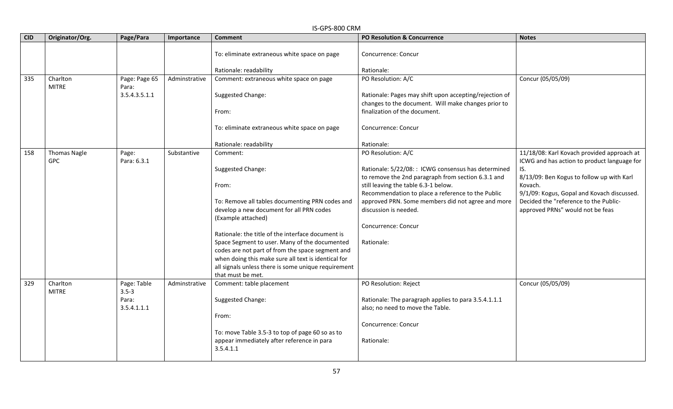#### IS-GPS-800 CRM **CID Originator/Org. Page/Para Importance Comment PO Resolution & Concurrence Notes** To: eliminate extraneous white space on page Rationale: readability Concurrence: Concur Rationale: 335 Charlton MITRE Page: Page 65 Para: 3.5.4.3.5.1.1 Adminstrative  $\vert$  Comment: extraneous white space on page Suggested Change: From: To: eliminate extraneous white space on page Rationale: readability PO Resolution: A/C Rationale: Pages may shift upon accepting/rejection of changes to the document. Will make changes prior to finalization of the document. Concurrence: Concur Rationale: Concur (05/05/09) 158 | Thomas Nagle GPC Page: Para: 6.3.1 Substantive | Comment: Suggested Change: From: To: Remove all tables documenting PRN codes and develop a new document for all PRN codes (Example attached) Rationale: the title of the interface document is Space Segment to user. Many of the documented codes are not part of from the space segment and when doing this make sure all text is identical for all signals unless there is some unique requirement that must be met. PO Resolution: A/C Rationale: 5/22/08: : ICWG consensus has determined to remove the 2nd paragraph from section 6.3.1 and still leaving the table 6.3-1 below. Recommendation to place a reference to the Public approved PRN. Some members did not agree and more discussion is needed. Concurrence: Concur Rationale: 11/18/08: Karl Kovach provided approach at ICWG and has action to product language for IS. 8/13/09: Ben Kogus to follow up with Karl Kovach. 9/1/09: Kogus, Gopal and Kovach discussed. Decided the "reference to the Publicapproved PRNs" would not be feas 329 Charlton MITRE Page: Table 3.5-3 Para: 3.5.4.1.1.1 Adminstrative  $\vert$  Comment: table placement Suggested Change: From: To: move Table 3.5-3 to top of page 60 so as to appear immediately after reference in para 3.5.4.1.1 PO Resolution: Reject Rationale: The paragraph applies to para 3.5.4.1.1.1 also; no need to move the Table. Concurrence: Concur Rationale: Concur (05/05/09)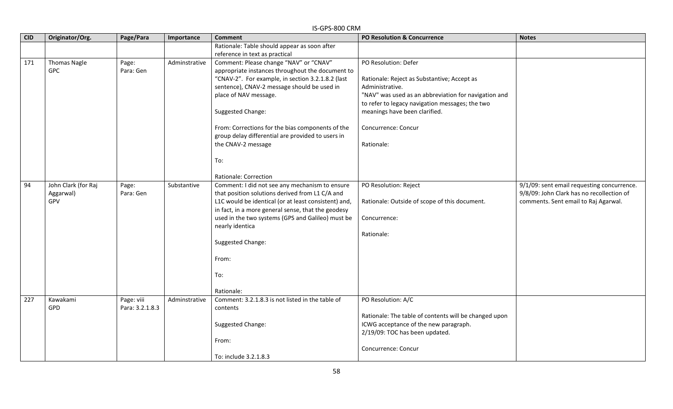### IS-GPS-800 CRM **CID Originator/Org. Page/Para Importance Comment PO Resolution & Concurrence Notes** Rationale: Table should appear as soon after reference in text as practical 171 | Thomas Nagle GPC Page: Para: Gen Adminstrative | Comment: Please change "NAV" or "CNAV" appropriate instances throughout the document to "CNAV-2". For example, in section 3.2.1.8.2 (last sentence), CNAV-2 message should be used in place of NAV message. Suggested Change: From: Corrections for the bias components of the group delay differential are provided to users in the CNAV-2 message To: Rationale: Correction PO Resolution: Defer Rationale: Reject as Substantive; Accept as Administrative. "NAV" was used as an abbreviation for navigation and to refer to legacy navigation messages; the two meanings have been clarified. Concurrence: Concur Rationale: 94 John Clark (for Raj Aggarwal) GPV Page: Para: Gen Substantive | Comment: I did not see any mechanism to ensure that position solutions derived from L1 C/A and L1C would be identical (or at least consistent) and, in fact, in a more general sense, that the geodesy used in the two systems (GPS and Galileo) must be nearly identica Suggested Change: From: To: Rationale: PO Resolution: Reject Rationale: Outside of scope of this document. Concurrence: Rationale: 9/1/09: sent email requesting concurrence. 9/8/09: John Clark has no recollection of comments. Sent email to Raj Agarwal. 227 Kawakami GPD Page: viii Para: 3.2.1.8.3 Adminstrative  $\vert$  Comment: 3.2.1.8.3 is not listed in the table of contents Suggested Change: From: To: include 3.2.1.8.3 PO Resolution: A/C Rationale: The table of contents will be changed upon ICWG acceptance of the new paragraph. 2/19/09: TOC has been updated. Concurrence: Concur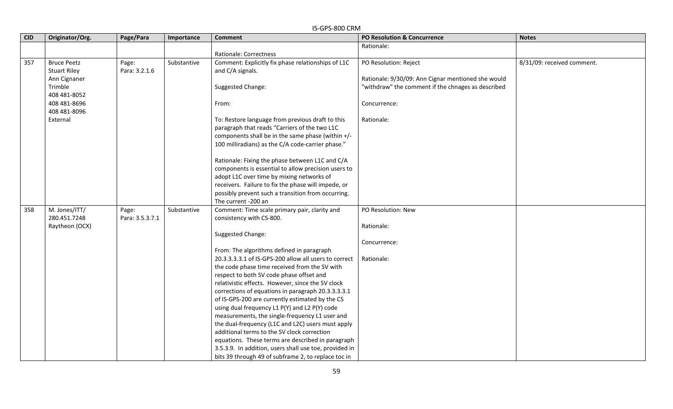### **CID Originator/Org. Page/Para Importance Comment PO Resolution & Concurrence Notes** Rationale: Correctness Rationale: 357 Bruce Peetz Stuart Riley Ann Cignaner Trimble 408 481-8052 408 481-8696 408 481-8096 External Page: Para: 3.2.1.6 Substantive Comment: Explicitly fix phase relationships of L1C and C/A signals. Suggested Change: From: To: Restore language from previous draft to this paragraph that reads "Carriers of the two L1C components shall be in the same phase (within +/- 100 milliradians) as the C/A code-carrier phase." Rationale: Fixing the phase between L1C and C/A components is essential to allow precision users to adopt L1C over time by mixing networks of receivers. Failure to fix the phase will impede, or possibly prevent such a transition from occurring. The current -200 an PO Resolution: Reject Rationale: 9/30/09: Ann Cignar mentioned she would "withdraw" the comment if the chnages as described Concurrence: Rationale: 8/31/09: received comment. 358 M. Jones/ITT/ 280.451.7248 Raytheon (OCX) Page: Para: 3.5.3.7.1 Substantive | Comment: Time scale primary pair, clarity and consistency with CS-800. Suggested Change: From: The algorithms defined in paragraph 20.3.3.3.3.1 of IS-GPS-200 allow all users to correct the code phase time received from the SV with respect to both SV code phase offset and relativistic effects. However, since the SV clock corrections of equations in paragraph 20.3.3.3.3.1 of IS-GPS-200 are currently estimated by the CS using dual frequency L1 P(Y) and L2 P(Y) code measurements, the single-frequency L1 user and the dual-frequency (L1C and L2C) users must apply additional terms to the SV clock correction equations. These terms are described in paragraph 3.5.3.9. In addition, users shall use toe, provided in bits 39 through 49 of subframe 2, to replace toc in PO Resolution: New Rationale: Concurrence: Rationale: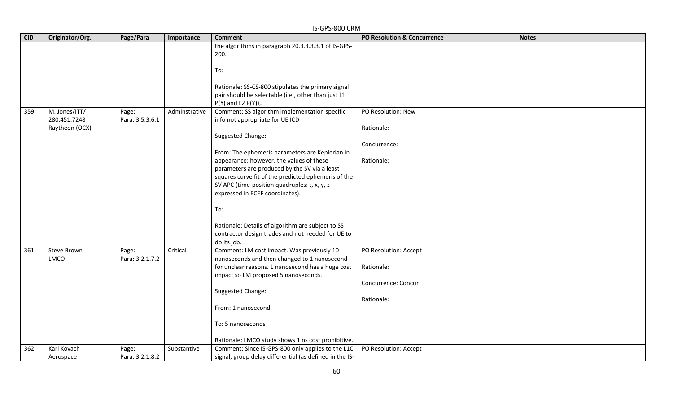|            | IS-GPS-800 CRM                                  |                          |               |                                                                                                                                                                                                                                                                                                                                                                                                                                                                                                                                 |                                                                          |              |  |
|------------|-------------------------------------------------|--------------------------|---------------|---------------------------------------------------------------------------------------------------------------------------------------------------------------------------------------------------------------------------------------------------------------------------------------------------------------------------------------------------------------------------------------------------------------------------------------------------------------------------------------------------------------------------------|--------------------------------------------------------------------------|--------------|--|
| <b>CID</b> | Originator/Org.                                 | Page/Para                | Importance    | <b>Comment</b>                                                                                                                                                                                                                                                                                                                                                                                                                                                                                                                  | <b>PO Resolution &amp; Concurrence</b>                                   | <b>Notes</b> |  |
|            |                                                 |                          |               | the algorithms in paragraph 20.3.3.3.3.1 of IS-GPS-<br>200.<br>To:<br>Rationale: SS-CS-800 stipulates the primary signal<br>pair should be selectable (i.e., other than just L1<br>$P(Y)$ and L2 $P(Y)$ ),.                                                                                                                                                                                                                                                                                                                     |                                                                          |              |  |
| 359        | M. Jones/ITT/<br>280.451.7248<br>Raytheon (OCX) | Page:<br>Para: 3.5.3.6.1 | Adminstrative | Comment: SS algorithm implementation specific<br>info not appropriate for UE ICD<br>Suggested Change:<br>From: The ephemeris parameters are Keplerian in<br>appearance; however, the values of these<br>parameters are produced by the SV via a least<br>squares curve fit of the predicted ephemeris of the<br>SV APC (time-position quadruples: t, x, y, z<br>expressed in ECEF coordinates).<br>To:<br>Rationale: Details of algorithm are subject to SS<br>contractor design trades and not needed for UE to<br>do its job. | PO Resolution: New<br>Rationale:<br>Concurrence:<br>Rationale:           |              |  |
| 361        | Steve Brown<br>LMCO                             | Page:<br>Para: 3.2.1.7.2 | Critical      | Comment: LM cost impact. Was previously 10<br>nanoseconds and then changed to 1 nanosecond<br>for unclear reasons. 1 nanosecond has a huge cost<br>impact so LM proposed 5 nanoseconds.<br>Suggested Change:<br>From: 1 nanosecond<br>To: 5 nanoseconds<br>Rationale: LMCO study shows 1 ns cost prohibitive.                                                                                                                                                                                                                   | PO Resolution: Accept<br>Rationale:<br>Concurrence: Concur<br>Rationale: |              |  |
| 362        | Karl Kovach<br>Aerospace                        | Page:<br>Para: 3.2.1.8.2 | Substantive   | Comment: Since IS-GPS-800 only applies to the L1C<br>signal, group delay differential (as defined in the IS-                                                                                                                                                                                                                                                                                                                                                                                                                    | PO Resolution: Accept                                                    |              |  |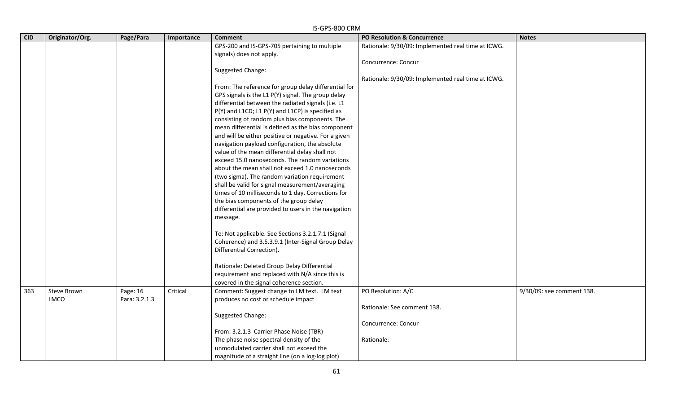| Rationale: 9/30/09: Implemented real time at ICWG.<br>GPS-200 and IS-GPS-705 pertaining to multiple<br>signals) does not apply.<br>Concurrence: Concur<br>Suggested Change:<br>Rationale: 9/30/09: Implemented real time at ICWG.<br>From: The reference for group delay differential for<br>GPS signals is the L1 P(Y) signal. The group delay<br>differential between the radiated signals (i.e. L1<br>P(Y) and L1CD; L1 P(Y) and L1CP) is specified as |
|-----------------------------------------------------------------------------------------------------------------------------------------------------------------------------------------------------------------------------------------------------------------------------------------------------------------------------------------------------------------------------------------------------------------------------------------------------------|
|                                                                                                                                                                                                                                                                                                                                                                                                                                                           |
|                                                                                                                                                                                                                                                                                                                                                                                                                                                           |
|                                                                                                                                                                                                                                                                                                                                                                                                                                                           |
|                                                                                                                                                                                                                                                                                                                                                                                                                                                           |
|                                                                                                                                                                                                                                                                                                                                                                                                                                                           |
|                                                                                                                                                                                                                                                                                                                                                                                                                                                           |
|                                                                                                                                                                                                                                                                                                                                                                                                                                                           |
|                                                                                                                                                                                                                                                                                                                                                                                                                                                           |
|                                                                                                                                                                                                                                                                                                                                                                                                                                                           |
| consisting of random plus bias components. The                                                                                                                                                                                                                                                                                                                                                                                                            |
| mean differential is defined as the bias component                                                                                                                                                                                                                                                                                                                                                                                                        |
| and will be either positive or negative. For a given                                                                                                                                                                                                                                                                                                                                                                                                      |
| navigation payload configuration, the absolute                                                                                                                                                                                                                                                                                                                                                                                                            |
| value of the mean differential delay shall not                                                                                                                                                                                                                                                                                                                                                                                                            |
| exceed 15.0 nanoseconds. The random variations                                                                                                                                                                                                                                                                                                                                                                                                            |
| about the mean shall not exceed 1.0 nanoseconds                                                                                                                                                                                                                                                                                                                                                                                                           |
| (two sigma). The random variation requirement                                                                                                                                                                                                                                                                                                                                                                                                             |
| shall be valid for signal measurement/averaging                                                                                                                                                                                                                                                                                                                                                                                                           |
| times of 10 milliseconds to 1 day. Corrections for                                                                                                                                                                                                                                                                                                                                                                                                        |
| the bias components of the group delay                                                                                                                                                                                                                                                                                                                                                                                                                    |
| differential are provided to users in the navigation                                                                                                                                                                                                                                                                                                                                                                                                      |
| message.                                                                                                                                                                                                                                                                                                                                                                                                                                                  |
|                                                                                                                                                                                                                                                                                                                                                                                                                                                           |
| To: Not applicable. See Sections 3.2.1.7.1 (Signal                                                                                                                                                                                                                                                                                                                                                                                                        |
| Coherence) and 3.5.3.9.1 (Inter-Signal Group Delay                                                                                                                                                                                                                                                                                                                                                                                                        |
| Differential Correction).                                                                                                                                                                                                                                                                                                                                                                                                                                 |
|                                                                                                                                                                                                                                                                                                                                                                                                                                                           |
| Rationale: Deleted Group Delay Differential                                                                                                                                                                                                                                                                                                                                                                                                               |
| requirement and replaced with N/A since this is                                                                                                                                                                                                                                                                                                                                                                                                           |
| covered in the signal coherence section.                                                                                                                                                                                                                                                                                                                                                                                                                  |
| PO Resolution: A/C<br>363<br><b>Steve Brown</b><br>Critical<br>Comment: Suggest change to LM text. LM text<br>9/30/09: see comment 138.<br>Page: 16                                                                                                                                                                                                                                                                                                       |
| LMCO<br>Para: 3.2.1.3<br>produces no cost or schedule impact                                                                                                                                                                                                                                                                                                                                                                                              |
| Rationale: See comment 138.                                                                                                                                                                                                                                                                                                                                                                                                                               |
| Suggested Change:                                                                                                                                                                                                                                                                                                                                                                                                                                         |
| Concurrence: Concur<br>From: 3.2.1.3 Carrier Phase Noise (TBR)                                                                                                                                                                                                                                                                                                                                                                                            |
| The phase noise spectral density of the<br>Rationale:                                                                                                                                                                                                                                                                                                                                                                                                     |
| unmodulated carrier shall not exceed the                                                                                                                                                                                                                                                                                                                                                                                                                  |
| magnitude of a straight line (on a log-log plot)                                                                                                                                                                                                                                                                                                                                                                                                          |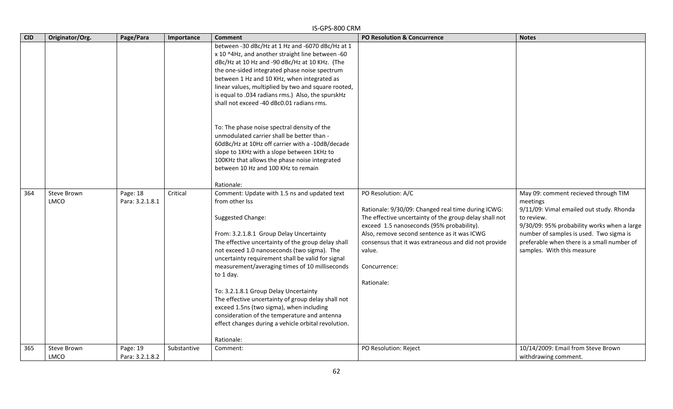|            |                                   |                             |             | IS-GPS-800 CRM                                                                                                                                                                                                                                                                                                                                                                                                                                                                                                                                                                                                          |                                                                                                                                                                                                                                                                                                                                |                                                                                                                                                                                                                                                                                  |
|------------|-----------------------------------|-----------------------------|-------------|-------------------------------------------------------------------------------------------------------------------------------------------------------------------------------------------------------------------------------------------------------------------------------------------------------------------------------------------------------------------------------------------------------------------------------------------------------------------------------------------------------------------------------------------------------------------------------------------------------------------------|--------------------------------------------------------------------------------------------------------------------------------------------------------------------------------------------------------------------------------------------------------------------------------------------------------------------------------|----------------------------------------------------------------------------------------------------------------------------------------------------------------------------------------------------------------------------------------------------------------------------------|
| <b>CID</b> | Originator/Org.                   | Page/Para                   | Importance  | <b>Comment</b>                                                                                                                                                                                                                                                                                                                                                                                                                                                                                                                                                                                                          | PO Resolution & Concurrence                                                                                                                                                                                                                                                                                                    | <b>Notes</b>                                                                                                                                                                                                                                                                     |
|            |                                   |                             |             | between -30 dBc/Hz at 1 Hz and -6070 dBc/Hz at 1<br>x 10 ^4Hz, and another straight line between -60<br>dBc/Hz at 10 Hz and -90 dBc/Hz at 10 KHz. (The<br>the one-sided integrated phase noise spectrum<br>between 1 Hz and 10 KHz, when integrated as<br>linear values, multiplied by two and square rooted,<br>is equal to .034 radians rms.) Also, the spurskHz<br>shall not exceed -40 dBc0.01 radians rms.                                                                                                                                                                                                         |                                                                                                                                                                                                                                                                                                                                |                                                                                                                                                                                                                                                                                  |
|            |                                   |                             |             | To: The phase noise spectral density of the<br>unmodulated carrier shall be better than -<br>60dBc/Hz at 10Hz off carrier with a -10dB/decade<br>slope to 1KHz with a slope between 1KHz to<br>100KHz that allows the phase noise integrated<br>between 10 Hz and 100 KHz to remain<br>Rationale:                                                                                                                                                                                                                                                                                                                       |                                                                                                                                                                                                                                                                                                                                |                                                                                                                                                                                                                                                                                  |
| 364        | <b>Steve Brown</b><br><b>LMCO</b> | Page: 18<br>Para: 3.2.1.8.1 | Critical    | Comment: Update with 1.5 ns and updated text<br>from other Iss<br>Suggested Change:<br>From: 3.2.1.8.1 Group Delay Uncertainty<br>The effective uncertainty of the group delay shall<br>not exceed 1.0 nanoseconds (two sigma). The<br>uncertainty requirement shall be valid for signal<br>measurement/averaging times of 10 milliseconds<br>to 1 day.<br>To: 3.2.1.8.1 Group Delay Uncertainty<br>The effective uncertainty of group delay shall not<br>exceed 1.5ns (two sigma), when including<br>consideration of the temperature and antenna<br>effect changes during a vehicle orbital revolution.<br>Rationale: | PO Resolution: A/C<br>Rationale: 9/30/09: Changed real time during ICWG:<br>The effective uncertainty of the group delay shall not<br>exceed 1.5 nanoseconds (95% probability).<br>Also, remove second sentence as it was ICWG<br>consensus that it was extraneous and did not provide<br>value.<br>Concurrence:<br>Rationale: | May 09: comment recieved through TIM<br>meetings<br>9/11/09: Vimal emailed out study. Rhonda<br>to review.<br>9/30/09: 95% probability works when a large<br>number of samples is used. Two sigma is<br>preferable when there is a small number of<br>samples. With this measure |
| 365        | <b>Steve Brown</b><br><b>LMCO</b> | Page: 19<br>Para: 3.2.1.8.2 | Substantive | Comment:                                                                                                                                                                                                                                                                                                                                                                                                                                                                                                                                                                                                                | PO Resolution: Reject                                                                                                                                                                                                                                                                                                          | 10/14/2009: Email from Steve Brown<br>withdrawing comment.                                                                                                                                                                                                                       |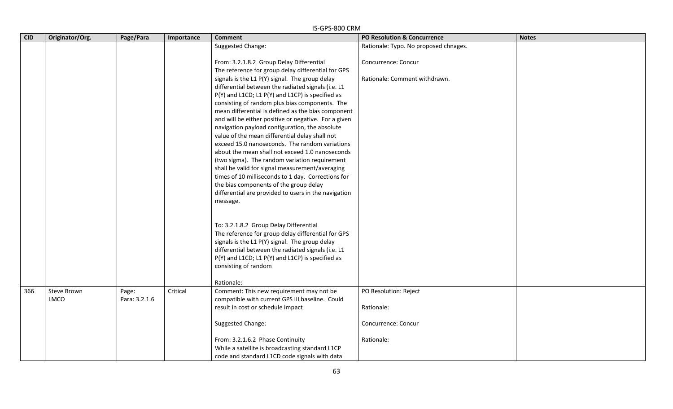|            |                 |               |            | IS-GPS-800 CRM                                       |                                        |              |
|------------|-----------------|---------------|------------|------------------------------------------------------|----------------------------------------|--------------|
| <b>CID</b> | Originator/Org. | Page/Para     | Importance | <b>Comment</b>                                       | <b>PO Resolution &amp; Concurrence</b> | <b>Notes</b> |
|            |                 |               |            | Suggested Change:                                    | Rationale: Typo. No proposed chnages.  |              |
|            |                 |               |            |                                                      |                                        |              |
|            |                 |               |            | From: 3.2.1.8.2 Group Delay Differential             | Concurrence: Concur                    |              |
|            |                 |               |            | The reference for group delay differential for GPS   |                                        |              |
|            |                 |               |            | signals is the L1 P(Y) signal. The group delay       | Rationale: Comment withdrawn.          |              |
|            |                 |               |            | differential between the radiated signals (i.e. L1   |                                        |              |
|            |                 |               |            | P(Y) and L1CD; L1 P(Y) and L1CP) is specified as     |                                        |              |
|            |                 |               |            | consisting of random plus bias components. The       |                                        |              |
|            |                 |               |            | mean differential is defined as the bias component   |                                        |              |
|            |                 |               |            | and will be either positive or negative. For a given |                                        |              |
|            |                 |               |            | navigation payload configuration, the absolute       |                                        |              |
|            |                 |               |            | value of the mean differential delay shall not       |                                        |              |
|            |                 |               |            | exceed 15.0 nanoseconds. The random variations       |                                        |              |
|            |                 |               |            | about the mean shall not exceed 1.0 nanoseconds      |                                        |              |
|            |                 |               |            | (two sigma). The random variation requirement        |                                        |              |
|            |                 |               |            | shall be valid for signal measurement/averaging      |                                        |              |
|            |                 |               |            | times of 10 milliseconds to 1 day. Corrections for   |                                        |              |
|            |                 |               |            | the bias components of the group delay               |                                        |              |
|            |                 |               |            | differential are provided to users in the navigation |                                        |              |
|            |                 |               |            | message.                                             |                                        |              |
|            |                 |               |            |                                                      |                                        |              |
|            |                 |               |            | To: 3.2.1.8.2 Group Delay Differential               |                                        |              |
|            |                 |               |            | The reference for group delay differential for GPS   |                                        |              |
|            |                 |               |            | signals is the L1 P(Y) signal. The group delay       |                                        |              |
|            |                 |               |            | differential between the radiated signals (i.e. L1   |                                        |              |
|            |                 |               |            | P(Y) and L1CD; L1 P(Y) and L1CP) is specified as     |                                        |              |
|            |                 |               |            | consisting of random                                 |                                        |              |
|            |                 |               |            |                                                      |                                        |              |
|            |                 |               |            | Rationale:                                           |                                        |              |
| 366        | Steve Brown     | Page:         | Critical   | Comment: This new requirement may not be             | PO Resolution: Reject                  |              |
|            | <b>LMCO</b>     | Para: 3.2.1.6 |            | compatible with current GPS III baseline. Could      |                                        |              |
|            |                 |               |            | result in cost or schedule impact                    | Rationale:                             |              |
|            |                 |               |            |                                                      |                                        |              |
|            |                 |               |            | Suggested Change:                                    | Concurrence: Concur                    |              |
|            |                 |               |            |                                                      |                                        |              |
|            |                 |               |            | From: 3.2.1.6.2 Phase Continuity                     | Rationale:                             |              |
|            |                 |               |            | While a satellite is broadcasting standard L1CP      |                                        |              |
|            |                 |               |            | code and standard L1CD code signals with data        |                                        |              |

## 63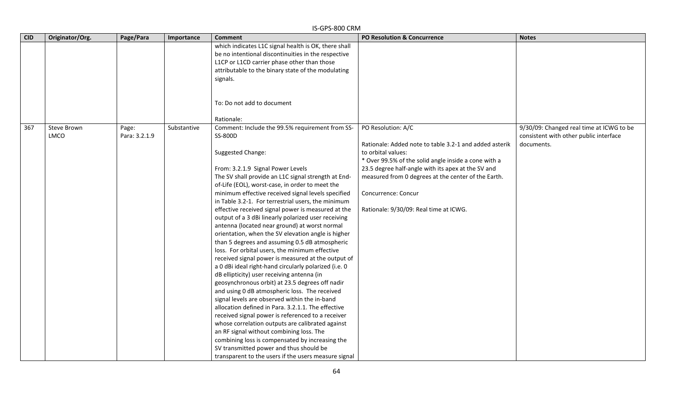### IS-GPS-800 CRM **CID Originator/Org. Page/Para Importance Comment PO Resolution & Concurrence Notes** which indicates L1C signal health is OK, there shall be no intentional discontinuities in the respective L1CP or L1CD carrier phase other than those attributable to the binary state of the modulating signals. To: Do not add to document Rationale: 367 | Steve Brown LMCO Page: Para: 3.2.1.9 Substantive | Comment: Include the 99.5% requirement from SS-SS-800D Suggested Change: From: 3.2.1.9 Signal Power Levels The SV shall provide an L1C signal strength at Endof-Life (EOL), worst-case, in order to meet the minimum effective received signal levels specified in Table 3.2-1. For terrestrial users, the minimum effective received signal power is measured at the output of a 3 dBi linearly polarized user receiving antenna (located near ground) at worst normal orientation, when the SV elevation angle is higher than 5 degrees and assuming 0.5 dB atmospheric loss. For orbital users, the minimum effective received signal power is measured at the output of a 0 dBi ideal right-hand circularly polarized (i.e. 0 dB ellipticity) user receiving antenna (in geosynchronous orbit) at 23.5 degrees off nadir and using 0 dB atmospheric loss. The received signal levels are observed within the in-band allocation defined in Para. 3.2.1.1. The effective received signal power is referenced to a receiver whose correlation outputs are calibrated against an RF signal without combining loss. The combining loss is compensated by increasing the SV transmitted power and thus should be transparent to the users if the users measure signal PO Resolution: A/C Rationale: Added note to table 3.2-1 and added asterik to orbital values: \* Over 99.5% of the solid angle inside a cone with a 23.5 degree half-angle with its apex at the SV and measured from 0 degrees at the center of the Earth. Concurrence: Concur Rationale: 9/30/09: Real time at ICWG. 9/30/09: Changed real time at ICWG to be consistent with other public interface documents.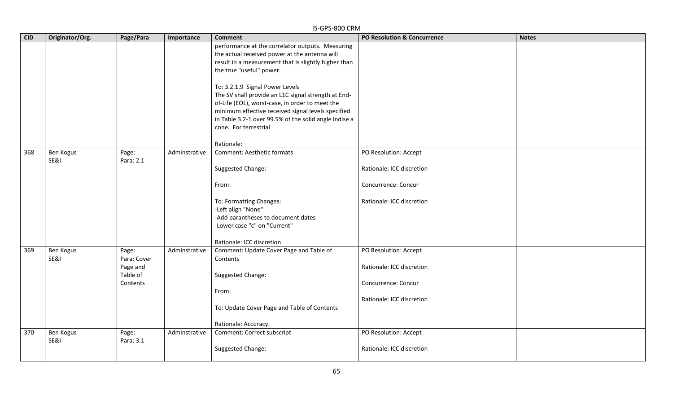| <b>CID</b> | Originator/Org.   | Page/Para                                                | Importance    | <b>Comment</b>                                                                                                                                                                                                                                                                                                                                                                                                                                                                           | <b>PO Resolution &amp; Concurrence</b>                                                                 | <b>Notes</b> |
|------------|-------------------|----------------------------------------------------------|---------------|------------------------------------------------------------------------------------------------------------------------------------------------------------------------------------------------------------------------------------------------------------------------------------------------------------------------------------------------------------------------------------------------------------------------------------------------------------------------------------------|--------------------------------------------------------------------------------------------------------|--------------|
|            |                   |                                                          |               | performance at the correlator outputs. Measuring<br>the actual received power at the antenna will<br>result in a measurement that is slightly higher than<br>the true "useful" power.<br>To: 3.2.1.9 Signal Power Levels<br>The SV shall provide an L1C signal strength at End-<br>of-Life (EOL), worst-case, in order to meet the<br>minimum effective received signal levels specified<br>in Table 3.2-1 over 99.5% of the solid angle indise a<br>cone. For terrestrial<br>Rationale: |                                                                                                        |              |
| 368        | Ben Kogus<br>SE&I | Page:<br>Para: 2.1                                       | Adminstrative | Comment: Aesthetic formats<br>Suggested Change:<br>From:<br>To: Formatting Changes:<br>-Left align "None"<br>-Add parantheses to document dates<br>-Lower case "c" on "Current"<br>Rationale: ICC discretion                                                                                                                                                                                                                                                                             | PO Resolution: Accept<br>Rationale: ICC discretion<br>Concurrence: Concur<br>Rationale: ICC discretion |              |
| 369        | Ben Kogus<br>SE&I | Page:<br>Para: Cover<br>Page and<br>Table of<br>Contents | Adminstrative | Comment: Update Cover Page and Table of<br>Contents<br>Suggested Change:<br>From:<br>To: Update Cover Page and Table of Contents<br>Rationale: Accuracy.                                                                                                                                                                                                                                                                                                                                 | PO Resolution: Accept<br>Rationale: ICC discretion<br>Concurrence: Concur<br>Rationale: ICC discretion |              |
| 370        | Ben Kogus<br>SE&I | Page:<br>Para: 3.1                                       | Adminstrative | Comment: Correct subscript<br>Suggested Change:                                                                                                                                                                                                                                                                                                                                                                                                                                          | PO Resolution: Accept<br>Rationale: ICC discretion                                                     |              |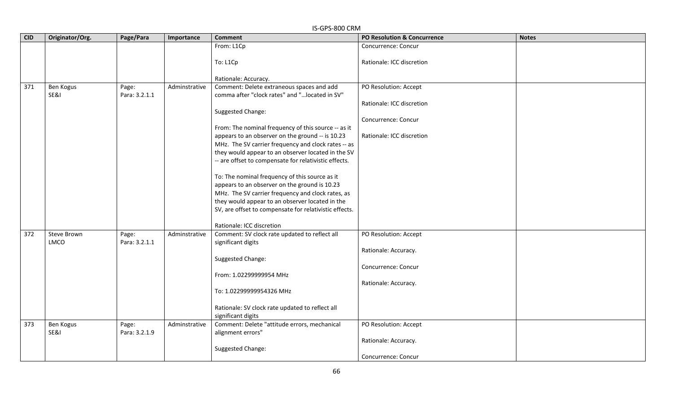| <b>CID</b><br>Originator/Org.<br>Page/Para<br>PO Resolution & Concurrence<br><b>Comment</b><br><b>Notes</b><br>Importance<br>From: L1Cp<br>Concurrence: Concur<br>Rationale: ICC discretion<br>To: L1Cp<br>Rationale: Accuracy.<br>371<br>Adminstrative<br>Comment: Delete extraneous spaces and add<br>Ben Kogus<br>PO Resolution: Accept<br>Page:<br>SE&I<br>comma after "clock rates" and " located in SV"<br>Para: 3.2.1.1<br>Rationale: ICC discretion<br>Suggested Change:<br>Concurrence: Concur<br>From: The nominal frequency of this source -- as it<br>appears to an observer on the ground -- is 10.23<br>Rationale: ICC discretion<br>MHz. The SV carrier frequency and clock rates -- as<br>they would appear to an observer located in the SV<br>-- are offset to compensate for relativistic effects.<br>To: The nominal frequency of this source as it<br>appears to an observer on the ground is 10.23<br>MHz. The SV carrier frequency and clock rates, as<br>they would appear to an observer located in the<br>SV, are offset to compensate for relativistic effects.<br>Rationale: ICC discretion<br>372<br>Steve Brown<br>Page:<br>Adminstrative<br>Comment: SV clock rate updated to reflect all<br>PO Resolution: Accept<br>Para: 3.2.1.1<br><b>LMCO</b><br>significant digits<br>Rationale: Accuracy.<br>Suggested Change:<br>Concurrence: Concur<br>From: 1.02299999954 MHz<br>Rationale: Accuracy.<br>To: 1.02299999954326 MHz<br>Rationale: SV clock rate updated to reflect all<br>significant digits | IS-GPS-800 CRM |  |  |  |  |  |  |
|-------------------------------------------------------------------------------------------------------------------------------------------------------------------------------------------------------------------------------------------------------------------------------------------------------------------------------------------------------------------------------------------------------------------------------------------------------------------------------------------------------------------------------------------------------------------------------------------------------------------------------------------------------------------------------------------------------------------------------------------------------------------------------------------------------------------------------------------------------------------------------------------------------------------------------------------------------------------------------------------------------------------------------------------------------------------------------------------------------------------------------------------------------------------------------------------------------------------------------------------------------------------------------------------------------------------------------------------------------------------------------------------------------------------------------------------------------------------------------------------------------------------------------------|----------------|--|--|--|--|--|--|
|                                                                                                                                                                                                                                                                                                                                                                                                                                                                                                                                                                                                                                                                                                                                                                                                                                                                                                                                                                                                                                                                                                                                                                                                                                                                                                                                                                                                                                                                                                                                     |                |  |  |  |  |  |  |
|                                                                                                                                                                                                                                                                                                                                                                                                                                                                                                                                                                                                                                                                                                                                                                                                                                                                                                                                                                                                                                                                                                                                                                                                                                                                                                                                                                                                                                                                                                                                     |                |  |  |  |  |  |  |
|                                                                                                                                                                                                                                                                                                                                                                                                                                                                                                                                                                                                                                                                                                                                                                                                                                                                                                                                                                                                                                                                                                                                                                                                                                                                                                                                                                                                                                                                                                                                     |                |  |  |  |  |  |  |
|                                                                                                                                                                                                                                                                                                                                                                                                                                                                                                                                                                                                                                                                                                                                                                                                                                                                                                                                                                                                                                                                                                                                                                                                                                                                                                                                                                                                                                                                                                                                     |                |  |  |  |  |  |  |
|                                                                                                                                                                                                                                                                                                                                                                                                                                                                                                                                                                                                                                                                                                                                                                                                                                                                                                                                                                                                                                                                                                                                                                                                                                                                                                                                                                                                                                                                                                                                     |                |  |  |  |  |  |  |
|                                                                                                                                                                                                                                                                                                                                                                                                                                                                                                                                                                                                                                                                                                                                                                                                                                                                                                                                                                                                                                                                                                                                                                                                                                                                                                                                                                                                                                                                                                                                     |                |  |  |  |  |  |  |
|                                                                                                                                                                                                                                                                                                                                                                                                                                                                                                                                                                                                                                                                                                                                                                                                                                                                                                                                                                                                                                                                                                                                                                                                                                                                                                                                                                                                                                                                                                                                     |                |  |  |  |  |  |  |
|                                                                                                                                                                                                                                                                                                                                                                                                                                                                                                                                                                                                                                                                                                                                                                                                                                                                                                                                                                                                                                                                                                                                                                                                                                                                                                                                                                                                                                                                                                                                     |                |  |  |  |  |  |  |
|                                                                                                                                                                                                                                                                                                                                                                                                                                                                                                                                                                                                                                                                                                                                                                                                                                                                                                                                                                                                                                                                                                                                                                                                                                                                                                                                                                                                                                                                                                                                     |                |  |  |  |  |  |  |
|                                                                                                                                                                                                                                                                                                                                                                                                                                                                                                                                                                                                                                                                                                                                                                                                                                                                                                                                                                                                                                                                                                                                                                                                                                                                                                                                                                                                                                                                                                                                     |                |  |  |  |  |  |  |
|                                                                                                                                                                                                                                                                                                                                                                                                                                                                                                                                                                                                                                                                                                                                                                                                                                                                                                                                                                                                                                                                                                                                                                                                                                                                                                                                                                                                                                                                                                                                     |                |  |  |  |  |  |  |
|                                                                                                                                                                                                                                                                                                                                                                                                                                                                                                                                                                                                                                                                                                                                                                                                                                                                                                                                                                                                                                                                                                                                                                                                                                                                                                                                                                                                                                                                                                                                     |                |  |  |  |  |  |  |
|                                                                                                                                                                                                                                                                                                                                                                                                                                                                                                                                                                                                                                                                                                                                                                                                                                                                                                                                                                                                                                                                                                                                                                                                                                                                                                                                                                                                                                                                                                                                     |                |  |  |  |  |  |  |
|                                                                                                                                                                                                                                                                                                                                                                                                                                                                                                                                                                                                                                                                                                                                                                                                                                                                                                                                                                                                                                                                                                                                                                                                                                                                                                                                                                                                                                                                                                                                     |                |  |  |  |  |  |  |
|                                                                                                                                                                                                                                                                                                                                                                                                                                                                                                                                                                                                                                                                                                                                                                                                                                                                                                                                                                                                                                                                                                                                                                                                                                                                                                                                                                                                                                                                                                                                     |                |  |  |  |  |  |  |
|                                                                                                                                                                                                                                                                                                                                                                                                                                                                                                                                                                                                                                                                                                                                                                                                                                                                                                                                                                                                                                                                                                                                                                                                                                                                                                                                                                                                                                                                                                                                     |                |  |  |  |  |  |  |
|                                                                                                                                                                                                                                                                                                                                                                                                                                                                                                                                                                                                                                                                                                                                                                                                                                                                                                                                                                                                                                                                                                                                                                                                                                                                                                                                                                                                                                                                                                                                     |                |  |  |  |  |  |  |
|                                                                                                                                                                                                                                                                                                                                                                                                                                                                                                                                                                                                                                                                                                                                                                                                                                                                                                                                                                                                                                                                                                                                                                                                                                                                                                                                                                                                                                                                                                                                     |                |  |  |  |  |  |  |
|                                                                                                                                                                                                                                                                                                                                                                                                                                                                                                                                                                                                                                                                                                                                                                                                                                                                                                                                                                                                                                                                                                                                                                                                                                                                                                                                                                                                                                                                                                                                     |                |  |  |  |  |  |  |
|                                                                                                                                                                                                                                                                                                                                                                                                                                                                                                                                                                                                                                                                                                                                                                                                                                                                                                                                                                                                                                                                                                                                                                                                                                                                                                                                                                                                                                                                                                                                     |                |  |  |  |  |  |  |
|                                                                                                                                                                                                                                                                                                                                                                                                                                                                                                                                                                                                                                                                                                                                                                                                                                                                                                                                                                                                                                                                                                                                                                                                                                                                                                                                                                                                                                                                                                                                     |                |  |  |  |  |  |  |
|                                                                                                                                                                                                                                                                                                                                                                                                                                                                                                                                                                                                                                                                                                                                                                                                                                                                                                                                                                                                                                                                                                                                                                                                                                                                                                                                                                                                                                                                                                                                     |                |  |  |  |  |  |  |
|                                                                                                                                                                                                                                                                                                                                                                                                                                                                                                                                                                                                                                                                                                                                                                                                                                                                                                                                                                                                                                                                                                                                                                                                                                                                                                                                                                                                                                                                                                                                     |                |  |  |  |  |  |  |
|                                                                                                                                                                                                                                                                                                                                                                                                                                                                                                                                                                                                                                                                                                                                                                                                                                                                                                                                                                                                                                                                                                                                                                                                                                                                                                                                                                                                                                                                                                                                     |                |  |  |  |  |  |  |
|                                                                                                                                                                                                                                                                                                                                                                                                                                                                                                                                                                                                                                                                                                                                                                                                                                                                                                                                                                                                                                                                                                                                                                                                                                                                                                                                                                                                                                                                                                                                     |                |  |  |  |  |  |  |
|                                                                                                                                                                                                                                                                                                                                                                                                                                                                                                                                                                                                                                                                                                                                                                                                                                                                                                                                                                                                                                                                                                                                                                                                                                                                                                                                                                                                                                                                                                                                     |                |  |  |  |  |  |  |
|                                                                                                                                                                                                                                                                                                                                                                                                                                                                                                                                                                                                                                                                                                                                                                                                                                                                                                                                                                                                                                                                                                                                                                                                                                                                                                                                                                                                                                                                                                                                     |                |  |  |  |  |  |  |
|                                                                                                                                                                                                                                                                                                                                                                                                                                                                                                                                                                                                                                                                                                                                                                                                                                                                                                                                                                                                                                                                                                                                                                                                                                                                                                                                                                                                                                                                                                                                     |                |  |  |  |  |  |  |
|                                                                                                                                                                                                                                                                                                                                                                                                                                                                                                                                                                                                                                                                                                                                                                                                                                                                                                                                                                                                                                                                                                                                                                                                                                                                                                                                                                                                                                                                                                                                     |                |  |  |  |  |  |  |
|                                                                                                                                                                                                                                                                                                                                                                                                                                                                                                                                                                                                                                                                                                                                                                                                                                                                                                                                                                                                                                                                                                                                                                                                                                                                                                                                                                                                                                                                                                                                     |                |  |  |  |  |  |  |
|                                                                                                                                                                                                                                                                                                                                                                                                                                                                                                                                                                                                                                                                                                                                                                                                                                                                                                                                                                                                                                                                                                                                                                                                                                                                                                                                                                                                                                                                                                                                     |                |  |  |  |  |  |  |
|                                                                                                                                                                                                                                                                                                                                                                                                                                                                                                                                                                                                                                                                                                                                                                                                                                                                                                                                                                                                                                                                                                                                                                                                                                                                                                                                                                                                                                                                                                                                     |                |  |  |  |  |  |  |
| Comment: Delete "attitude errors, mechanical<br>373<br>Ben Kogus<br>Adminstrative<br>PO Resolution: Accept<br>Page:                                                                                                                                                                                                                                                                                                                                                                                                                                                                                                                                                                                                                                                                                                                                                                                                                                                                                                                                                                                                                                                                                                                                                                                                                                                                                                                                                                                                                 |                |  |  |  |  |  |  |
| SE&I<br>Para: 3.2.1.9<br>alignment errors"                                                                                                                                                                                                                                                                                                                                                                                                                                                                                                                                                                                                                                                                                                                                                                                                                                                                                                                                                                                                                                                                                                                                                                                                                                                                                                                                                                                                                                                                                          |                |  |  |  |  |  |  |
| Rationale: Accuracy.                                                                                                                                                                                                                                                                                                                                                                                                                                                                                                                                                                                                                                                                                                                                                                                                                                                                                                                                                                                                                                                                                                                                                                                                                                                                                                                                                                                                                                                                                                                |                |  |  |  |  |  |  |
| Suggested Change:<br>Concurrence: Concur                                                                                                                                                                                                                                                                                                                                                                                                                                                                                                                                                                                                                                                                                                                                                                                                                                                                                                                                                                                                                                                                                                                                                                                                                                                                                                                                                                                                                                                                                            |                |  |  |  |  |  |  |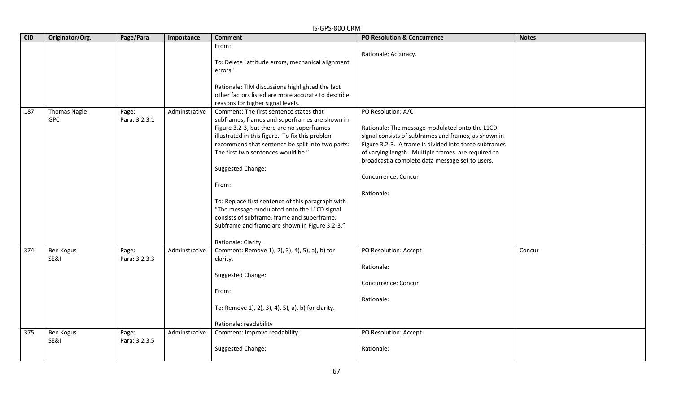|            | IS-GPS-800 CRM             |                        |               |                                                                                                                                                                                                                                                                                                                                                                                                                                                                                                                                                |                                                                                                                                                                                                                                                                                                                                     |              |  |
|------------|----------------------------|------------------------|---------------|------------------------------------------------------------------------------------------------------------------------------------------------------------------------------------------------------------------------------------------------------------------------------------------------------------------------------------------------------------------------------------------------------------------------------------------------------------------------------------------------------------------------------------------------|-------------------------------------------------------------------------------------------------------------------------------------------------------------------------------------------------------------------------------------------------------------------------------------------------------------------------------------|--------------|--|
| <b>CID</b> | Originator/Org.            | Page/Para              | Importance    | <b>Comment</b>                                                                                                                                                                                                                                                                                                                                                                                                                                                                                                                                 | <b>PO Resolution &amp; Concurrence</b>                                                                                                                                                                                                                                                                                              | <b>Notes</b> |  |
|            |                            |                        |               | From:<br>To: Delete "attitude errors, mechanical alignment<br>errors"<br>Rationale: TIM discussions highlighted the fact<br>other factors listed are more accurate to describe<br>reasons for higher signal levels.                                                                                                                                                                                                                                                                                                                            | Rationale: Accuracy.                                                                                                                                                                                                                                                                                                                |              |  |
| 187        | Thomas Nagle<br><b>GPC</b> | Page:<br>Para: 3.2.3.1 | Adminstrative | Comment: The first sentence states that<br>subframes, frames and superframes are shown in<br>Figure 3.2-3, but there are no superframes<br>illustrated in this figure. To fix this problem<br>recommend that sentence be split into two parts:<br>The first two sentences would be "<br>Suggested Change:<br>From:<br>To: Replace first sentence of this paragraph with<br>"The message modulated onto the L1CD signal<br>consists of subframe, frame and superframe.<br>Subframe and frame are shown in Figure 3.2-3."<br>Rationale: Clarity. | PO Resolution: A/C<br>Rationale: The message modulated onto the L1CD<br>signal consists of subframes and frames, as shown in<br>Figure 3.2-3. A frame is divided into three subframes<br>of varying length. Multiple frames are required to<br>broadcast a complete data message set to users.<br>Concurrence: Concur<br>Rationale: |              |  |
| 374        | Ben Kogus<br>SE&I          | Page:<br>Para: 3.2.3.3 | Adminstrative | Comment: Remove 1), 2), 3), 4), 5), a), b) for<br>clarity.<br>Suggested Change:<br>From:<br>To: Remove 1), 2), 3), 4), 5), a), b) for clarity.<br>Rationale: readability                                                                                                                                                                                                                                                                                                                                                                       | PO Resolution: Accept<br>Rationale:<br>Concurrence: Concur<br>Rationale:                                                                                                                                                                                                                                                            | Concur       |  |
| 375        | Ben Kogus<br>SE&I          | Page:<br>Para: 3.2.3.5 | Adminstrative | Comment: Improve readability.<br>Suggested Change:                                                                                                                                                                                                                                                                                                                                                                                                                                                                                             | PO Resolution: Accept<br>Rationale:                                                                                                                                                                                                                                                                                                 |              |  |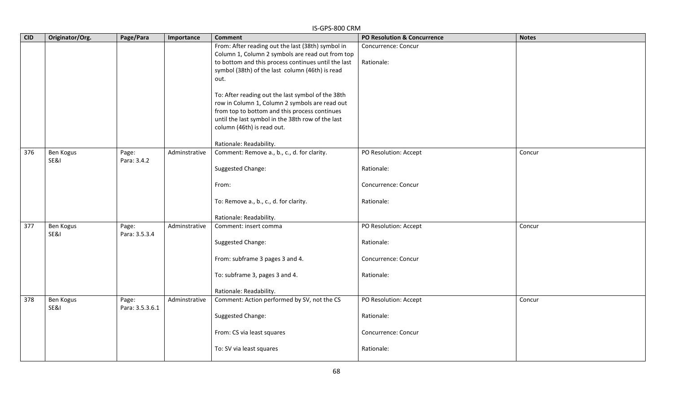| <b>CID</b> | Originator/Org.          | Page/Para                | Importance    | ואוורט טטט־כ זט־כו<br><b>Comment</b>                | <b>PO Resolution &amp; Concurrence</b> | <b>Notes</b> |
|------------|--------------------------|--------------------------|---------------|-----------------------------------------------------|----------------------------------------|--------------|
|            |                          |                          |               | From: After reading out the last (38th) symbol in   | Concurrence: Concur                    |              |
|            |                          |                          |               | Column 1, Column 2 symbols are read out from top    |                                        |              |
|            |                          |                          |               | to bottom and this process continues until the last | Rationale:                             |              |
|            |                          |                          |               | symbol (38th) of the last column (46th) is read     |                                        |              |
|            |                          |                          |               | out.                                                |                                        |              |
|            |                          |                          |               | To: After reading out the last symbol of the 38th   |                                        |              |
|            |                          |                          |               | row in Column 1, Column 2 symbols are read out      |                                        |              |
|            |                          |                          |               | from top to bottom and this process continues       |                                        |              |
|            |                          |                          |               | until the last symbol in the 38th row of the last   |                                        |              |
|            |                          |                          |               | column (46th) is read out.                          |                                        |              |
|            |                          |                          |               | Rationale: Readability.                             |                                        |              |
| 376        | Ben Kogus                | Page:                    | Adminstrative | Comment: Remove a., b., c., d. for clarity.         | PO Resolution: Accept                  | Concur       |
|            | SE&I                     | Para: 3.4.2              |               |                                                     |                                        |              |
|            |                          |                          |               | Suggested Change:                                   | Rationale:                             |              |
|            |                          |                          |               | From:                                               | Concurrence: Concur                    |              |
|            |                          |                          |               |                                                     |                                        |              |
|            |                          |                          |               | To: Remove a., b., c., d. for clarity.              | Rationale:                             |              |
|            |                          |                          |               |                                                     |                                        |              |
|            |                          |                          |               | Rationale: Readability.                             |                                        |              |
| 377        | Ben Kogus                | Page:                    | Adminstrative | Comment: insert comma                               | PO Resolution: Accept                  | Concur       |
|            | SE&I                     | Para: 3.5.3.4            |               |                                                     |                                        |              |
|            |                          |                          |               | Suggested Change:                                   | Rationale:                             |              |
|            |                          |                          |               | From: subframe 3 pages 3 and 4.                     | Concurrence: Concur                    |              |
|            |                          |                          |               |                                                     |                                        |              |
|            |                          |                          |               | To: subframe 3, pages 3 and 4.                      | Rationale:                             |              |
|            |                          |                          |               |                                                     |                                        |              |
|            |                          |                          |               | Rationale: Readability.                             |                                        |              |
| 378        | <b>Ben Kogus</b><br>SE&I | Page:<br>Para: 3.5.3.6.1 | Adminstrative | Comment: Action performed by SV, not the CS         | PO Resolution: Accept                  | Concur       |
|            |                          |                          |               | Suggested Change:                                   | Rationale:                             |              |
|            |                          |                          |               |                                                     |                                        |              |
|            |                          |                          |               | From: CS via least squares                          | Concurrence: Concur                    |              |
|            |                          |                          |               |                                                     |                                        |              |
|            |                          |                          |               | To: SV via least squares                            | Rationale:                             |              |
|            |                          |                          |               |                                                     |                                        |              |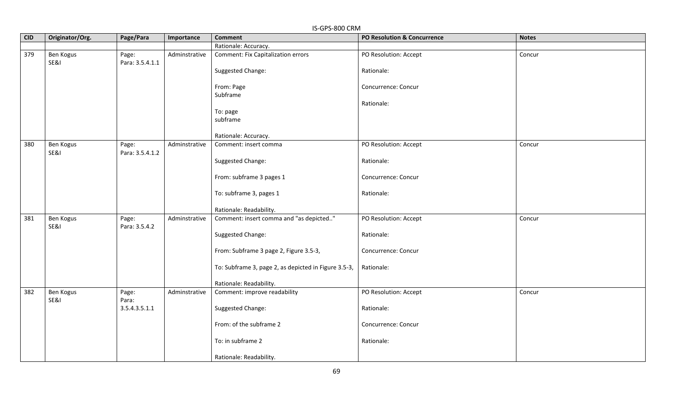|     |                 |                 |               | יוויט טטט כי וט כו                                   |                                        |              |
|-----|-----------------|-----------------|---------------|------------------------------------------------------|----------------------------------------|--------------|
| CID | Originator/Org. | Page/Para       | Importance    | <b>Comment</b>                                       | <b>PO Resolution &amp; Concurrence</b> | <b>Notes</b> |
|     |                 |                 |               | Rationale: Accuracy.                                 |                                        |              |
| 379 | Ben Kogus       | Page:           | Adminstrative | Comment: Fix Capitalization errors                   | PO Resolution: Accept                  | Concur       |
|     | SE&I            | Para: 3.5.4.1.1 |               |                                                      |                                        |              |
|     |                 |                 |               | Suggested Change:                                    | Rationale:                             |              |
|     |                 |                 |               |                                                      |                                        |              |
|     |                 |                 |               | From: Page                                           | Concurrence: Concur                    |              |
|     |                 |                 |               | Subframe                                             |                                        |              |
|     |                 |                 |               |                                                      | Rationale:                             |              |
|     |                 |                 |               | To: page                                             |                                        |              |
|     |                 |                 |               | subframe                                             |                                        |              |
|     |                 |                 |               | Rationale: Accuracy.                                 |                                        |              |
| 380 | Ben Kogus       | Page:           | Adminstrative | Comment: insert comma                                | PO Resolution: Accept                  | Concur       |
|     | SE&I            | Para: 3.5.4.1.2 |               |                                                      |                                        |              |
|     |                 |                 |               | Suggested Change:                                    | Rationale:                             |              |
|     |                 |                 |               |                                                      |                                        |              |
|     |                 |                 |               | From: subframe 3 pages 1                             | Concurrence: Concur                    |              |
|     |                 |                 |               |                                                      |                                        |              |
|     |                 |                 |               | To: subframe 3, pages 1                              | Rationale:                             |              |
|     |                 |                 |               |                                                      |                                        |              |
|     |                 |                 |               | Rationale: Readability.                              |                                        |              |
| 381 | Ben Kogus       | Page:           | Adminstrative | Comment: insert comma and "as depicted"              | PO Resolution: Accept                  | Concur       |
|     | SE&I            | Para: 3.5.4.2   |               |                                                      |                                        |              |
|     |                 |                 |               | Suggested Change:                                    | Rationale:                             |              |
|     |                 |                 |               |                                                      |                                        |              |
|     |                 |                 |               | From: Subframe 3 page 2, Figure 3.5-3,               | Concurrence: Concur                    |              |
|     |                 |                 |               | To: Subframe 3, page 2, as depicted in Figure 3.5-3, | Rationale:                             |              |
|     |                 |                 |               |                                                      |                                        |              |
|     |                 |                 |               | Rationale: Readability.                              |                                        |              |
| 382 | Ben Kogus       | Page:           | Adminstrative | Comment: improve readability                         | PO Resolution: Accept                  | Concur       |
|     | SE&I            | Para:           |               |                                                      |                                        |              |
|     |                 | 3.5.4.3.5.1.1   |               | Suggested Change:                                    | Rationale:                             |              |
|     |                 |                 |               |                                                      |                                        |              |
|     |                 |                 |               | From: of the subframe 2                              | Concurrence: Concur                    |              |
|     |                 |                 |               |                                                      |                                        |              |
|     |                 |                 |               | To: in subframe 2                                    | Rationale:                             |              |
|     |                 |                 |               |                                                      |                                        |              |
|     |                 |                 |               | Rationale: Readability.                              |                                        |              |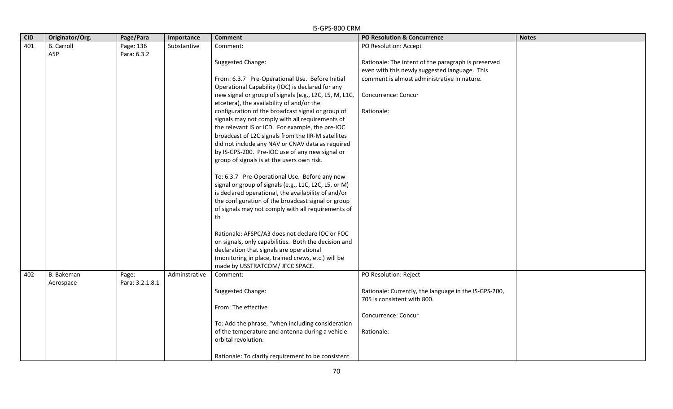|            | IS-GPS-800 CRM    |                 |               |                                                        |                                                       |              |  |  |
|------------|-------------------|-----------------|---------------|--------------------------------------------------------|-------------------------------------------------------|--------------|--|--|
| <b>CID</b> | Originator/Org.   | Page/Para       | Importance    | <b>Comment</b>                                         | <b>PO Resolution &amp; Concurrence</b>                | <b>Notes</b> |  |  |
| 401        | <b>B.</b> Carroll | Page: 136       | Substantive   | Comment:                                               | PO Resolution: Accept                                 |              |  |  |
|            | A5P               | Para: 6.3.2     |               |                                                        |                                                       |              |  |  |
|            |                   |                 |               | Suggested Change:                                      | Rationale: The intent of the paragraph is preserved   |              |  |  |
|            |                   |                 |               |                                                        | even with this newly suggested language. This         |              |  |  |
|            |                   |                 |               | From: 6.3.7 Pre-Operational Use. Before Initial        | comment is almost administrative in nature.           |              |  |  |
|            |                   |                 |               | Operational Capability (IOC) is declared for any       |                                                       |              |  |  |
|            |                   |                 |               | new signal or group of signals (e.g., L2C, L5, M, L1C, | Concurrence: Concur                                   |              |  |  |
|            |                   |                 |               | etcetera), the availability of and/or the              |                                                       |              |  |  |
|            |                   |                 |               | configuration of the broadcast signal or group of      | Rationale:                                            |              |  |  |
|            |                   |                 |               | signals may not comply with all requirements of        |                                                       |              |  |  |
|            |                   |                 |               | the relevant IS or ICD. For example, the pre-IOC       |                                                       |              |  |  |
|            |                   |                 |               | broadcast of L2C signals from the IIR-M satellites     |                                                       |              |  |  |
|            |                   |                 |               | did not include any NAV or CNAV data as required       |                                                       |              |  |  |
|            |                   |                 |               | by IS-GPS-200. Pre-IOC use of any new signal or        |                                                       |              |  |  |
|            |                   |                 |               | group of signals is at the users own risk.             |                                                       |              |  |  |
|            |                   |                 |               | To: 6.3.7 Pre-Operational Use. Before any new          |                                                       |              |  |  |
|            |                   |                 |               | signal or group of signals (e.g., L1C, L2C, L5, or M)  |                                                       |              |  |  |
|            |                   |                 |               | is declared operational, the availability of and/or    |                                                       |              |  |  |
|            |                   |                 |               | the configuration of the broadcast signal or group     |                                                       |              |  |  |
|            |                   |                 |               | of signals may not comply with all requirements of     |                                                       |              |  |  |
|            |                   |                 |               | th                                                     |                                                       |              |  |  |
|            |                   |                 |               | Rationale: AFSPC/A3 does not declare IOC or FOC        |                                                       |              |  |  |
|            |                   |                 |               | on signals, only capabilities. Both the decision and   |                                                       |              |  |  |
|            |                   |                 |               | declaration that signals are operational               |                                                       |              |  |  |
|            |                   |                 |               | (monitoring in place, trained crews, etc.) will be     |                                                       |              |  |  |
|            |                   |                 |               | made by USSTRATCOM/ JFCC SPACE.                        |                                                       |              |  |  |
| 402        | <b>B.</b> Bakeman | Page:           | Adminstrative | Comment:                                               | PO Resolution: Reject                                 |              |  |  |
|            | Aerospace         | Para: 3.2.1.8.1 |               |                                                        |                                                       |              |  |  |
|            |                   |                 |               | Suggested Change:                                      | Rationale: Currently, the language in the IS-GPS-200, |              |  |  |
|            |                   |                 |               |                                                        | 705 is consistent with 800.                           |              |  |  |
|            |                   |                 |               | From: The effective                                    |                                                       |              |  |  |
|            |                   |                 |               |                                                        | Concurrence: Concur                                   |              |  |  |
|            |                   |                 |               | To: Add the phrase, "when including consideration      |                                                       |              |  |  |
|            |                   |                 |               | of the temperature and antenna during a vehicle        | Rationale:                                            |              |  |  |
|            |                   |                 |               | orbital revolution.                                    |                                                       |              |  |  |
|            |                   |                 |               | Rationale: To clarify requirement to be consistent     |                                                       |              |  |  |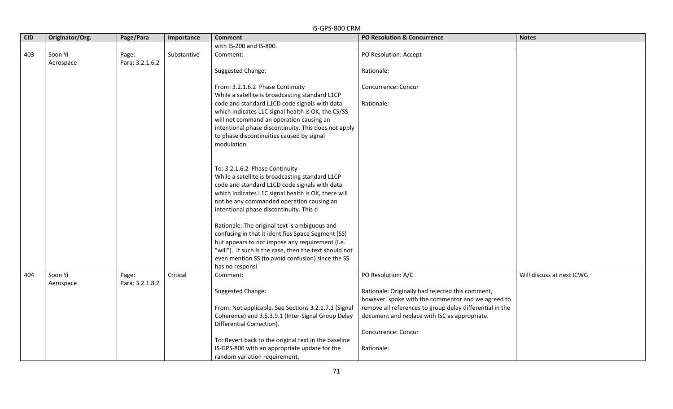| <b>CID</b> | Originator/Org. | Page/Para       | Importance  | יווט טטט־ט וט־טו<br><b>Comment</b>                                                               | PO Resolution & Concurrence                              | <b>Notes</b>              |
|------------|-----------------|-----------------|-------------|--------------------------------------------------------------------------------------------------|----------------------------------------------------------|---------------------------|
|            |                 |                 |             | with IS-200 and IS-800.                                                                          |                                                          |                           |
| 403        | Soon Yi         | Page:           | Substantive | Comment:                                                                                         | PO Resolution: Accept                                    |                           |
|            | Aerospace       | Para: 3.2.1.6.2 |             |                                                                                                  |                                                          |                           |
|            |                 |                 |             | Suggested Change:                                                                                | Rationale:                                               |                           |
|            |                 |                 |             |                                                                                                  |                                                          |                           |
|            |                 |                 |             | From: 3.2.1.6.2 Phase Continuity                                                                 | Concurrence: Concur                                      |                           |
|            |                 |                 |             | While a satellite is broadcasting standard L1CP                                                  |                                                          |                           |
|            |                 |                 |             | code and standard L1CD code signals with data                                                    | Rationale:                                               |                           |
|            |                 |                 |             | which indicates L1C signal health is OK, the CS/SS                                               |                                                          |                           |
|            |                 |                 |             | will not command an operation causing an                                                         |                                                          |                           |
|            |                 |                 |             | intentional phase discontinuity. This does not apply                                             |                                                          |                           |
|            |                 |                 |             | to phase discontinuities caused by signal                                                        |                                                          |                           |
|            |                 |                 |             | modulation.                                                                                      |                                                          |                           |
|            |                 |                 |             |                                                                                                  |                                                          |                           |
|            |                 |                 |             |                                                                                                  |                                                          |                           |
|            |                 |                 |             | To: 3.2.1.6.2 Phase Continuity                                                                   |                                                          |                           |
|            |                 |                 |             | While a satellite is broadcasting standard L1CP<br>code and standard L1CD code signals with data |                                                          |                           |
|            |                 |                 |             | which indicates L1C signal health is OK, there will                                              |                                                          |                           |
|            |                 |                 |             | not be any commanded operation causing an                                                        |                                                          |                           |
|            |                 |                 |             | intentional phase discontinuity. This d                                                          |                                                          |                           |
|            |                 |                 |             |                                                                                                  |                                                          |                           |
|            |                 |                 |             | Rationale: The original text is ambiguous and                                                    |                                                          |                           |
|            |                 |                 |             | confusing in that it identifies Space Segment (SS)                                               |                                                          |                           |
|            |                 |                 |             | but appears to not impose any requirement (i.e.                                                  |                                                          |                           |
|            |                 |                 |             | "will"). If such is the case, then the text should not                                           |                                                          |                           |
|            |                 |                 |             | even mention SS (to avoid confusion) since the SS                                                |                                                          |                           |
|            |                 |                 |             | has no responsi                                                                                  |                                                          |                           |
| 404        | Soon Yi         | Page:           | Critical    | Comment:                                                                                         | PO Resolution: A/C                                       | Will discuss at next ICWG |
|            | Aerospace       | Para: 3.2.1.8.2 |             |                                                                                                  |                                                          |                           |
|            |                 |                 |             | Suggested Change:                                                                                | Rationale: Originally had rejected this comment,         |                           |
|            |                 |                 |             |                                                                                                  | however, spoke with the commentor and we agreed to       |                           |
|            |                 |                 |             | From: Not applicable. See Sections 3.2.1.7.1 (Signal                                             | remove all references to group delay differential in the |                           |
|            |                 |                 |             | Coherence) and 3.5.3.9.1 (Inter-Signal Group Delay                                               | document and replace with ISC as appropriate.            |                           |
|            |                 |                 |             | Differential Correction).                                                                        |                                                          |                           |
|            |                 |                 |             |                                                                                                  | Concurrence: Concur                                      |                           |
|            |                 |                 |             | To: Revert back to the original text in the baseline                                             |                                                          |                           |
|            |                 |                 |             | IS-GPS-800 with an appropriate update for the                                                    | Rationale:                                               |                           |
|            |                 |                 |             | random variation requirement.                                                                    |                                                          |                           |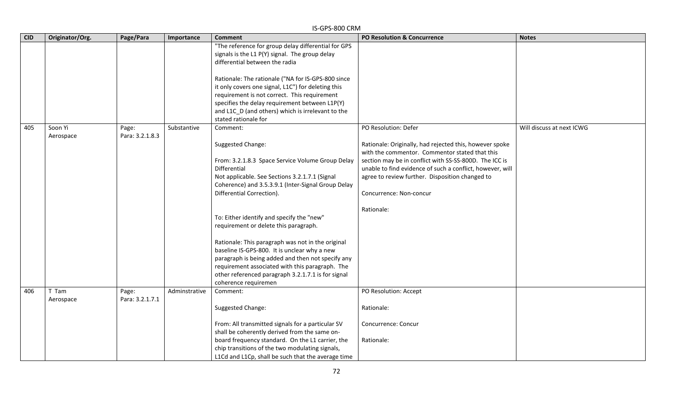|            | IS-GPS-800 CRM       |                          |               |                                                                                                                                                                                                                                                                                                                                                                                                                                                                                                                                                                                                                         |                                                                                                                                                                                                                                                                                                                                                      |                           |  |  |
|------------|----------------------|--------------------------|---------------|-------------------------------------------------------------------------------------------------------------------------------------------------------------------------------------------------------------------------------------------------------------------------------------------------------------------------------------------------------------------------------------------------------------------------------------------------------------------------------------------------------------------------------------------------------------------------------------------------------------------------|------------------------------------------------------------------------------------------------------------------------------------------------------------------------------------------------------------------------------------------------------------------------------------------------------------------------------------------------------|---------------------------|--|--|
| <b>CID</b> | Originator/Org.      | Page/Para                | Importance    | <b>Comment</b>                                                                                                                                                                                                                                                                                                                                                                                                                                                                                                                                                                                                          | PO Resolution & Concurrence                                                                                                                                                                                                                                                                                                                          | <b>Notes</b>              |  |  |
|            |                      |                          |               | "The reference for group delay differential for GPS<br>signals is the L1 P(Y) signal. The group delay<br>differential between the radia<br>Rationale: The rationale ("NA for IS-GPS-800 since<br>it only covers one signal, L1C") for deleting this<br>requirement is not correct. This requirement<br>specifies the delay requirement between L1P(Y)<br>and L1C D (and others) which is irrelevant to the<br>stated rationale for                                                                                                                                                                                      |                                                                                                                                                                                                                                                                                                                                                      |                           |  |  |
| 405        | Soon Yi<br>Aerospace | Page:<br>Para: 3.2.1.8.3 | Substantive   | Comment:<br>Suggested Change:<br>From: 3.2.1.8.3 Space Service Volume Group Delay<br>Differential<br>Not applicable. See Sections 3.2.1.7.1 (Signal<br>Coherence) and 3.5.3.9.1 (Inter-Signal Group Delay<br>Differential Correction).<br>To: Either identify and specify the "new"<br>requirement or delete this paragraph.<br>Rationale: This paragraph was not in the original<br>baseline IS-GPS-800. It is unclear why a new<br>paragraph is being added and then not specify any<br>requirement associated with this paragraph. The<br>other referenced paragraph 3.2.1.7.1 is for signal<br>coherence requiremen | PO Resolution: Defer<br>Rationale: Originally, had rejected this, however spoke<br>with the commentor. Commentor stated that this<br>section may be in conflict with SS-SS-800D. The ICC is<br>unable to find evidence of such a conflict, however, will<br>agree to review further. Disposition changed to<br>Concurrence: Non-concur<br>Rationale: | Will discuss at next ICWG |  |  |
| 406        | T Tam<br>Aerospace   | Page:<br>Para: 3.2.1.7.1 | Adminstrative | Comment:<br>Suggested Change:<br>From: All transmitted signals for a particular SV<br>shall be coherently derived from the same on-<br>board frequency standard. On the L1 carrier, the<br>chip transitions of the two modulating signals,<br>L1Cd and L1Cp, shall be such that the average time                                                                                                                                                                                                                                                                                                                        | PO Resolution: Accept<br>Rationale:<br>Concurrence: Concur<br>Rationale:                                                                                                                                                                                                                                                                             |                           |  |  |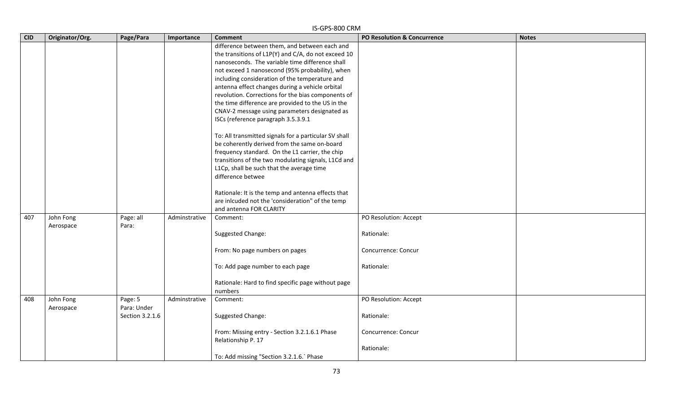|            | IS-GPS-800 CRM         |                                           |               |                                                                                                                                                                                                                                                                                                                                                                                                                                                                                                                                                                                                                                                                                                                                                                                                                                                                                                                                                          |                                                                          |              |  |  |
|------------|------------------------|-------------------------------------------|---------------|----------------------------------------------------------------------------------------------------------------------------------------------------------------------------------------------------------------------------------------------------------------------------------------------------------------------------------------------------------------------------------------------------------------------------------------------------------------------------------------------------------------------------------------------------------------------------------------------------------------------------------------------------------------------------------------------------------------------------------------------------------------------------------------------------------------------------------------------------------------------------------------------------------------------------------------------------------|--------------------------------------------------------------------------|--------------|--|--|
| <b>CID</b> | Originator/Org.        | Page/Para                                 | Importance    | <b>Comment</b>                                                                                                                                                                                                                                                                                                                                                                                                                                                                                                                                                                                                                                                                                                                                                                                                                                                                                                                                           | PO Resolution & Concurrence                                              | <b>Notes</b> |  |  |
| 407        | John Fong              | Page: all                                 | Adminstrative | difference between them, and between each and<br>the transitions of L1P(Y) and C/A, do not exceed 10<br>nanoseconds. The variable time difference shall<br>not exceed 1 nanosecond (95% probability), when<br>including consideration of the temperature and<br>antenna effect changes during a vehicle orbital<br>revolution. Corrections for the bias components of<br>the time difference are provided to the US in the<br>CNAV-2 message using parameters designated as<br>ISCs (reference paragraph 3.5.3.9.1<br>To: All transmitted signals for a particular SV shall<br>be coherently derived from the same on-board<br>frequency standard. On the L1 carrier, the chip<br>transitions of the two modulating signals, L1Cd and<br>L1Cp, shall be such that the average time<br>difference betwee<br>Rationale: It is the temp and antenna effects that<br>are inlcuded not the 'consideration" of the temp<br>and antenna FOR CLARITY<br>Comment: | PO Resolution: Accept                                                    |              |  |  |
|            | Aerospace              | Para:                                     |               | Suggested Change:<br>From: No page numbers on pages<br>To: Add page number to each page<br>Rationale: Hard to find specific page without page<br>numbers                                                                                                                                                                                                                                                                                                                                                                                                                                                                                                                                                                                                                                                                                                                                                                                                 | Rationale:<br>Concurrence: Concur<br>Rationale:                          |              |  |  |
| 408        | John Fong<br>Aerospace | Page: 5<br>Para: Under<br>Section 3.2.1.6 | Adminstrative | Comment:<br>Suggested Change:<br>From: Missing entry - Section 3.2.1.6.1 Phase<br>Relationship P. 17<br>To: Add missing "Section 3.2.1.6.' Phase                                                                                                                                                                                                                                                                                                                                                                                                                                                                                                                                                                                                                                                                                                                                                                                                         | PO Resolution: Accept<br>Rationale:<br>Concurrence: Concur<br>Rationale: |              |  |  |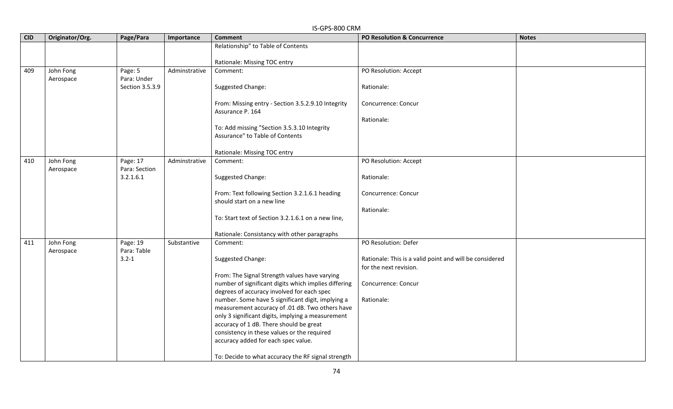|            | IS-GPS-800 CRM         |                           |               |                                                                                              |                                                                                   |              |  |
|------------|------------------------|---------------------------|---------------|----------------------------------------------------------------------------------------------|-----------------------------------------------------------------------------------|--------------|--|
| <b>CID</b> | Originator/Org.        | Page/Para                 | Importance    | <b>Comment</b>                                                                               | <b>PO Resolution &amp; Concurrence</b>                                            | <b>Notes</b> |  |
|            |                        |                           |               | Relationship" to Table of Contents                                                           |                                                                                   |              |  |
|            |                        |                           |               | Rationale: Missing TOC entry                                                                 |                                                                                   |              |  |
| 409        | John Fong<br>Aerospace | Page: 5<br>Para: Under    | Adminstrative | Comment:                                                                                     | PO Resolution: Accept                                                             |              |  |
|            |                        | Section 3.5.3.9           |               | Suggested Change:                                                                            | Rationale:                                                                        |              |  |
|            |                        |                           |               | From: Missing entry - Section 3.5.2.9.10 Integrity<br>Assurance P. 164                       | Concurrence: Concur                                                               |              |  |
|            |                        |                           |               |                                                                                              | Rationale:                                                                        |              |  |
|            |                        |                           |               | To: Add missing "Section 3.5.3.10 Integrity<br>Assurance" to Table of Contents               |                                                                                   |              |  |
|            |                        |                           |               | Rationale: Missing TOC entry                                                                 |                                                                                   |              |  |
| 410        | John Fong<br>Aerospace | Page: 17<br>Para: Section | Adminstrative | Comment:                                                                                     | PO Resolution: Accept                                                             |              |  |
|            |                        | 3.2.1.6.1                 |               | Suggested Change:                                                                            | Rationale:                                                                        |              |  |
|            |                        |                           |               | From: Text following Section 3.2.1.6.1 heading<br>should start on a new line                 | Concurrence: Concur                                                               |              |  |
|            |                        |                           |               | To: Start text of Section 3.2.1.6.1 on a new line,                                           | Rationale:                                                                        |              |  |
|            |                        |                           |               | Rationale: Consistancy with other paragraphs                                                 |                                                                                   |              |  |
| 411        | John Fong<br>Aerospace | Page: 19<br>Para: Table   | Substantive   | Comment:                                                                                     | PO Resolution: Defer                                                              |              |  |
|            |                        | $3.2 - 1$                 |               | Suggested Change:                                                                            | Rationale: This is a valid point and will be considered<br>for the next revision. |              |  |
|            |                        |                           |               | From: The Signal Strength values have varying                                                |                                                                                   |              |  |
|            |                        |                           |               | number of significant digits which implies differing                                         | Concurrence: Concur                                                               |              |  |
|            |                        |                           |               | degrees of accuracy involved for each spec                                                   |                                                                                   |              |  |
|            |                        |                           |               | number. Some have 5 significant digit, implying a                                            | Rationale:                                                                        |              |  |
|            |                        |                           |               | measurement accuracy of .01 dB. Two others have                                              |                                                                                   |              |  |
|            |                        |                           |               | only 3 significant digits, implying a measurement<br>accuracy of 1 dB. There should be great |                                                                                   |              |  |
|            |                        |                           |               | consistency in these values or the required                                                  |                                                                                   |              |  |
|            |                        |                           |               | accuracy added for each spec value.                                                          |                                                                                   |              |  |
|            |                        |                           |               | To: Decide to what accuracy the RF signal strength                                           |                                                                                   |              |  |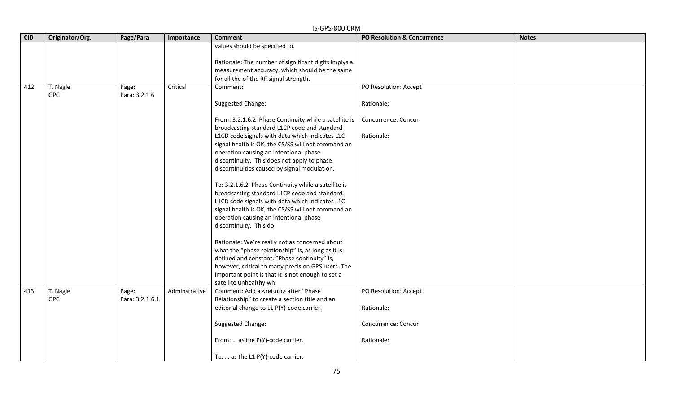|     | IS-GPS-800 CRM         |                          |               |                                                                                                                                                                                                                                                                                           |                                     |              |  |  |
|-----|------------------------|--------------------------|---------------|-------------------------------------------------------------------------------------------------------------------------------------------------------------------------------------------------------------------------------------------------------------------------------------------|-------------------------------------|--------------|--|--|
| CID | Originator/Org.        | Page/Para                | Importance    | <b>Comment</b>                                                                                                                                                                                                                                                                            | PO Resolution & Concurrence         | <b>Notes</b> |  |  |
|     |                        |                          |               | values should be specified to.                                                                                                                                                                                                                                                            |                                     |              |  |  |
|     |                        |                          |               | Rationale: The number of significant digits implys a<br>measurement accuracy, which should be the same<br>for all the of the RF signal strength.                                                                                                                                          |                                     |              |  |  |
| 412 | T. Nagle<br><b>GPC</b> | Page:<br>Para: 3.2.1.6   | Critical      | Comment:                                                                                                                                                                                                                                                                                  | PO Resolution: Accept               |              |  |  |
|     |                        |                          |               | Suggested Change:                                                                                                                                                                                                                                                                         | Rationale:                          |              |  |  |
|     |                        |                          |               | From: 3.2.1.6.2 Phase Continuity while a satellite is<br>broadcasting standard L1CP code and standard                                                                                                                                                                                     | Concurrence: Concur                 |              |  |  |
|     |                        |                          |               | L1CD code signals with data which indicates L1C<br>signal health is OK, the CS/SS will not command an<br>operation causing an intentional phase<br>discontinuity. This does not apply to phase<br>discontinuities caused by signal modulation.                                            | Rationale:                          |              |  |  |
|     |                        |                          |               | To: 3.2.1.6.2 Phase Continuity while a satellite is<br>broadcasting standard L1CP code and standard<br>L1CD code signals with data which indicates L1C                                                                                                                                    |                                     |              |  |  |
|     |                        |                          |               | signal health is OK, the CS/SS will not command an<br>operation causing an intentional phase<br>discontinuity. This do                                                                                                                                                                    |                                     |              |  |  |
|     |                        |                          |               | Rationale: We're really not as concerned about<br>what the "phase relationship" is, as long as it is<br>defined and constant. "Phase continuity" is,<br>however, critical to many precision GPS users. The<br>important point is that it is not enough to set a<br>satellite unhealthy wh |                                     |              |  |  |
| 413 | T. Nagle<br>GPC        | Page:<br>Para: 3.2.1.6.1 | Adminstrative | Comment: Add a <return> after "Phase<br/>Relationship" to create a section title and an<br/>editorial change to L1 P(Y)-code carrier.</return>                                                                                                                                            | PO Resolution: Accept<br>Rationale: |              |  |  |
|     |                        |                          |               | Suggested Change:                                                                                                                                                                                                                                                                         | Concurrence: Concur                 |              |  |  |
|     |                        |                          |               | From:  as the P(Y)-code carrier.                                                                                                                                                                                                                                                          | Rationale:                          |              |  |  |
|     |                        |                          |               | To:  as the L1 P(Y)-code carrier.                                                                                                                                                                                                                                                         |                                     |              |  |  |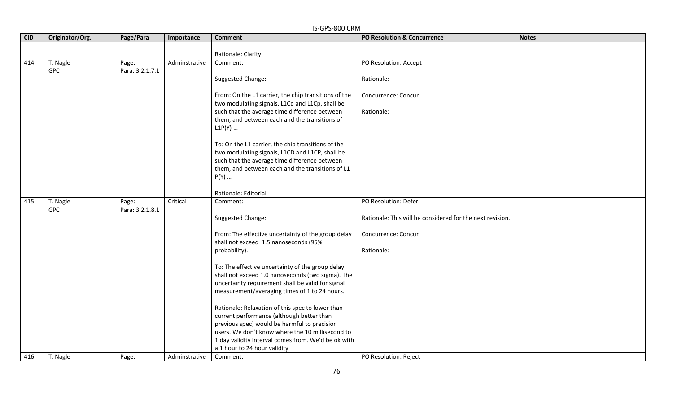|            | IS-GPS-800 CRM         |                          |               |                                                                                                         |                                                           |              |  |
|------------|------------------------|--------------------------|---------------|---------------------------------------------------------------------------------------------------------|-----------------------------------------------------------|--------------|--|
| <b>CID</b> | Originator/Org.        | Page/Para                | Importance    | <b>Comment</b>                                                                                          | <b>PO Resolution &amp; Concurrence</b>                    | <b>Notes</b> |  |
|            |                        |                          |               | Rationale: Clarity                                                                                      |                                                           |              |  |
| 414        | T. Nagle<br><b>GPC</b> | Page:<br>Para: 3.2.1.7.1 | Adminstrative | Comment:                                                                                                | PO Resolution: Accept                                     |              |  |
|            |                        |                          |               | Suggested Change:                                                                                       | Rationale:                                                |              |  |
|            |                        |                          |               | From: On the L1 carrier, the chip transitions of the<br>two modulating signals, L1Cd and L1Cp, shall be | Concurrence: Concur                                       |              |  |
|            |                        |                          |               | such that the average time difference between<br>them, and between each and the transitions of          | Rationale:                                                |              |  |
|            |                        |                          |               | $L1P(Y)$                                                                                                |                                                           |              |  |
|            |                        |                          |               | To: On the L1 carrier, the chip transitions of the<br>two modulating signals, L1CD and L1CP, shall be   |                                                           |              |  |
|            |                        |                          |               | such that the average time difference between<br>them, and between each and the transitions of L1       |                                                           |              |  |
|            |                        |                          |               | P(Y)                                                                                                    |                                                           |              |  |
|            |                        |                          |               | Rationale: Editorial                                                                                    |                                                           |              |  |
| 415        | T. Nagle<br><b>GPC</b> | Page:<br>Para: 3.2.1.8.1 | Critical      | Comment:                                                                                                | PO Resolution: Defer                                      |              |  |
|            |                        |                          |               | Suggested Change:                                                                                       | Rationale: This will be considered for the next revision. |              |  |
|            |                        |                          |               | From: The effective uncertainty of the group delay<br>shall not exceed 1.5 nanoseconds (95%             | Concurrence: Concur                                       |              |  |
|            |                        |                          |               | probability).                                                                                           | Rationale:                                                |              |  |
|            |                        |                          |               | To: The effective uncertainty of the group delay<br>shall not exceed 1.0 nanoseconds (two sigma). The   |                                                           |              |  |
|            |                        |                          |               | uncertainty requirement shall be valid for signal<br>measurement/averaging times of 1 to 24 hours.      |                                                           |              |  |
|            |                        |                          |               | Rationale: Relaxation of this spec to lower than                                                        |                                                           |              |  |
|            |                        |                          |               | current performance (although better than                                                               |                                                           |              |  |
|            |                        |                          |               | previous spec) would be harmful to precision                                                            |                                                           |              |  |
|            |                        |                          |               | users. We don't know where the 10 millisecond to                                                        |                                                           |              |  |
|            |                        |                          |               | 1 day validity interval comes from. We'd be ok with<br>a 1 hour to 24 hour validity                     |                                                           |              |  |
| 416        | T. Nagle               | Page:                    | Adminstrative | Comment:                                                                                                | PO Resolution: Reject                                     |              |  |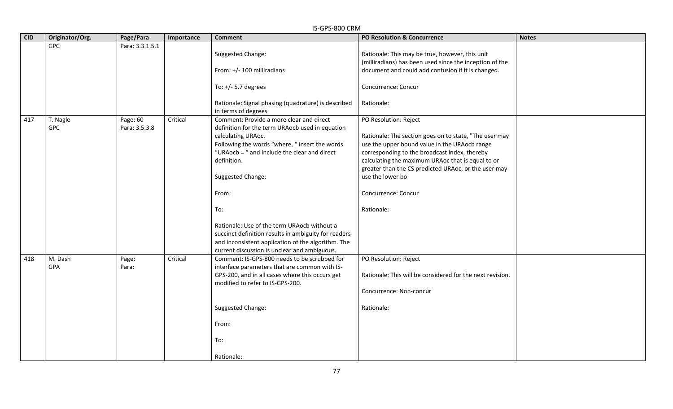|            | IS-GPS-800 CRM  |                           |            |                                                                                                                                                                                                                                                                                                                                                                                                                                                                                         |                                                                                                                                                                                                                                                                                                                                                         |              |  |
|------------|-----------------|---------------------------|------------|-----------------------------------------------------------------------------------------------------------------------------------------------------------------------------------------------------------------------------------------------------------------------------------------------------------------------------------------------------------------------------------------------------------------------------------------------------------------------------------------|---------------------------------------------------------------------------------------------------------------------------------------------------------------------------------------------------------------------------------------------------------------------------------------------------------------------------------------------------------|--------------|--|
| <b>CID</b> | Originator/Org. | Page/Para                 | Importance | <b>Comment</b>                                                                                                                                                                                                                                                                                                                                                                                                                                                                          | <b>PO Resolution &amp; Concurrence</b>                                                                                                                                                                                                                                                                                                                  | <b>Notes</b> |  |
|            | GPC             | Para: 3.3.1.5.1           |            | Suggested Change:<br>From: +/- 100 milliradians                                                                                                                                                                                                                                                                                                                                                                                                                                         | Rationale: This may be true, however, this unit<br>(milliradians) has been used since the inception of the<br>document and could add confusion if it is changed.                                                                                                                                                                                        |              |  |
|            |                 |                           |            | To: $+/- 5.7$ degrees                                                                                                                                                                                                                                                                                                                                                                                                                                                                   | Concurrence: Concur                                                                                                                                                                                                                                                                                                                                     |              |  |
|            |                 |                           |            | Rationale: Signal phasing (quadrature) is described<br>in terms of degrees                                                                                                                                                                                                                                                                                                                                                                                                              | Rationale:                                                                                                                                                                                                                                                                                                                                              |              |  |
| 417        | T. Nagle<br>GPC | Page: 60<br>Para: 3.5.3.8 | Critical   | Comment: Provide a more clear and direct<br>definition for the term URAocb used in equation<br>calculating URAoc.<br>Following the words "where, " insert the words<br>"URAoc $b =$ " and include the clear and direct<br>definition.<br>Suggested Change:<br>From:<br>To:<br>Rationale: Use of the term URAocb without a<br>succinct definition results in ambiguity for readers<br>and inconsistent application of the algorithm. The<br>current discussion is unclear and ambiguous. | PO Resolution: Reject<br>Rationale: The section goes on to state, "The user may<br>use the upper bound value in the URAocb range<br>corresponding to the broadcast index, thereby<br>calculating the maximum URAoc that is equal to or<br>greater than the CS predicted URAoc, or the user may<br>use the lower bo<br>Concurrence: Concur<br>Rationale: |              |  |
| 418        | M. Dash<br>GPA  | Page:<br>Para:            | Critical   | Comment: IS-GPS-800 needs to be scrubbed for<br>interface parameters that are common with IS-<br>GPS-200, and in all cases where this occurs get<br>modified to refer to IS-GPS-200.<br>Suggested Change:<br>From:<br>To:<br>Rationale:                                                                                                                                                                                                                                                 | PO Resolution: Reject<br>Rationale: This will be considered for the next revision.<br>Concurrence: Non-concur<br>Rationale:                                                                                                                                                                                                                             |              |  |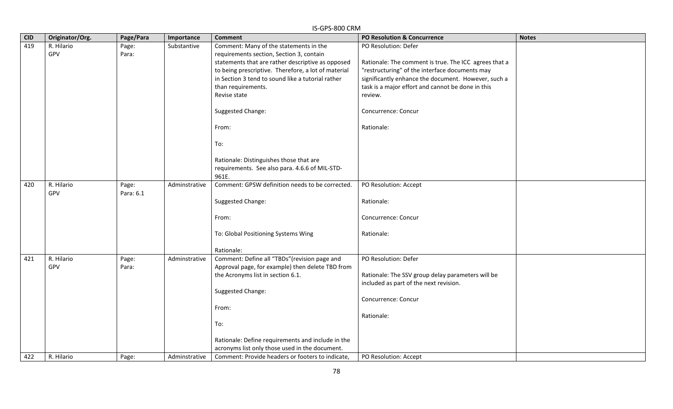| <b>CID</b> | Originator/Org.   | Page/Para          | Importance    | עוורט טטט־כרער<br><b>Comment</b>                    | PO Resolution & Concurrence                           | <b>Notes</b> |
|------------|-------------------|--------------------|---------------|-----------------------------------------------------|-------------------------------------------------------|--------------|
| 419        | R. Hilario        |                    |               | Comment: Many of the statements in the              | PO Resolution: Defer                                  |              |
|            | GPV               | Page:              | Substantive   |                                                     |                                                       |              |
|            |                   | Para:              |               | requirements section, Section 3, contain            |                                                       |              |
|            |                   |                    |               | statements that are rather descriptive as opposed   | Rationale: The comment is true. The ICC agrees that a |              |
|            |                   |                    |               | to being prescriptive. Therefore, a lot of material | "restructuring" of the interface documents may        |              |
|            |                   |                    |               | in Section 3 tend to sound like a tutorial rather   | significantly enhance the document. However, such a   |              |
|            |                   |                    |               | than requirements.                                  | task is a major effort and cannot be done in this     |              |
|            |                   |                    |               | Revise state                                        | review.                                               |              |
|            |                   |                    |               | Suggested Change:                                   | Concurrence: Concur                                   |              |
|            |                   |                    |               | From:                                               | Rationale:                                            |              |
|            |                   |                    |               | To:                                                 |                                                       |              |
|            |                   |                    |               | Rationale: Distinguishes those that are             |                                                       |              |
|            |                   |                    |               | requirements. See also para. 4.6.6 of MIL-STD-      |                                                       |              |
|            |                   |                    |               | 961E.                                               |                                                       |              |
| 420        | R. Hilario<br>GPV | Page:<br>Para: 6.1 | Adminstrative | Comment: GPSW definition needs to be corrected.     | PO Resolution: Accept                                 |              |
|            |                   |                    |               | Suggested Change:                                   | Rationale:                                            |              |
|            |                   |                    |               | From:                                               | Concurrence: Concur                                   |              |
|            |                   |                    |               | To: Global Positioning Systems Wing                 | Rationale:                                            |              |
|            |                   |                    |               | Rationale:                                          |                                                       |              |
| 421        | R. Hilario        | Page:              | Adminstrative | Comment: Define all "TBDs" (revision page and       | PO Resolution: Defer                                  |              |
|            | GPV               | Para:              |               | Approval page, for example) then delete TBD from    |                                                       |              |
|            |                   |                    |               | the Acronyms list in section 6.1.                   | Rationale: The SSV group delay parameters will be     |              |
|            |                   |                    |               |                                                     | included as part of the next revision.                |              |
|            |                   |                    |               | Suggested Change:                                   |                                                       |              |
|            |                   |                    |               |                                                     | Concurrence: Concur                                   |              |
|            |                   |                    |               | From:                                               |                                                       |              |
|            |                   |                    |               |                                                     | Rationale:                                            |              |
|            |                   |                    |               | To:                                                 |                                                       |              |
|            |                   |                    |               | Rationale: Define requirements and include in the   |                                                       |              |
|            |                   |                    |               | acronyms list only those used in the document.      |                                                       |              |
| 422        | R. Hilario        | Page:              | Adminstrative | Comment: Provide headers or footers to indicate,    | PO Resolution: Accept                                 |              |